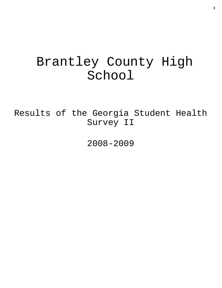# Brantley County High School

Results of the Georgia Student Health Survey II

2008-2009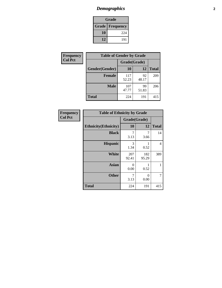# *Demographics* **2**

| Grade                  |     |  |  |  |
|------------------------|-----|--|--|--|
| <b>Grade Frequency</b> |     |  |  |  |
| 10                     | 224 |  |  |  |
| 12                     | 191 |  |  |  |

| <b>Frequency</b> | <b>Table of Gender by Grade</b> |              |             |              |
|------------------|---------------------------------|--------------|-------------|--------------|
| <b>Col Pct</b>   |                                 | Grade(Grade) |             |              |
|                  | Gender(Gender)                  | <b>10</b>    | 12          | <b>Total</b> |
|                  | <b>Female</b>                   | 117<br>52.23 | 92<br>48.17 | 209          |
|                  | <b>Male</b>                     | 107<br>47.77 | 99<br>51.83 | 206          |
|                  | <b>Total</b>                    | 224          | 191         | 415          |

| Frequency      |
|----------------|
| <b>Col Pct</b> |

| <b>Table of Ethnicity by Grade</b> |              |                  |              |  |  |
|------------------------------------|--------------|------------------|--------------|--|--|
|                                    | Grade(Grade) |                  |              |  |  |
| <b>Ethnicity</b> (Ethnicity)       | 10           | 12               | <b>Total</b> |  |  |
| <b>Black</b>                       | 7<br>3.13    | 7<br>3.66        | 14           |  |  |
| <b>Hispanic</b>                    | 3<br>1.34    | 0.52             | 4            |  |  |
| White                              | 207<br>92.41 | 182<br>95.29     | 389          |  |  |
| <b>Asian</b>                       | 0<br>0.00    | 0.52             | 1            |  |  |
| <b>Other</b>                       | 7<br>3.13    | $\Omega$<br>0.00 | 7            |  |  |
| <b>Total</b>                       | 224          | 191              | 415          |  |  |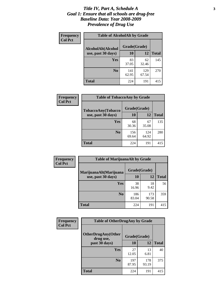#### *Title IV, Part A, Schedule A* **3** *Goal 1: Ensure that all schools are drug-free Baseline Data: Year 2008-2009 Prevalence of Drug Use*

| Frequency<br><b>Col Pct</b> | <b>Table of AlcoholAlt by Grade</b> |              |              |              |  |
|-----------------------------|-------------------------------------|--------------|--------------|--------------|--|
|                             | AlcoholAlt(Alcohol                  | Grade(Grade) |              |              |  |
|                             | use, past 30 days)                  | <b>10</b>    | 12           | <b>Total</b> |  |
|                             | <b>Yes</b>                          | 83<br>37.05  | 62<br>32.46  | 145          |  |
|                             | N <sub>0</sub>                      | 141<br>62.95 | 129<br>67.54 | 270          |  |
|                             | Total                               | 224          | 191          | 415          |  |

| Frequency      | <b>Table of TobaccoAny by Grade</b> |              |              |              |  |
|----------------|-------------------------------------|--------------|--------------|--------------|--|
| <b>Col Pct</b> | <b>TobaccoAny(Tobacco</b>           | Grade(Grade) |              |              |  |
|                | use, past 30 days)                  | 10           | 12           | <b>Total</b> |  |
|                | Yes                                 | 68<br>30.36  | 67<br>35.08  | 135          |  |
|                | N <sub>0</sub>                      | 156<br>69.64 | 124<br>64.92 | 280          |  |
|                | <b>Total</b>                        | 224          | 191          | 415          |  |

| Frequency<br><b>Col Pct</b> | <b>Table of MarijuanaAlt by Grade</b> |              |              |              |  |
|-----------------------------|---------------------------------------|--------------|--------------|--------------|--|
|                             | MarijuanaAlt(Marijuana                | Grade(Grade) |              |              |  |
|                             | use, past 30 days)                    | <b>10</b>    | 12           | <b>Total</b> |  |
|                             | <b>Yes</b>                            | 38<br>16.96  | 18<br>9.42   | 56           |  |
|                             | N <sub>0</sub>                        | 186<br>83.04 | 173<br>90.58 | 359          |  |
|                             | <b>Total</b>                          | 224          | 191          | 415          |  |

| Frequency      | <b>Table of OtherDrugAny by Grade</b>  |              |              |              |
|----------------|----------------------------------------|--------------|--------------|--------------|
| <b>Col Pct</b> | <b>OtherDrugAny(Other</b><br>drug use, | Grade(Grade) |              |              |
|                | past 30 days)                          | 10           | 12           | <b>Total</b> |
|                | Yes                                    | 27<br>12.05  | 13<br>6.81   | 40           |
|                | N <sub>0</sub>                         | 197<br>87.95 | 178<br>93.19 | 375          |
|                | <b>Total</b>                           | 224          | 191          | 415          |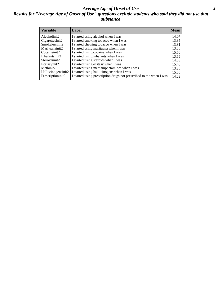#### *Average Age of Onset of Use* **4** *Results for "Average Age of Onset of Use" questions exclude students who said they did not use that substance*

| <b>Variable</b>    | Label                                                              | <b>Mean</b> |
|--------------------|--------------------------------------------------------------------|-------------|
| Alcoholinit2       | I started using alcohol when I was                                 | 14.07       |
| Cigarettesinit2    | I started smoking tobacco when I was                               | 13.85       |
| Smokelessinit2     | I started chewing tobacco when I was                               | 13.81       |
| Marijuanainit2     | I started using marijuana when I was                               | 13.88       |
| Cocaineinit2       | I started using cocaine when I was                                 | 15.50       |
| Inhalantsinit2     | I started using inhalants when I was                               | 13.55       |
| Steroidsinit2      | I started using steroids when I was                                | 14.83       |
| Ecstasyinit2       | I started using ecstasy when I was                                 | 15.40       |
| Methinit2          | I started using methamphetamines when I was                        | 13.25       |
| Hallucinogensinit2 | I started using hallucinogens when I was                           | 15.86       |
| Prescriptioninit2  | I started using prescription drugs not prescribed to me when I was | 14.22       |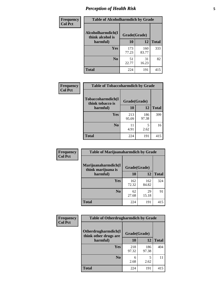# *Perception of Health Risk* **5**

| Frequency      | <b>Table of Alcoholharmdich by Grade</b> |              |              |              |
|----------------|------------------------------------------|--------------|--------------|--------------|
| <b>Col Pct</b> | Alcoholharmdich(I<br>think alcohol is    | Grade(Grade) |              |              |
|                | harmful)                                 | 10           | 12           | <b>Total</b> |
|                | Yes                                      | 173<br>77.23 | 160<br>83.77 | 333          |
|                | N <sub>0</sub>                           | 51<br>22.77  | 31<br>16.23  | 82           |
|                | <b>Total</b>                             | 224          | 191          | 415          |

| Frequency      | <b>Table of Tobaccoharmdich by Grade</b> |              |              |              |
|----------------|------------------------------------------|--------------|--------------|--------------|
| <b>Col Pct</b> | Tobaccoharmdich(I<br>think tobacco is    | Grade(Grade) |              |              |
|                | harmful)                                 | 10           | 12           | <b>Total</b> |
|                | <b>Yes</b>                               | 213<br>95.09 | 186<br>97.38 | 399          |
|                | N <sub>0</sub>                           | 11<br>4.91   | 5<br>2.62    | 16           |
|                | <b>Total</b>                             | 224          | 191          | 415          |

| Frequency      | <b>Table of Marijuanaharmdich by Grade</b> |              |              |              |
|----------------|--------------------------------------------|--------------|--------------|--------------|
| <b>Col Pct</b> | Marijuanaharmdich(I<br>think marijuana is  | Grade(Grade) |              |              |
|                | harmful)                                   | 10           | 12           | <b>Total</b> |
|                | <b>Yes</b>                                 | 162<br>72.32 | 162<br>84.82 | 324          |
|                | N <sub>0</sub>                             | 62<br>27.68  | 29<br>15.18  | 91           |
|                | <b>Total</b>                               | 224          | 191          | 415          |

| <b>Frequency</b> | <b>Table of Otherdrugharmdich by Grade</b>   |              |              |              |  |  |  |  |
|------------------|----------------------------------------------|--------------|--------------|--------------|--|--|--|--|
| <b>Col Pct</b>   | Otherdrugharmdich(I<br>think other drugs are | Grade(Grade) |              |              |  |  |  |  |
|                  | harmful)                                     | 10           | 12           | <b>Total</b> |  |  |  |  |
|                  | <b>Yes</b>                                   | 218<br>97.32 | 186<br>97.38 | 404          |  |  |  |  |
|                  | N <sub>0</sub>                               | 6<br>2.68    | 5<br>2.62    | 11           |  |  |  |  |
|                  | <b>Total</b>                                 | 224          | 191          | 415          |  |  |  |  |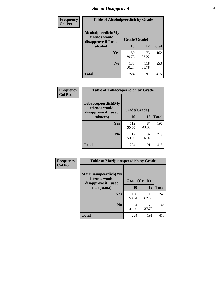# *Social Disapproval* **6**

| Frequency      | <b>Table of Alcoholpeerdich by Grade</b>                    |              |              |              |
|----------------|-------------------------------------------------------------|--------------|--------------|--------------|
| <b>Col Pct</b> | Alcoholpeerdich(My<br>friends would<br>disapprove if I used | Grade(Grade) |              |              |
|                | alcohol)                                                    |              | 12           | <b>Total</b> |
|                | Yes                                                         | 89<br>39.73  | 73<br>38.22  | 162          |
|                | N <sub>0</sub>                                              | 135<br>60.27 | 118<br>61.78 | 253          |
|                | Total                                                       | 224          | 191          | 415          |

| <b>Frequency</b> |
|------------------|
| <b>Col Pct</b>   |

| <b>Table of Tobaccopeerdich by Grade</b>                    |              |              |              |  |  |  |
|-------------------------------------------------------------|--------------|--------------|--------------|--|--|--|
| Tobaccopeerdich(My<br>friends would<br>disapprove if I used | Grade(Grade) |              |              |  |  |  |
| tobacco)                                                    | 10           | 12           | <b>Total</b> |  |  |  |
| Yes                                                         | 112<br>50.00 | 84<br>43.98  | 196          |  |  |  |
| N <sub>0</sub>                                              | 112<br>50.00 | 107<br>56.02 | 219          |  |  |  |
| <b>Total</b>                                                | 224          | 191          | 415          |  |  |  |

| Frequency      | <b>Table of Marijuanapeerdich by Grade</b>                    |              |              |              |  |  |  |  |
|----------------|---------------------------------------------------------------|--------------|--------------|--------------|--|--|--|--|
| <b>Col Pct</b> | Marijuanapeerdich(My<br>friends would<br>disapprove if I used | Grade(Grade) |              |              |  |  |  |  |
|                | marijuana)                                                    | 10           | 12           | <b>Total</b> |  |  |  |  |
|                | <b>Yes</b>                                                    | 130<br>58.04 | 119<br>62.30 | 249          |  |  |  |  |
|                | N <sub>0</sub>                                                | 94<br>41.96  | 72<br>37.70  | 166          |  |  |  |  |
|                | <b>Total</b>                                                  | 224          | 191          | 415          |  |  |  |  |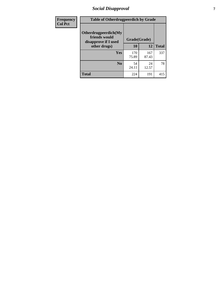# *Social Disapproval* **7**

| Frequency      | <b>Table of Otherdrugpeerdich by Grade</b>                    |              |              |              |  |  |  |  |
|----------------|---------------------------------------------------------------|--------------|--------------|--------------|--|--|--|--|
| <b>Col Pct</b> | Otherdrugpeerdich(My<br>friends would<br>disapprove if I used | Grade(Grade) |              |              |  |  |  |  |
|                | other drugs)                                                  | 10           | 12           | <b>Total</b> |  |  |  |  |
|                | <b>Yes</b>                                                    | 170<br>75.89 | 167<br>87.43 | 337          |  |  |  |  |
|                | N <sub>0</sub>                                                | 54<br>24.11  | 24<br>12.57  | 78           |  |  |  |  |
|                | <b>Total</b>                                                  | 224          | 191          | 415          |  |  |  |  |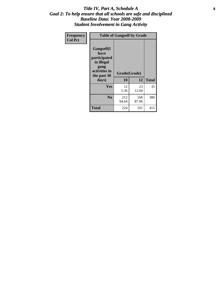#### Title IV, Part A, Schedule A **8** *Goal 2: To help ensure that all schools are safe and disciplined Baseline Data: Year 2008-2009 Student Involvement in Gang Activity*

| Frequency      | <b>Table of Gangself by Grade</b>                                                                         |                    |              |              |
|----------------|-----------------------------------------------------------------------------------------------------------|--------------------|--------------|--------------|
| <b>Col Pct</b> | <b>Gangself</b> (I<br>have<br>participated<br>in illegal<br>gang<br>activities in<br>the past 30<br>days) | Grade(Grade)<br>10 | 12           | <b>Total</b> |
|                | Yes                                                                                                       | 12<br>5.36         | 23<br>12.04  | 35           |
|                | N <sub>0</sub>                                                                                            | 212<br>94.64       | 168<br>87.96 | 380          |
|                | <b>Total</b>                                                                                              | 224                | 191          | 415          |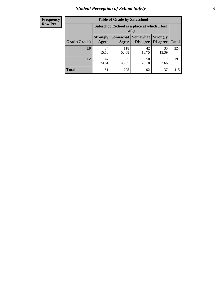# *Student Perception of School Safety* **9**

| <b>Frequency</b><br>Row Pct |
|-----------------------------|
|                             |

| <b>Table of Grade by Safeschool</b> |                                                                                                                                           |                                                        |             |             |     |  |  |
|-------------------------------------|-------------------------------------------------------------------------------------------------------------------------------------------|--------------------------------------------------------|-------------|-------------|-----|--|--|
|                                     |                                                                                                                                           | Safeschool (School is a place at which I feel<br>safe) |             |             |     |  |  |
| Grade(Grade)                        | <b>Somewhat</b><br><b>Somewhat</b><br><b>Strongly</b><br><b>Strongly</b><br><b>Disagree</b><br>Agree<br>Disagree<br><b>Total</b><br>Agree |                                                        |             |             |     |  |  |
| 10                                  | 34<br>15.18                                                                                                                               | 118<br>52.68                                           | 42<br>18.75 | 30<br>13.39 | 224 |  |  |
| 12                                  | 47<br>24.61                                                                                                                               | 87<br>45.55                                            | 50<br>26.18 | 3.66        | 191 |  |  |
| <b>Total</b>                        | 81                                                                                                                                        | 205                                                    | 92          | 37          | 415 |  |  |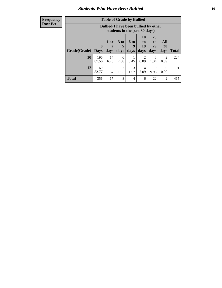#### *Students Who Have Been Bullied* **10**

| <b>Frequency</b> |
|------------------|
| Row Pct          |

| <b>Table of Grade by Bullied</b> |                            |                                                                               |                              |                   |                               |                               |                          |              |
|----------------------------------|----------------------------|-------------------------------------------------------------------------------|------------------------------|-------------------|-------------------------------|-------------------------------|--------------------------|--------------|
|                                  |                            | <b>Bullied</b> (I have been bullied by other<br>students in the past 30 days) |                              |                   |                               |                               |                          |              |
| Grade(Grade)                     | $\mathbf 0$<br><b>Days</b> | 1 or<br>2<br>days                                                             | 3 <sub>to</sub><br>5<br>days | 6 to<br>9<br>days | <b>10</b><br>to<br>19<br>days | <b>20</b><br>to<br>29<br>days | <b>All</b><br>30<br>days | <b>Total</b> |
| 10                               | 196<br>87.50               | 14<br>6.25                                                                    | 6<br>2.68                    | 0.45              | 2<br>0.89                     | 3<br>1.34                     | $\mathfrak{D}$<br>0.89   | 224          |
| 12                               | 160<br>83.77               | 3<br>1.57                                                                     | 2<br>1.05                    | 3<br>1.57         | 4<br>2.09                     | 19<br>9.95                    | 0<br>0.00                | 191          |
| <b>Total</b>                     | 356                        | 17                                                                            | 8                            | 4                 | 6                             | 22                            | 2                        | 415          |

 $\blacksquare$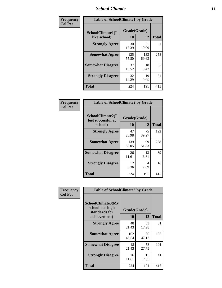### *School Climate* **11**

| Frequency      | <b>Table of SchoolClimate1 by Grade</b> |                    |              |              |  |  |  |  |
|----------------|-----------------------------------------|--------------------|--------------|--------------|--|--|--|--|
| <b>Col Pct</b> | SchoolClimate1(I<br>like school)        | Grade(Grade)<br>10 | 12           | <b>Total</b> |  |  |  |  |
|                | <b>Strongly Agree</b>                   | 30<br>13.39        | 21<br>10.99  | 51           |  |  |  |  |
|                | <b>Somewhat Agree</b>                   | 125<br>55.80       | 133<br>69.63 | 258          |  |  |  |  |
|                | <b>Somewhat Disagree</b>                | 37<br>16.52        | 18<br>9.42   | 55           |  |  |  |  |
|                | <b>Strongly Disagree</b>                | 32<br>14.29        | 19<br>9.95   | 51           |  |  |  |  |
|                | <b>Total</b>                            | 224                | 191          | 415          |  |  |  |  |

| <b>Frequency</b> |
|------------------|
| <b>Col Pct</b>   |

| <b>Table of SchoolClimate2 by Grade</b>           |                    |             |              |  |  |
|---------------------------------------------------|--------------------|-------------|--------------|--|--|
| SchoolClimate2(I<br>feel successful at<br>school) | Grade(Grade)<br>10 | 12          | <b>Total</b> |  |  |
| <b>Strongly Agree</b>                             | 47<br>20.98        | 75<br>39.27 | 122          |  |  |
| <b>Somewhat Agree</b>                             | 139<br>62.05       | 99<br>51.83 | 238          |  |  |
| <b>Somewhat Disagree</b>                          | 26<br>11.61        | 13<br>6.81  | 39           |  |  |
| <b>Strongly Disagree</b>                          | 12<br>5.36         | 4<br>2.09   | 16           |  |  |
| Total                                             | 224                | 191         | 415          |  |  |

| Frequency      | <b>Table of SchoolClimate3 by Grade</b>                               |                    |             |              |  |
|----------------|-----------------------------------------------------------------------|--------------------|-------------|--------------|--|
| <b>Col Pct</b> | SchoolClimate3(My<br>school has high<br>standards for<br>achievement) | Grade(Grade)<br>10 | 12          | <b>Total</b> |  |
|                |                                                                       |                    |             |              |  |
|                | <b>Strongly Agree</b>                                                 | 48<br>21.43        | 33<br>17.28 | 81           |  |
|                | <b>Somewhat Agree</b>                                                 | 102<br>45.54       | 90<br>47.12 | 192          |  |
|                | <b>Somewhat Disagree</b>                                              | 48<br>21.43        | 53<br>27.75 | 101          |  |
|                | <b>Strongly Disagree</b>                                              | 26<br>11.61        | 15<br>7.85  | 41           |  |
|                | Total                                                                 | 224                | 191         | 415          |  |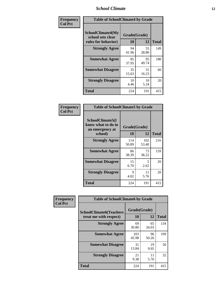### *School Climate* **12**

| Frequency      | <b>Table of SchoolClimate4 by Grade</b>                       |                    |             |              |  |
|----------------|---------------------------------------------------------------|--------------------|-------------|--------------|--|
| <b>Col Pct</b> | SchoolClimate4(My<br>school sets clear<br>rules for behavior) | Grade(Grade)<br>10 | 12          | <b>Total</b> |  |
|                | <b>Strongly Agree</b>                                         | 94<br>41.96        | 55<br>28.80 | 149          |  |
|                | <b>Somewhat Agree</b>                                         | 85<br>37.95        | 95<br>49.74 | 180          |  |
|                | <b>Somewhat Disagree</b>                                      | 35<br>15.63        | 31<br>16.23 | 66           |  |
|                | <b>Strongly Disagree</b>                                      | 10<br>4.46         | 10<br>5.24  | 20           |  |
|                | <b>Total</b>                                                  | 224                | 191         | 415          |  |

| <b>Table of SchoolClimate5 by Grade</b>                   |              |              |              |  |  |
|-----------------------------------------------------------|--------------|--------------|--------------|--|--|
| SchoolClimate5(I<br>know what to do in<br>an emergency at | Grade(Grade) |              |              |  |  |
| school)                                                   | 10           | 12           | <b>Total</b> |  |  |
| <b>Strongly Agree</b>                                     | 114<br>50.89 | 102<br>53.40 | 216          |  |  |
| <b>Somewhat Agree</b>                                     | 86<br>38.39  | 73<br>38.22  | 159          |  |  |
| <b>Somewhat Disagree</b>                                  | 15<br>6.70   | 5<br>2.62    | 20           |  |  |
| <b>Strongly Disagree</b>                                  | 9<br>4.02    | 11<br>5.76   | 20           |  |  |
| Total                                                     | 224          | 191          | 415          |  |  |

| <b>Frequency</b> | <b>Table of SchoolClimate6 by Grade</b>                  |                    |             |              |  |  |
|------------------|----------------------------------------------------------|--------------------|-------------|--------------|--|--|
| <b>Col Pct</b>   | <b>SchoolClimate6(Teachers</b><br>treat me with respect) | Grade(Grade)<br>10 | 12          | <b>Total</b> |  |  |
|                  | <b>Strongly Agree</b>                                    | 69<br>30.80        | 65<br>34.03 | 134          |  |  |
|                  | <b>Somewhat Agree</b>                                    | 103<br>45.98       | 96<br>50.26 | 199          |  |  |
|                  | <b>Somewhat Disagree</b>                                 | 31<br>13.84        | 19<br>9.95  | 50           |  |  |
|                  | <b>Strongly Disagree</b>                                 | 21<br>9.38         | 11<br>5.76  | 32           |  |  |
|                  | <b>Total</b>                                             | 224                | 191         | 415          |  |  |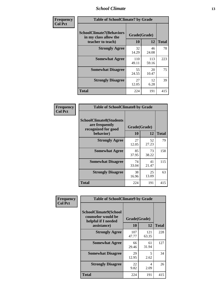### *School Climate* **13**

| Frequency      | <b>Table of SchoolClimate7 by Grade</b>                                       |                           |              |              |  |
|----------------|-------------------------------------------------------------------------------|---------------------------|--------------|--------------|--|
| <b>Col Pct</b> | <b>SchoolClimate7(Behaviors</b><br>in my class allow the<br>teacher to teach) | Grade(Grade)<br><b>10</b> | 12           | <b>Total</b> |  |
|                | <b>Strongly Agree</b>                                                         | 32<br>14.29               | 46<br>24.08  | 78           |  |
|                | <b>Somewhat Agree</b>                                                         | 110<br>49.11              | 113<br>59.16 | 223          |  |
|                | <b>Somewhat Disagree</b>                                                      | 55<br>24.55               | 20<br>10.47  | 75           |  |
|                | <b>Strongly Disagree</b>                                                      | 27<br>12.05               | 12<br>6.28   | 39           |  |
|                | <b>Total</b>                                                                  | 224                       | 191          | 415          |  |

| Frequency      | <b>Table of SchoolClimate8 by Grade</b>                                              |                    |             |              |  |
|----------------|--------------------------------------------------------------------------------------|--------------------|-------------|--------------|--|
| <b>Col Pct</b> | <b>SchoolClimate8(Students</b><br>are frequently<br>recognized for good<br>behavior) | Grade(Grade)<br>10 | 12          | <b>Total</b> |  |
|                | <b>Strongly Agree</b>                                                                | 27<br>12.05        | 52<br>27.23 | 79           |  |
|                | <b>Somewhat Agree</b>                                                                | 85<br>37.95        | 73<br>38.22 | 158          |  |
|                | <b>Somewhat Disagree</b>                                                             | 74<br>33.04        | 41<br>21.47 | 115          |  |
|                | <b>Strongly Disagree</b>                                                             | 38<br>16.96        | 25<br>13.09 | 63           |  |
|                | <b>Total</b>                                                                         | 224                | 191         | 415          |  |

| Frequency      | <b>Table of SchoolClimate9 by Grade</b>                                           |                    |              |              |  |
|----------------|-----------------------------------------------------------------------------------|--------------------|--------------|--------------|--|
| <b>Col Pct</b> | SchoolClimate9(School<br>counselor would be<br>helpful if I needed<br>assistance) | Grade(Grade)<br>10 | 12           | <b>Total</b> |  |
|                | <b>Strongly Agree</b>                                                             | 107<br>47.77       | 121<br>63.35 | 228          |  |
|                | <b>Somewhat Agree</b>                                                             | 66<br>29.46        | 61<br>31.94  | 127          |  |
|                | <b>Somewhat Disagree</b>                                                          | 29<br>12.95        | 5<br>2.62    | 34           |  |
|                | <b>Strongly Disagree</b>                                                          | 22<br>9.82         | 4<br>2.09    | 26           |  |
|                | Total                                                                             | 224                | 191          | 415          |  |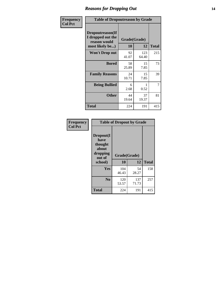### *Reasons for Dropping Out* **14**

| Frequency      | <b>Table of Dropoutreason by Grade</b>                                   |                    |              |              |  |
|----------------|--------------------------------------------------------------------------|--------------------|--------------|--------------|--|
| <b>Col Pct</b> | Dropoutreason(If<br>I dropped out the<br>reason would<br>most likely be) | Grade(Grade)<br>10 | 12           | <b>Total</b> |  |
|                | <b>Won't Drop out</b>                                                    | 92<br>41.07        | 123<br>64.40 | 215          |  |
|                | <b>Bored</b>                                                             | 58<br>25.89        | 15<br>7.85   | 73           |  |
|                | <b>Family Reasons</b>                                                    | 24<br>10.71        | 15<br>7.85   | 39           |  |
|                | <b>Being Bullied</b>                                                     | 6<br>2.68          | 0.52         | 7            |  |
|                | <b>Other</b>                                                             | 44<br>19.64        | 37<br>19.37  | 81           |  |
|                | <b>Total</b>                                                             | 224                | 191          | 415          |  |

| Frequency      | <b>Table of Dropout by Grade</b>                                       |                    |              |     |  |
|----------------|------------------------------------------------------------------------|--------------------|--------------|-----|--|
| <b>Col Pct</b> | Dropout(I<br>have<br>thought<br>about<br>dropping<br>out of<br>school) | Grade(Grade)<br>10 | <b>Total</b> |     |  |
|                | Yes                                                                    | 104<br>46.43       | 54<br>28.27  | 158 |  |
|                | N <sub>0</sub>                                                         | 120<br>53.57       | 137<br>71.73 | 257 |  |
|                | <b>Total</b>                                                           | 224                | 191          | 415 |  |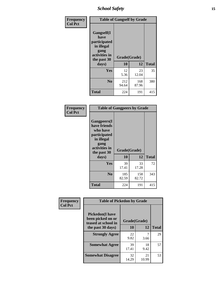*School Safety* **15**

| Frequency      | <b>Table of Gangself by Grade</b>                                                                 |                    |              |              |  |
|----------------|---------------------------------------------------------------------------------------------------|--------------------|--------------|--------------|--|
| <b>Col Pct</b> | Gangself(I<br>have<br>participated<br>in illegal<br>gang<br>activities in<br>the past 30<br>days) | Grade(Grade)<br>10 | 12           | <b>Total</b> |  |
|                | Yes                                                                                               | 12<br>5.36         | 23<br>12.04  | 35           |  |
|                | N <sub>0</sub>                                                                                    | 212<br>94.64       | 168<br>87.96 | 380          |  |
|                | <b>Total</b>                                                                                      | 224                | 191          | 415          |  |

| Frequency<br><b>Col Pct</b> | <b>Table of Gangpeers by Grade</b>                                                                                             |                    |              |              |  |  |  |  |  |  |
|-----------------------------|--------------------------------------------------------------------------------------------------------------------------------|--------------------|--------------|--------------|--|--|--|--|--|--|
|                             | <b>Gangpeers</b> (I<br>have friends<br>who have<br>participated<br>in illegal<br>gang<br>activities in<br>the past 30<br>days) | Grade(Grade)<br>10 | 12           | <b>Total</b> |  |  |  |  |  |  |
|                             | <b>Yes</b>                                                                                                                     | 39<br>17.41        | 33<br>17.28  | 72           |  |  |  |  |  |  |
|                             | N <sub>0</sub>                                                                                                                 | 185<br>82.59       | 158<br>82.72 | 343          |  |  |  |  |  |  |
|                             | <b>Total</b>                                                                                                                   | 224                | 191          | 415          |  |  |  |  |  |  |

| Frequency      | <b>Table of Pickedon by Grade</b>                                                       |                    |              |    |  |  |  |  |  |
|----------------|-----------------------------------------------------------------------------------------|--------------------|--------------|----|--|--|--|--|--|
| <b>Col Pct</b> | <b>Pickedon(I have</b><br>been picked on or<br>teased at school in<br>the past 30 days) | Grade(Grade)<br>10 | <b>Total</b> |    |  |  |  |  |  |
|                | <b>Strongly Agree</b>                                                                   | 22<br>9.82         | 12<br>3.66   | 29 |  |  |  |  |  |
|                | <b>Somewhat Agree</b>                                                                   | 39<br>17.41        | 18<br>9.42   | 57 |  |  |  |  |  |
|                | <b>Somewhat Disagree</b>                                                                | 32<br>14.29        | 21<br>10.99  | 53 |  |  |  |  |  |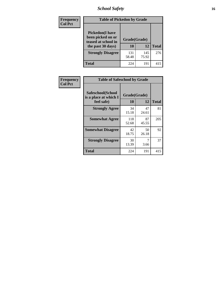# *School Safety* **16**

| <b>Frequency</b> | <b>Table of Pickedon by Grade</b>                                                                                    |                    |              |              |
|------------------|----------------------------------------------------------------------------------------------------------------------|--------------------|--------------|--------------|
| <b>Col Pct</b>   | <b>Pickedon</b> (I have<br>been picked on or<br>teased at school in<br>the past 30 days)<br><b>Strongly Disagree</b> | Grade(Grade)<br>10 | 12           | <b>Total</b> |
|                  |                                                                                                                      | 131<br>58.48       | 145<br>75.92 | 276          |
|                  | Total                                                                                                                | 224                | 191          | 415          |

| Frequency      |                                                          | <b>Table of Safeschool by Grade</b> |              |     |  |  |  |  |  |  |  |
|----------------|----------------------------------------------------------|-------------------------------------|--------------|-----|--|--|--|--|--|--|--|
| <b>Col Pct</b> | Safeschool(School<br>is a place at which I<br>feel safe) | Grade(Grade)<br>10                  | <b>Total</b> |     |  |  |  |  |  |  |  |
|                | <b>Strongly Agree</b>                                    | 34<br>15.18                         | 47<br>24.61  | 81  |  |  |  |  |  |  |  |
|                | <b>Somewhat Agree</b>                                    | 118<br>52.68                        | 87<br>45.55  | 205 |  |  |  |  |  |  |  |
|                | <b>Somewhat Disagree</b>                                 | 42<br>18.75                         | 50<br>26.18  | 92  |  |  |  |  |  |  |  |
|                | <b>Strongly Disagree</b>                                 | 30<br>13.39                         | 3.66         | 37  |  |  |  |  |  |  |  |
|                | <b>Total</b>                                             | 224                                 | 191          | 415 |  |  |  |  |  |  |  |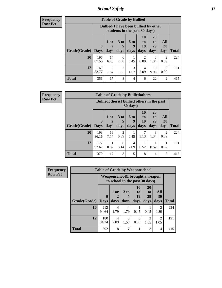*School Safety* **17**

| <b>Table of Grade by Bullied</b> |              |                                                                               |                        |                   |                        |                               |                        |              |  |  |  |
|----------------------------------|--------------|-------------------------------------------------------------------------------|------------------------|-------------------|------------------------|-------------------------------|------------------------|--------------|--|--|--|
|                                  |              | <b>Bullied</b> (I have been bullied by other<br>students in the past 30 days) |                        |                   |                        |                               |                        |              |  |  |  |
| <b>Grade</b> (Grade)   Days      | $\bf{0}$     | $1$ or<br>days                                                                | $3$ to<br>5<br>days    | 6 to<br>9<br>days | 10<br>to<br>19<br>days | <b>20</b><br>to<br>29<br>days | All<br>30<br>days      | <b>Total</b> |  |  |  |
| 10                               | 196<br>87.50 | 14<br>6.25                                                                    | 6<br>2.68              | 0.45              | $\mathfrak{D}$<br>0.89 | 3<br>1.34                     | $\mathfrak{D}$<br>0.89 | 224          |  |  |  |
| 12                               | 160<br>83.77 | 3<br>1.57                                                                     | $\overline{2}$<br>1.05 | 3<br>1.57         | 4<br>2.09              | 19<br>9.95                    | 0<br>0.00              | 191          |  |  |  |
| <b>Total</b>                     | 356          | 17                                                                            | 8                      | 4                 | 6                      | 22                            | $\overline{c}$         | 415          |  |  |  |

| <b>Frequency</b> |
|------------------|
| <b>Row Pct</b>   |

| <b>Table of Grade by Bulliedothers</b> |                             |                                                                |                         |                   |                        |                               |                          |              |  |  |  |
|----------------------------------------|-----------------------------|----------------------------------------------------------------|-------------------------|-------------------|------------------------|-------------------------------|--------------------------|--------------|--|--|--|
|                                        |                             | <b>Bulliedothers</b> (I bullied others in the past<br>30 days) |                         |                   |                        |                               |                          |              |  |  |  |
| Grade(Grade)                           | $\mathbf{0}$<br><b>Days</b> | 1 or<br>$\overline{2}$<br>days                                 | 3 <sub>to</sub><br>days | 6 to<br>g<br>days | 10<br>to<br>19<br>days | <b>20</b><br>to<br>29<br>days | <b>All</b><br>30<br>days | <b>Total</b> |  |  |  |
| 10                                     | 193<br>86.16                | 16<br>7.14                                                     | 2<br>0.89               | 0.45              | 7<br>3.13              | 3<br>1.34                     | $\mathfrak{D}$<br>0.89   | 224          |  |  |  |
| 12                                     | 177<br>92.67                | 0.52                                                           | 6<br>3.14               | 4<br>2.09         | 0.52                   | 0.52                          | 0.52                     | 191          |  |  |  |
| <b>Total</b>                           | 370                         | 17                                                             | 8                       | 5                 | 8                      | 4                             | 3                        | 415          |  |  |  |

| <b>Frequency</b> | <b>Table of Grade by Weaponschool</b> |                                                                    |              |                         |                               |                                           |                        |              |
|------------------|---------------------------------------|--------------------------------------------------------------------|--------------|-------------------------|-------------------------------|-------------------------------------------|------------------------|--------------|
| <b>Row Pct</b>   |                                       | Weaponschool (I brought a weapon<br>to school in the past 30 days) |              |                         |                               |                                           |                        |              |
|                  | Grade(Grade)                          | $\boldsymbol{0}$<br><b>Days</b>                                    | 1 or<br>days | 3 <sub>to</sub><br>days | <b>10</b><br>to<br>19<br>days | <b>20</b><br>t <sub>0</sub><br>29<br>days | All<br>30<br>days      | <b>Total</b> |
|                  | 10                                    | 212<br>94.64                                                       | 4<br>1.79    | 4<br>1.79               | 0.45                          | 0.45                                      | 2<br>0.89              | 224          |
|                  | 12                                    | 180<br>94.24                                                       | 4<br>2.09    | 3<br>1.57               | 0<br>0.00                     | $\mathfrak{D}$<br>1.05                    | $\overline{2}$<br>1.05 | 191          |
|                  | <b>Total</b>                          | 392                                                                | 8            | 7                       |                               | 3                                         | $\overline{4}$         | 415          |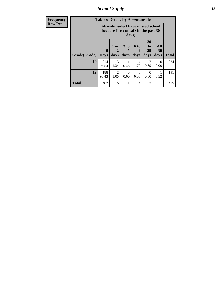*School Safety* **18**

| <b>Frequency</b> | <b>Table of Grade by Absentunsafe</b> |                            |                                                                                    |                              |                   |                               |                   |              |  |  |
|------------------|---------------------------------------|----------------------------|------------------------------------------------------------------------------------|------------------------------|-------------------|-------------------------------|-------------------|--------------|--|--|
| <b>Row Pct</b>   |                                       |                            | Absentunsafe(I have missed school<br>because I felt unsafe in the past 30<br>days) |                              |                   |                               |                   |              |  |  |
|                  | Grade(Grade)                          | $\mathbf 0$<br><b>Days</b> | $1$ or<br>2<br>days                                                                | 3 <sub>to</sub><br>5<br>days | 6 to<br>9<br>days | <b>20</b><br>to<br>29<br>days | All<br>30<br>days | <b>Total</b> |  |  |
|                  | 10                                    | 214<br>95.54               | 3<br>1.34                                                                          | 0.45                         | 4<br>1.79         | $\mathfrak{D}$<br>0.89        | 0<br>0.00         | 224          |  |  |
|                  | 12                                    | 188<br>98.43               | $\mathfrak{D}$<br>1.05                                                             | $\Omega$<br>0.00             | $\Omega$<br>0.00  | $\Omega$<br>0.00              | 0.52              | 191          |  |  |
|                  | <b>Total</b>                          | 402                        | 5                                                                                  |                              | 4                 | 2                             | 1                 | 415          |  |  |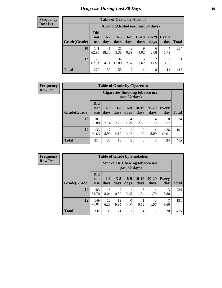# *Drug Use During Last 30 Days* **19**

#### **Frequency Row Pct**

| <b>Table of Grade by Alcohol</b> |                                 |                                     |                 |                        |                 |                   |              |       |  |  |  |
|----------------------------------|---------------------------------|-------------------------------------|-----------------|------------------------|-----------------|-------------------|--------------|-------|--|--|--|
|                                  |                                 | Alcohol (Alcohol use, past 30 days) |                 |                        |                 |                   |              |       |  |  |  |
| Grade(Grade)                     | <b>Did</b><br>not<br><b>use</b> | $1 - 2$<br>days                     | $3 - 5$<br>days | $6-9$<br>days          | $10-19$<br>days | $20 - 29$<br>days | Every<br>day | Total |  |  |  |
| 10                               | 141<br>62.95                    | 41<br>18.30                         | 21<br>9.38      | $\overline{2}$<br>0.89 | 9<br>4.02       | 6<br>2.68         | 4<br>1.79    | 224   |  |  |  |
| 12                               | 129<br>67.54                    | 9<br>4.71                           | 34<br>17.80     | 5<br>2.62              | 5<br>2.62       | 2<br>1.05         | 7<br>3.66    | 191   |  |  |  |
| <b>Total</b>                     | 270                             | 50                                  | 55              | 7                      | 14              | 8                 | 11           | 415   |  |  |  |

#### **Frequency Row Pct**

| <b>Table of Grade by Cigarettes</b> |                                 |                                                   |                 |                 |                 |               |                     |              |  |  |  |
|-------------------------------------|---------------------------------|---------------------------------------------------|-----------------|-----------------|-----------------|---------------|---------------------|--------------|--|--|--|
|                                     |                                 | Cigarettes (Smoking tobacco use,<br>past 30 days) |                 |                 |                 |               |                     |              |  |  |  |
| Grade(Grade)                        | <b>Did</b><br>not<br><b>use</b> | $1 - 2$<br>days                                   | $3 - 5$<br>days | $6 - 9$<br>days | $10-19$<br>days | 20-29<br>days | <b>Every</b><br>day | <b>Total</b> |  |  |  |
| 10                                  | 181<br>80.80                    | 16<br>7.14                                        | 5<br>2.23       | 4<br>1.79       | 6<br>2.68       | 4<br>1.79     | 8<br>3.57           | 224          |  |  |  |
| 12                                  | 133<br>69.63                    | 17<br>8.90                                        | 8<br>4.19       | 0.52            | 2<br>1.05       | 4<br>2.09     | 26<br>13.61         | 191          |  |  |  |
| <b>Total</b>                        | 314                             | 33                                                | 13              | 5               | 8               | 8             | 34                  | 415          |  |  |  |

| <b>Table of Grade by Smokeless</b> |                                 |                                                         |                        |                  |                 |                   |              |              |  |  |  |
|------------------------------------|---------------------------------|---------------------------------------------------------|------------------------|------------------|-----------------|-------------------|--------------|--------------|--|--|--|
|                                    |                                 | <b>Smokeless</b> (Chewing tobacco use,<br>past 30 days) |                        |                  |                 |                   |              |              |  |  |  |
| Grade(Grade)                       | <b>Did</b><br>not<br><b>use</b> | $1 - 2$<br>days                                         | $3 - 5$<br>days        | $6-9$<br>days    | $10-19$<br>days | $20 - 29$<br>days | Every<br>day | <b>Total</b> |  |  |  |
| 10                                 | 183<br>81.70                    | 18<br>8.04                                              | $\overline{c}$<br>0.89 | 0.45             | 3<br>1.34       | 4<br>1.79         | 13<br>5.80   | 224          |  |  |  |
| 12                                 | 149<br>78.01                    | 12<br>6.28                                              | 19<br>9.95             | $\Omega$<br>0.00 | 0.52            | 3<br>1.57         | 3.66         | 191          |  |  |  |
| <b>Total</b>                       | 332                             | 30                                                      | 21                     |                  | 4               | 7                 | 20           | 415          |  |  |  |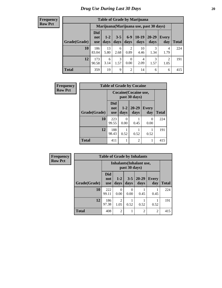| <b>Table of Grade by Marijuana</b> |                                 |                                         |                 |                        |                 |               |                        |       |  |
|------------------------------------|---------------------------------|-----------------------------------------|-----------------|------------------------|-----------------|---------------|------------------------|-------|--|
|                                    |                                 | Marijuana (Marijuana use, past 30 days) |                 |                        |                 |               |                        |       |  |
| Grade(Grade)                       | <b>Did</b><br>not<br><b>use</b> | $1 - 2$<br>days                         | $3 - 5$<br>days | $6-9$<br>days          | $10-19$<br>days | 20-29<br>days | Every<br>day           | Total |  |
| 10                                 | 186<br>83.04                    | 13<br>5.80                              | 6<br>2.68       | $\overline{2}$<br>0.89 | 10<br>4.46      | 3<br>1.34     | 4<br>1.79              | 224   |  |
| 12                                 | 173<br>90.58                    | 6<br>3.14                               | 3<br>1.57       | $\theta$<br>0.00       | 4<br>2.09       | 3<br>1.57     | $\overline{2}$<br>1.05 | 191   |  |
| <b>Total</b>                       | 359                             | 19                                      | 9               | $\overline{2}$         | 14              | 6             | 6                      | 415   |  |

| Frequency      | <b>Table of Grade by Cocaine</b> |                                 |                  |                   |                     |              |
|----------------|----------------------------------|---------------------------------|------------------|-------------------|---------------------|--------------|
| <b>Row Pct</b> |                                  | Cocaine (Cocaine use,           |                  |                   |                     |              |
|                | Grade(Grade)                     | <b>Did</b><br>not<br><b>use</b> | $1-2$<br>days    | $20 - 29$<br>days | <b>Every</b><br>day | <b>Total</b> |
|                | 10                               | 223<br>99.55                    | $\Omega$<br>0.00 | 0.45              | $\Omega$<br>0.00    | 224          |
|                | 12                               | 188<br>98.43                    | 0.52             | 0.52              | 0.52                | 191          |
|                | <b>Total</b>                     | 411                             |                  | 2                 |                     | 415          |

| Frequency      | <b>Table of Grade by Inhalants</b> |                                 |                |                  |                   |                     |              |
|----------------|------------------------------------|---------------------------------|----------------|------------------|-------------------|---------------------|--------------|
| <b>Row Pct</b> |                                    | <b>Inhalants</b> (Inhalant use, |                |                  |                   |                     |              |
|                | Grade(Grade)                       | <b>Did</b><br>not<br><b>use</b> | $1-2$<br>days  | $3 - 5$<br>days  | $20 - 29$<br>days | <b>Every</b><br>day | <b>Total</b> |
|                | 10                                 | 222<br>99.11                    | 0<br>0.00      | $\Omega$<br>0.00 | 0.45              | 0.45                | 224          |
|                | 12                                 | 186<br>97.38                    | 2<br>1.05      | 0.52             | 0.52              | 0.52                | 191          |
|                | <b>Total</b>                       | 408                             | $\overline{2}$ |                  | $\overline{2}$    | $\overline{2}$      | 415          |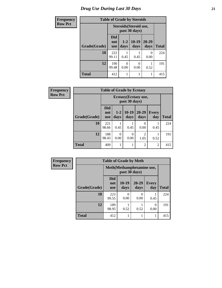# *Drug Use During Last 30 Days* **21**

| <b>Frequency</b> | <b>Table of Grade by Steroids</b> |                          |                                         |                 |                   |              |  |
|------------------|-----------------------------------|--------------------------|-----------------------------------------|-----------------|-------------------|--------------|--|
| <b>Row Pct</b>   |                                   |                          | Steroids (Steroid use,<br>past 30 days) |                 |                   |              |  |
|                  | Grade(Grade)                      | Did<br>not<br><b>use</b> | $1 - 2$<br>days                         | $10-19$<br>days | $20 - 29$<br>days | <b>Total</b> |  |
|                  | 10                                | 222<br>99.11             | 0.45                                    | 0.45            | 0<br>0.00         | 224          |  |
|                  | 12                                | 190<br>99.48             | 0<br>0.00                               | 0<br>0.00       | 0.52              | 191          |  |
|                  | <b>Total</b>                      | 412                      |                                         |                 | 1                 | 415          |  |

| Frequency      | <b>Table of Grade by Ecstasy</b> |                                 |                  |                                        |                        |                     |       |  |
|----------------|----------------------------------|---------------------------------|------------------|----------------------------------------|------------------------|---------------------|-------|--|
| <b>Row Pct</b> |                                  |                                 |                  | Ecstasy (Ecstasy use,<br>past 30 days) |                        |                     |       |  |
|                | Grade(Grade)                     | <b>Did</b><br>not<br><b>use</b> | $1 - 2$<br>days  | $10-19$<br>days                        | $20 - 29$<br>days      | <b>Every</b><br>day | Total |  |
|                | 10                               | 221<br>98.66                    | 0.45             | 0.45                                   | $\mathcal{O}$<br>0.00  | 0.45                | 224   |  |
|                | 12                               | 188<br>98.43                    | $\theta$<br>0.00 | 0<br>0.00                              | $\overline{c}$<br>1.05 | 0.52                | 191   |  |
|                | <b>Total</b>                     | 409                             | 1                | 1                                      | $\overline{2}$         | 2                   | 415   |  |

| <b>Frequency</b> | <b>Table of Grade by Meth</b> |                                             |               |                   |                     |              |  |
|------------------|-------------------------------|---------------------------------------------|---------------|-------------------|---------------------|--------------|--|
| <b>Row Pct</b>   |                               | Meth (Methamphetamine use,<br>past 30 days) |               |                   |                     |              |  |
|                  | Grade(Grade)                  | <b>Did</b><br>not<br><b>use</b>             | 10-19<br>days | $20 - 29$<br>days | <b>Every</b><br>day | <b>Total</b> |  |
|                  | 10                            | 223<br>99.55                                | 0<br>0.00     | 0<br>0.00         | 0.45                | 224          |  |
|                  | 12                            | 189<br>98.95                                | 0.52          | 0.52              | 0<br>0.00           | 191          |  |
|                  | <b>Total</b>                  | 412                                         |               |                   |                     | 415          |  |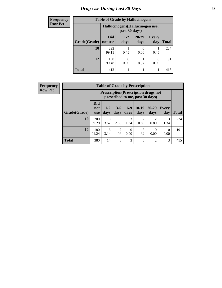# *Drug Use During Last 30 Days* **22**

| <b>Frequency</b> |              | <b>Table of Grade by Hallucinogens</b> |                                                   |                   |                     |              |  |  |
|------------------|--------------|----------------------------------------|---------------------------------------------------|-------------------|---------------------|--------------|--|--|
| <b>Row Pct</b>   |              |                                        | Hallucinogens (Hallucinogen use,<br>past 30 days) |                   |                     |              |  |  |
|                  | Grade(Grade) | <b>Did</b><br>not use                  | $1 - 2$<br>days                                   | $20 - 29$<br>days | <b>Every</b><br>day | <b>Total</b> |  |  |
|                  | 10           | 222<br>99.11                           | 0.45                                              | 0.00              | 0.45                | 224          |  |  |
|                  | 12           | 190<br>99.48                           | 0.00                                              | 0.52              | 0.00                | 191          |  |  |
|                  | <b>Total</b> | 412                                    |                                                   | 1                 |                     | 415          |  |  |

| Frequency      | <b>Table of Grade by Prescription</b> |                                 |                                                                                |                 |                  |                        |                   |                     |              |  |
|----------------|---------------------------------------|---------------------------------|--------------------------------------------------------------------------------|-----------------|------------------|------------------------|-------------------|---------------------|--------------|--|
| <b>Row Pct</b> |                                       |                                 | <b>Prescription</b> (Prescription drugs not<br>prescribed to me, past 30 days) |                 |                  |                        |                   |                     |              |  |
|                | Grade(Grade)                          | <b>Did</b><br>not<br><b>use</b> | $1 - 2$<br>days                                                                | $3 - 5$<br>days | $6-9$<br>days    | $10-19$<br>days        | $20 - 29$<br>days | <b>Every</b><br>day | <b>Total</b> |  |
|                | 10                                    | 200<br>89.29                    | 8<br>3.57                                                                      | 6<br>2.68       | 3<br>1.34        | $\mathfrak{D}$<br>0.89 | 0.89              | 3<br>1.34           | 224          |  |
|                | 12                                    | 180<br>94.24                    | 6<br>3.14                                                                      | 2<br>1.05       | $\Omega$<br>0.00 | 3<br>1.57              | $\Omega$<br>0.00  | 0.00                | 191          |  |
|                | <b>Total</b>                          | 380                             | 14                                                                             | 8               | 3                | 5                      | $\overline{2}$    | 3                   | 415          |  |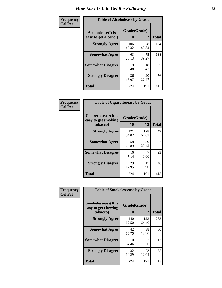| Frequency      | <b>Table of Alcoholease by Grade</b>              |                    |              |     |  |  |  |
|----------------|---------------------------------------------------|--------------------|--------------|-----|--|--|--|
| <b>Col Pct</b> | <b>Alcoholease</b> (It is<br>easy to get alcohol) | Grade(Grade)<br>10 | <b>Total</b> |     |  |  |  |
|                | <b>Strongly Agree</b>                             | 106<br>47.32       | 78<br>40.84  | 184 |  |  |  |
|                | <b>Somewhat Agree</b>                             | 63<br>28.13        | 75<br>39.27  | 138 |  |  |  |
|                | <b>Somewhat Disagree</b>                          | 19<br>8.48         | 18<br>9.42   | 37  |  |  |  |
|                | <b>Strongly Disagree</b>                          | 36<br>16.07        | 20<br>10.47  | 56  |  |  |  |
|                | <b>Total</b>                                      | 224                | 191          | 415 |  |  |  |

| <b>Frequency</b> |      |
|------------------|------|
| <b>Col Pct</b>   | <br> |

| <b>Table of Cigarettesease by Grade</b>                 |                    |              |              |  |  |  |  |
|---------------------------------------------------------|--------------------|--------------|--------------|--|--|--|--|
| Cigarettesease(It is<br>easy to get smoking<br>tobacco) | Grade(Grade)<br>10 | 12           | <b>Total</b> |  |  |  |  |
| <b>Strongly Agree</b>                                   | 121<br>54.02       | 128<br>67.02 | 249          |  |  |  |  |
| <b>Somewhat Agree</b>                                   | 58<br>25.89        | 39<br>20.42  | 97           |  |  |  |  |
| <b>Somewhat Disagree</b>                                | 16<br>7.14         | 3.66         | 23           |  |  |  |  |
| <b>Strongly Disagree</b>                                | 29<br>12.95        | 17<br>8.90   | 46           |  |  |  |  |
| <b>Total</b>                                            | 224                | 191          | 415          |  |  |  |  |

| Frequency      | <b>Table of Smokelessease by Grade</b>             |              |              |              |
|----------------|----------------------------------------------------|--------------|--------------|--------------|
| <b>Col Pct</b> | <b>Smokelessease</b> (It is<br>easy to get chewing | Grade(Grade) |              |              |
|                | tobacco)                                           | 10           | 12           | <b>Total</b> |
|                | <b>Strongly Agree</b>                              | 140<br>62.50 | 123<br>64.40 | 263          |
|                | <b>Somewhat Agree</b>                              | 42<br>18.75  | 38<br>19.90  | 80           |
|                | <b>Somewhat Disagree</b>                           | 10<br>4.46   | 7<br>3.66    | 17           |
|                | <b>Strongly Disagree</b>                           | 32<br>14.29  | 23<br>12.04  | 55           |
|                | <b>Total</b>                                       | 224          | 191          | 415          |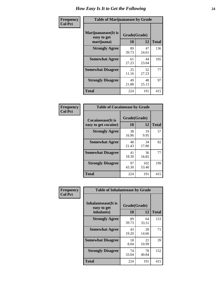| Frequency      | <b>Table of Marijuanaease by Grade</b>           |                           |              |     |  |  |  |  |  |
|----------------|--------------------------------------------------|---------------------------|--------------|-----|--|--|--|--|--|
| <b>Col Pct</b> | Marijuanaease(It is<br>easy to get<br>marijuana) | Grade(Grade)<br><b>10</b> | <b>Total</b> |     |  |  |  |  |  |
|                | <b>Strongly Agree</b>                            | 89<br>39.73               | 47<br>24.61  | 136 |  |  |  |  |  |
|                | <b>Somewhat Agree</b>                            | 61<br>27.23               | 44<br>23.04  | 105 |  |  |  |  |  |
|                | <b>Somewhat Disagree</b>                         | 25<br>11.16               | 52<br>27.23  | 77  |  |  |  |  |  |
|                | <b>Strongly Disagree</b>                         | 49<br>21.88               | 48<br>25.13  | 97  |  |  |  |  |  |
|                | <b>Total</b>                                     | 224                       | 191          | 415 |  |  |  |  |  |

| <b>Table of Cocaineease by Grade</b>              |                    |              |     |  |  |  |  |  |  |  |
|---------------------------------------------------|--------------------|--------------|-----|--|--|--|--|--|--|--|
| <b>Cocaineease</b> (It is<br>easy to get cocaine) | Grade(Grade)<br>10 | <b>Total</b> |     |  |  |  |  |  |  |  |
| <b>Strongly Agree</b>                             | 38<br>16.96        | 19<br>9.95   | 57  |  |  |  |  |  |  |  |
| <b>Somewhat Agree</b>                             | 48<br>21.43        | 34<br>17.80  | 82  |  |  |  |  |  |  |  |
| <b>Somewhat Disagree</b>                          | 41<br>18.30        | 36<br>18.85  | 77  |  |  |  |  |  |  |  |
| <b>Strongly Disagree</b>                          | 97<br>43.30        | 102<br>53.40 | 199 |  |  |  |  |  |  |  |
| <b>Total</b>                                      | 224                | 191          | 415 |  |  |  |  |  |  |  |

| Frequency      | <b>Table of Inhalantsease by Grade</b>     |              |             |              |  |  |  |  |  |  |
|----------------|--------------------------------------------|--------------|-------------|--------------|--|--|--|--|--|--|
| <b>Col Pct</b> | <b>Inhalantsease</b> (It is<br>easy to get | Grade(Grade) |             |              |  |  |  |  |  |  |
|                | inhalants)                                 | 10           | 12          | <b>Total</b> |  |  |  |  |  |  |
|                | <b>Strongly Agree</b>                      | 89<br>39.73  | 64<br>33.51 | 153          |  |  |  |  |  |  |
|                | <b>Somewhat Agree</b>                      | 43<br>19.20  | 28<br>14.66 | 71           |  |  |  |  |  |  |
|                | <b>Somewhat Disagree</b>                   | 18<br>8.04   | 21<br>10.99 | 39           |  |  |  |  |  |  |
|                | <b>Strongly Disagree</b>                   | 74<br>33.04  | 78<br>40.84 | 152          |  |  |  |  |  |  |
|                | <b>Total</b>                               | 224          | 191         | 415          |  |  |  |  |  |  |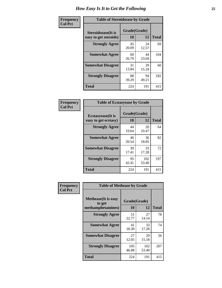| Frequency      | <b>Table of Steroidsease by Grade</b>               |                    |              |     |  |  |  |  |  |
|----------------|-----------------------------------------------------|--------------------|--------------|-----|--|--|--|--|--|
| <b>Col Pct</b> | <b>Steroidsease</b> (It is<br>easy to get steroids) | Grade(Grade)<br>10 | <b>Total</b> |     |  |  |  |  |  |
|                | <b>Strongly Agree</b>                               | 45<br>20.09        | 24<br>12.57  | 69  |  |  |  |  |  |
|                | <b>Somewhat Agree</b>                               | 60<br>26.79        | 44<br>23.04  | 104 |  |  |  |  |  |
|                | <b>Somewhat Disagree</b>                            | 31<br>13.84        | 29<br>15.18  | 60  |  |  |  |  |  |
|                | <b>Strongly Disagree</b>                            | 88<br>39.29        | 94<br>49.21  | 182 |  |  |  |  |  |
|                | Total                                               | 224                | 191          | 415 |  |  |  |  |  |

| Frequency      | <b>Table of Ecstasyease by Grade</b>              |                    |              |     |  |  |  |  |  |
|----------------|---------------------------------------------------|--------------------|--------------|-----|--|--|--|--|--|
| <b>Col Pct</b> | <b>Ecstasyease</b> (It is<br>easy to get ecstasy) | Grade(Grade)<br>10 | <b>Total</b> |     |  |  |  |  |  |
|                | <b>Strongly Agree</b>                             | 44<br>19.64        | 20<br>10.47  | 64  |  |  |  |  |  |
|                | <b>Somewhat Agree</b>                             | 46<br>20.54        | 36<br>18.85  | 82  |  |  |  |  |  |
|                | <b>Somewhat Disagree</b>                          | 39<br>17.41        | 33<br>17.28  | 72  |  |  |  |  |  |
|                | <b>Strongly Disagree</b>                          | 95<br>42.41        | 102<br>53.40 | 197 |  |  |  |  |  |
|                | <b>Total</b>                                      | 224                | 191          | 415 |  |  |  |  |  |

| Frequency      | <b>Table of Methease by Grade</b>                          |                    |              |              |  |  |  |  |  |  |
|----------------|------------------------------------------------------------|--------------------|--------------|--------------|--|--|--|--|--|--|
| <b>Col Pct</b> | <b>Methease</b> (It is easy<br>to get<br>methamphetamines) | Grade(Grade)<br>10 | 12           | <b>Total</b> |  |  |  |  |  |  |
|                | <b>Strongly Agree</b>                                      | 51<br>22.77        | 27<br>14.14  | 78           |  |  |  |  |  |  |
|                | <b>Somewhat Agree</b>                                      | 41<br>18.30        | 33<br>17.28  | 74           |  |  |  |  |  |  |
|                | <b>Somewhat Disagree</b>                                   | 27<br>12.05        | 29<br>15.18  | 56           |  |  |  |  |  |  |
|                | <b>Strongly Disagree</b>                                   | 105<br>46.88       | 102<br>53.40 | 207          |  |  |  |  |  |  |
|                | Total                                                      | 224                | 191          | 415          |  |  |  |  |  |  |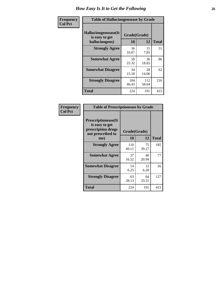| <b>Frequency</b> | <b>Table of Hallucinogensease by Grade</b>               |                    |              |              |  |  |  |  |  |
|------------------|----------------------------------------------------------|--------------------|--------------|--------------|--|--|--|--|--|
| <b>Col Pct</b>   | Hallucinogensease(It<br>is easy to get<br>hallucinogens) | Grade(Grade)<br>10 | 12           | <b>Total</b> |  |  |  |  |  |
|                  | <b>Strongly Agree</b>                                    | 36<br>16.07        | 15<br>7.85   | 51           |  |  |  |  |  |
|                  | <b>Somewhat Agree</b>                                    | 50<br>22.32        | 36<br>18.85  | 86           |  |  |  |  |  |
|                  | <b>Somewhat Disagree</b>                                 | 34<br>15.18        | 28<br>14.66  | 62           |  |  |  |  |  |
|                  | <b>Strongly Disagree</b>                                 | 104<br>46.43       | 112<br>58.64 | 216          |  |  |  |  |  |
|                  | <b>Total</b>                                             | 224                | 191          | 415          |  |  |  |  |  |

| Frequency<br>Col Pct |
|----------------------|
|                      |

| <b>Table of Prescriptionease by Grade</b>                                                |              |              |              |  |  |  |  |  |  |  |
|------------------------------------------------------------------------------------------|--------------|--------------|--------------|--|--|--|--|--|--|--|
| <b>Prescriptionease</b> (It<br>is easy to get<br>prescription drugs<br>not prescribed to |              | Grade(Grade) |              |  |  |  |  |  |  |  |
| me)                                                                                      | 10           | 12           | <b>Total</b> |  |  |  |  |  |  |  |
| <b>Strongly Agree</b>                                                                    | 110<br>49.11 | 75<br>39.27  | 185          |  |  |  |  |  |  |  |
| <b>Somewhat Agree</b>                                                                    | 37<br>16.52  | 40<br>20.94  | 77           |  |  |  |  |  |  |  |
| <b>Somewhat Disagree</b>                                                                 | 14<br>6.25   | 12<br>6.28   | 26           |  |  |  |  |  |  |  |
| <b>Strongly Disagree</b>                                                                 | 63<br>28.13  | 64<br>33.51  | 127          |  |  |  |  |  |  |  |
| Total                                                                                    | 224          | 191          | 415          |  |  |  |  |  |  |  |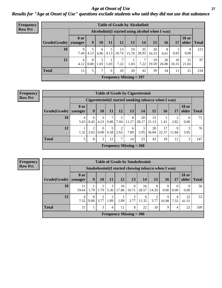*Age at Onset of Use* **27** *Results for "Age at Onset of Use" questions exclude students who said they did not use that substance*

| <b>Frequency</b> | <b>Table of Grade by Alcoholinit</b> |                        |                                                  |           |           |                       |                           |             |             |             |             |                  |             |
|------------------|--------------------------------------|------------------------|--------------------------------------------------|-----------|-----------|-----------------------|---------------------------|-------------|-------------|-------------|-------------|------------------|-------------|
| <b>Row Pct</b>   |                                      |                        | Alcoholinit (I started using alcohol when I was) |           |           |                       |                           |             |             |             |             |                  |             |
|                  | Grade(Grade)                         | <b>8 or</b><br>younger | 9                                                | 10        | 11        | 12                    | 13                        | 14          | 15          | 16          | 17          | <b>18 or</b>     | older Total |
|                  | 10                                   | 9<br>7.44              | 4.13                                             | 6<br>4.96 | 5<br>4.13 | 13<br>10.74           | 19<br>15.70               | 35<br>28.93 | 20<br>16.53 | 8<br>6.61   | 0.83        | $\Omega$<br>0.00 | 121         |
|                  | 12                                   | 4<br>4.12              | $\Omega$<br>$0.00\,$                             | 1.03      | 1.03      | $\mathcal{I}$<br>7.22 | 1.03                      | 7.22        | 19<br>19.59 | 26<br>26.80 | 10<br>10.31 | 21<br>21.65      | 97          |
|                  | <b>Total</b>                         | 13                     | 5                                                | 7         | 6         | 20                    | 20                        | 42          | 39          | 34          | 11          | 21               | 218         |
|                  |                                      |                        |                                                  |           |           |                       | Frequency Missing $= 197$ |             |             |             |             |                  |             |

| Frequency<br>Row Pct |
|----------------------|
|                      |

| <b>Table of Grade by Cigarettesinit</b> |                 |                                                      |                  |           |                        |            |             |             |             |            |                       |              |
|-----------------------------------------|-----------------|------------------------------------------------------|------------------|-----------|------------------------|------------|-------------|-------------|-------------|------------|-----------------------|--------------|
|                                         |                 | Cigarettesinit(I started smoking tobacco when I was) |                  |           |                        |            |             |             |             |            |                       |              |
| Grade(Grade)                            | 8 or<br>younger | 9                                                    | <b>10</b>        | 11        | 12                     | 13         | 14          | 15          | 16          | 17         | <b>18 or</b><br>older | <b>Total</b> |
| 10                                      | 4<br>5.63       | 6<br>8.45                                            | 3<br>4.23        | 7<br>9.86 | 5<br>7.04              | 8<br>11.27 | 20<br>28.17 | 15<br>21.13 | 1.41        | 2<br>2.82  | $\theta$<br>0.00      | 71           |
| 12                                      | 1.32            | 2<br>2.63                                            | $\Omega$<br>0.00 | 5<br>6.58 | $\overline{2}$<br>2.63 | 6<br>7.89  | 3<br>3.95   | 28<br>36.84 | 17<br>22.37 | 9<br>11.84 | 3<br>3.95             | 76           |
| <b>Total</b>                            | 5               | 8                                                    | 3                | 12        | 7                      | 14         | 23          | 43          | 18          | 11         | 3                     | 147          |
|                                         |                 | Frequency Missing $= 268$                            |                  |           |                        |            |             |             |             |            |                       |              |

| <b>Table of Grade by Smokelessinit</b>                                                        |                           |                                                     |           |           |             |            |             |                        |                  |                        |                       |              |
|-----------------------------------------------------------------------------------------------|---------------------------|-----------------------------------------------------|-----------|-----------|-------------|------------|-------------|------------------------|------------------|------------------------|-----------------------|--------------|
|                                                                                               |                           | Smokelessinit(I started chewing tobacco when I was) |           |           |             |            |             |                        |                  |                        |                       |              |
| Grade(Grade)   younger                                                                        | 8 or                      | 9                                                   | 10        | 11        | 12          | 13         | 14          | 15                     | <b>16</b>        | 17                     | <b>18 or</b><br>older | <b>Total</b> |
| 10                                                                                            | 11<br>19.64               | 1.79                                                | 1.79      | 3<br>5.36 | 10<br>17.86 | 6<br>10.71 | 16<br>28.57 | 8<br>14.29             | $\theta$<br>0.00 | $\theta$<br>0.00       | $\theta$<br>0.00      | 56           |
| 12                                                                                            | 4<br>7.55                 | $\Omega$<br>0.00                                    | 2<br>3.77 | 1.89      | 1.89        | 2<br>3.77  | 6<br>11.32  | $\mathfrak{D}$<br>3.77 | 9<br>16.98       | $\overline{4}$<br>7.55 | 22<br>41.51           | 53           |
| <b>Total</b><br>3<br>8<br>22<br>15<br>10<br>9<br>22<br>11<br>$\overline{4}$<br>$\overline{4}$ |                           |                                                     |           |           |             |            |             |                        |                  |                        | 109                   |              |
|                                                                                               | Frequency Missing $=$ 306 |                                                     |           |           |             |            |             |                        |                  |                        |                       |              |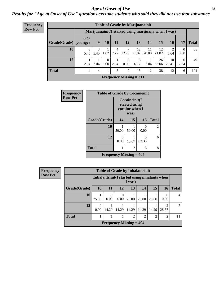#### *Age at Onset of Use* **28**

*Results for "Age at Onset of Use" questions exclude students who said they did not use that substance*

| <b>Frequency</b> | <b>Table of Grade by Marijuanainit</b> |             |           |      |                        |                            |             |             |             |                                                      |                  |              |
|------------------|----------------------------------------|-------------|-----------|------|------------------------|----------------------------|-------------|-------------|-------------|------------------------------------------------------|------------------|--------------|
| <b>Row Pct</b>   |                                        |             |           |      |                        |                            |             |             |             | Marijuanainit (I started using marijuana when I was) |                  |              |
|                  | Grade(Grade)   younger                 | <b>8</b> or | 9         | 10   | 11                     | 12                         | 13          | 14          | 15          | 16                                                   | 17               | <b>Total</b> |
|                  | 10                                     | 5.45        | 3<br>5.45 | 1.82 | $\overline{4}$<br>7.27 | 7<br>12.73                 | 12<br>21.82 | 11<br>20.00 | 12<br>21.82 | 3.64                                                 | $\theta$<br>0.00 | 55           |
|                  | 12                                     | 2.04        | 2.04      | 0.00 | 2.04                   | $\overline{0}$<br>$0.00\,$ | 3<br>6.12   | 2.04        | 26<br>53.06 | 10<br>20.41                                          | 6<br>12.24       | 49           |
|                  | <b>Total</b>                           | 4           | 4         |      | 5                      | 7                          | 15          | 12          | 38          | 12                                                   | 6                | 104          |
|                  |                                        |             |           |      |                        | Frequency Missing $= 311$  |             |             |             |                                                      |                  |              |

| <b>Frequency</b> | <b>Table of Grade by Cocaineinit</b>        |                           |                                                          |            |                |  |  |  |  |
|------------------|---------------------------------------------|---------------------------|----------------------------------------------------------|------------|----------------|--|--|--|--|
| <b>Row Pct</b>   |                                             |                           | Cocaineinit(I<br>started using<br>cocaine when I<br>was) |            |                |  |  |  |  |
|                  | Grade(Grade)                                | 14                        | 15                                                       | 16         | <b>Total</b>   |  |  |  |  |
|                  | 10                                          | 50.00                     | 50.00                                                    | 0.00       | $\overline{2}$ |  |  |  |  |
|                  | 12                                          | $\mathbf{\Omega}$<br>0.00 | 16.67                                                    | 5<br>83.33 | 6              |  |  |  |  |
|                  | <b>Total</b>                                |                           | 2                                                        | 5          | 8              |  |  |  |  |
|                  | <b>Frequency Missing <math>= 407</math></b> |                           |                                                          |            |                |  |  |  |  |

**Frequency Row Pct**

|                                               | <b>Table of Grade by Inhalantsinit</b>                  |                                                    |      |                           |       |       |      |  |  |  |
|-----------------------------------------------|---------------------------------------------------------|----------------------------------------------------|------|---------------------------|-------|-------|------|--|--|--|
|                                               | Inhalantsinit (I started using inhalants when<br>I was) |                                                    |      |                           |       |       |      |  |  |  |
| Grade(Grade)                                  | <b>10</b>                                               | 15<br>13<br><b>16</b><br>11<br>12<br>14            |      |                           |       |       |      |  |  |  |
| <b>10</b>                                     | 25.00                                                   | $\Omega$<br>0.00                                   | 0.00 | 25.00                     | 25.00 | 25.00 | 0.00 |  |  |  |
| 12                                            | $\Omega$<br>0.00                                        | 14.29<br>14.29<br>14.29<br>14.29<br>14.29<br>28.57 |      |                           |       |       |      |  |  |  |
| <b>Total</b><br>2<br>$\overline{2}$<br>2<br>2 |                                                         |                                                    |      |                           |       |       |      |  |  |  |
|                                               |                                                         |                                                    |      | Frequency Missing $= 404$ |       |       |      |  |  |  |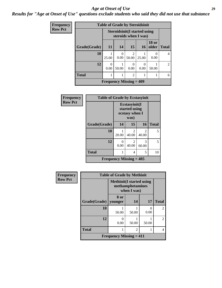#### *Age at Onset of Use* **29**

### *Results for "Age at Onset of Use" questions exclude students who said they did not use that substance*

| Frequency      |              | <b>Table of Grade by Steroidsinit</b> |           |                                                              |                           |                           |                             |  |  |
|----------------|--------------|---------------------------------------|-----------|--------------------------------------------------------------|---------------------------|---------------------------|-----------------------------|--|--|
| <b>Row Pct</b> |              |                                       |           | <b>Steroidsinit (I started using</b><br>steroids when I was) |                           |                           |                             |  |  |
|                | Grade(Grade) | 11                                    | 14        | 15                                                           | <b>16</b>                 | <b>18 or</b><br>older     | <b>Total</b>                |  |  |
|                | 10           | 25.00                                 | 0<br>0.00 | $\mathfrak{D}$<br>50.00                                      | 25.00                     | $\mathbf{\Omega}$<br>0.00 | 4                           |  |  |
|                | 12           | $\theta$<br>0.00                      | 50.00     | $\theta$<br>0.00                                             | $\mathbf{\Omega}$<br>0.00 | 50.00                     | $\mathcal{D}_{\mathcal{L}}$ |  |  |
|                | <b>Total</b> |                                       |           | $\overline{2}$                                               |                           |                           | 6                           |  |  |
|                |              | Frequency Missing $=$ 409             |           |                                                              |                           |                           |                             |  |  |

| <b>Frequency</b> | <b>Table of Grade by Ecstasyinit</b> |                                                  |            |                                      |              |  |
|------------------|--------------------------------------|--------------------------------------------------|------------|--------------------------------------|--------------|--|
| <b>Row Pct</b>   |                                      | Ecstasyinit(I<br>started using<br>ecstasy when I |            |                                      |              |  |
|                  | Grade(Grade)                         | 14                                               | 15         | 16                                   | <b>Total</b> |  |
|                  | 10                                   | 20.00                                            | 2<br>40.00 | $\mathcal{D}_{\mathcal{L}}$<br>40.00 | 5            |  |
|                  | 12                                   | 0<br>0.00                                        | 2<br>40.00 | 3<br>60.00                           | 5            |  |
|                  | <b>Total</b>                         |                                                  | 4<br>5     |                                      |              |  |
|                  | Frequency Missing $=$ 405            |                                                  |            |                                      |              |  |

| <b>Frequency</b> | <b>Table of Grade by Methinit</b> |                                             |                                 |           |                |  |  |  |  |  |
|------------------|-----------------------------------|---------------------------------------------|---------------------------------|-----------|----------------|--|--|--|--|--|
| <b>Row Pct</b>   |                                   | <b>Methinit</b> (I started using            | methamphetamines<br>when I was) |           |                |  |  |  |  |  |
|                  | Grade(Grade)                      | 8 or<br>vounger                             | 14                              | 17        | <b>Total</b>   |  |  |  |  |  |
|                  | 10                                | 50.00                                       | 50.00                           | 0<br>0.00 | $\mathfrak{D}$ |  |  |  |  |  |
|                  | 12                                | 0<br>0.00                                   | 50.00                           | 50.00     | $\mathfrak{D}$ |  |  |  |  |  |
|                  | <b>Total</b>                      |                                             | $\overline{2}$                  |           | 4              |  |  |  |  |  |
|                  |                                   | <b>Frequency Missing <math>= 411</math></b> |                                 |           |                |  |  |  |  |  |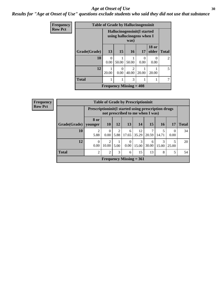#### Age at Onset of Use **30**

*Results for "Age at Onset of Use" questions exclude students who said they did not use that substance*

| <b>Frequency</b> |              |                  | <b>Table of Grade by Hallucinogensinit</b>                         |                         |                           |                           |                |  |  |
|------------------|--------------|------------------|--------------------------------------------------------------------|-------------------------|---------------------------|---------------------------|----------------|--|--|
| <b>Row Pct</b>   |              |                  | Hallucinogensinit (I started<br>using hallucinogens when I<br>was) |                         |                           |                           |                |  |  |
|                  | Grade(Grade) | 13               | 15                                                                 | 16                      | 17                        | <b>18 or</b><br>older     | <b>Total</b>   |  |  |
|                  | 10           | $\Omega$<br>0.00 | 50.00                                                              | 50.00                   | $\mathbf{\Omega}$<br>0.00 | $\mathbf{\Omega}$<br>0.00 | $\mathfrak{D}$ |  |  |
|                  | 12           | 20.00            | $\Omega$<br>0.00                                                   | $\mathfrak{D}$<br>40.00 | 20.00                     | 20.00                     | 5              |  |  |
|                  | <b>Total</b> |                  |                                                                    | 3                       |                           |                           |                |  |  |
|                  |              |                  | Frequency Missing $=$ 408                                          |                         |                           |                           |                |  |  |

| <b>Frequency</b> | <b>Table of Grade by Prescriptioninit</b> |                                                                                          |                         |           |                  |                           |            |            |       |              |
|------------------|-------------------------------------------|------------------------------------------------------------------------------------------|-------------------------|-----------|------------------|---------------------------|------------|------------|-------|--------------|
| <b>Row Pct</b>   |                                           | Prescriptioninit (I started using prescription drugs<br>not prescribed to me when I was) |                         |           |                  |                           |            |            |       |              |
|                  | Grade(Grade)                              | 8 or<br>younger                                                                          | <b>10</b>               | <b>12</b> | <b>13</b>        | 14                        | <b>15</b>  | <b>16</b>  | 17    | <b>Total</b> |
|                  | 10                                        | 2<br>5.88                                                                                | 0<br>0.00               | 2<br>5.88 | 6<br>17.65       | 12<br>35.29               | 20.59      | 14.71      | 0.00  | 34           |
|                  | 12                                        | $\Omega$<br>0.00                                                                         | $\mathfrak{D}$<br>10.00 | 5.00      | $\Omega$<br>0.00 | $\mathcal{F}$<br>15.00    | 6<br>30.00 | 3<br>15.00 | 25.00 | 20           |
|                  | <b>Total</b>                              | 2                                                                                        | $\overline{2}$          | 3         | 6                | 15                        | 13         | 8          | 5     | 54           |
|                  |                                           |                                                                                          |                         |           |                  | Frequency Missing $= 361$ |            |            |       |              |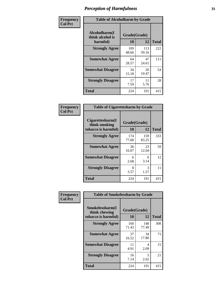| Frequency      | <b>Table of Alcoholharm by Grade</b>          |                    |              |              |  |  |  |  |  |  |
|----------------|-----------------------------------------------|--------------------|--------------|--------------|--|--|--|--|--|--|
| <b>Col Pct</b> | Alcoholharm(I<br>think alcohol is<br>harmful) | Grade(Grade)<br>10 | 12           | <b>Total</b> |  |  |  |  |  |  |
|                | <b>Strongly Agree</b>                         | 109<br>48.66       | 113<br>59.16 | 222          |  |  |  |  |  |  |
|                | <b>Somewhat Agree</b>                         | 64<br>28.57        | 47<br>24.61  | 111          |  |  |  |  |  |  |
|                | <b>Somewhat Disagree</b>                      | 34<br>15.18        | 20<br>10.47  | 54           |  |  |  |  |  |  |
|                | <b>Strongly Disagree</b>                      | 17<br>7.59         | 11<br>5.76   | 28           |  |  |  |  |  |  |
|                | <b>Total</b>                                  | 224                | 191          | 415          |  |  |  |  |  |  |

| <b>Table of Cigarettesharm by Grade</b>                  |                    |              |              |
|----------------------------------------------------------|--------------------|--------------|--------------|
| Cigarettesharm(I<br>think smoking<br>tobacco is harmful) | Grade(Grade)<br>10 | 12           | <b>Total</b> |
| <b>Strongly Agree</b>                                    | 174<br>77.68       | 159<br>83.25 | 333          |
| <b>Somewhat Agree</b>                                    | 36<br>16.07        | 23<br>12.04  | 59           |
| <b>Somewhat Disagree</b>                                 | 6<br>2.68          | 6<br>3.14    | 12           |
| <b>Strongly Disagree</b>                                 | 8<br>3.57          | 3<br>1.57    | 11           |
| <b>Total</b>                                             | 224                | 191          | 415          |

| Frequency      | <b>Table of Smokelessharm by Grade</b>                  |                           |              |              |
|----------------|---------------------------------------------------------|---------------------------|--------------|--------------|
| <b>Col Pct</b> | Smokelessharm(I<br>think chewing<br>tobacco is harmful) | Grade(Grade)<br><b>10</b> | 12           | <b>Total</b> |
|                | <b>Strongly Agree</b>                                   | 160<br>71.43              | 148<br>77.49 | 308          |
|                | <b>Somewhat Agree</b>                                   | 37<br>16.52               | 34<br>17.80  | 71           |
|                | <b>Somewhat Disagree</b>                                | 11<br>4.91                | 4<br>2.09    | 15           |
|                | <b>Strongly Disagree</b>                                | 16<br>7.14                | 5<br>2.62    | 21           |
|                | <b>Total</b>                                            | 224                       | 191          | 415          |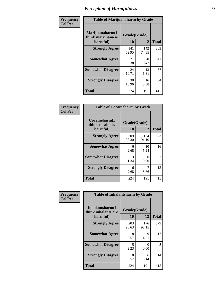| Frequency      | <b>Table of Marijuanaharm by Grade</b>            |                    |              |              |
|----------------|---------------------------------------------------|--------------------|--------------|--------------|
| <b>Col Pct</b> | Marijuanaharm(I<br>think marijuana is<br>harmful) | Grade(Grade)<br>10 | 12           | <b>Total</b> |
|                | <b>Strongly Agree</b>                             | 141<br>62.95       | 142<br>74.35 | 283          |
|                | <b>Somewhat Agree</b>                             | 21<br>9.38         | 20<br>10.47  | 41           |
|                | <b>Somewhat Disagree</b>                          | 24<br>10.71        | 13<br>6.81   | 37           |
|                | <b>Strongly Disagree</b>                          | 38<br>16.96        | 16<br>8.38   | 54           |
|                | <b>Total</b>                                      | 224                | 191          | 415          |

| <b>Table of Cocaineharm by Grade</b>          |                    |              |              |  |
|-----------------------------------------------|--------------------|--------------|--------------|--|
| Cocaineharm(I<br>think cocaine is<br>harmful) | Grade(Grade)<br>10 | 12           | <b>Total</b> |  |
| <b>Strongly Agree</b>                         | 209<br>93.30       | 174<br>91.10 | 383          |  |
| <b>Somewhat Agree</b>                         | 6<br>2.68          | 10<br>5.24   | 16           |  |
| <b>Somewhat Disagree</b>                      | 3<br>1.34          | 0<br>0.00    | 3            |  |
| <b>Strongly Disagree</b>                      | 6<br>2.68          | 7<br>3.66    | 13           |  |
| <b>Total</b>                                  | 224                | 191          | 415          |  |

| Frequency      | <b>Table of Inhalantsharm by Grade</b>             |                    |              |              |
|----------------|----------------------------------------------------|--------------------|--------------|--------------|
| <b>Col Pct</b> | Inhalantsharm(I<br>think inhalants are<br>harmful) | Grade(Grade)<br>10 | 12           | <b>Total</b> |
|                | <b>Strongly Agree</b>                              | 203<br>90.63       | 176<br>92.15 | 379          |
|                | <b>Somewhat Agree</b>                              | 8<br>3.57          | 9<br>4.71    | 17           |
|                | <b>Somewhat Disagree</b>                           | 5<br>2.23          | 0<br>0.00    | 5            |
|                | <b>Strongly Disagree</b>                           | 8<br>3.57          | 6<br>3.14    | 14           |
|                | Total                                              | 224                | 191          | 415          |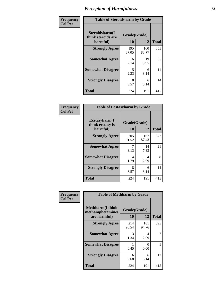| Frequency      | <b>Table of Steroidsharm by Grade</b>            |                    |              |              |
|----------------|--------------------------------------------------|--------------------|--------------|--------------|
| <b>Col Pct</b> | Steroidsharm(I<br>think steroids are<br>harmful) | Grade(Grade)<br>10 | 12           | <b>Total</b> |
|                | <b>Strongly Agree</b>                            | 195<br>87.05       | 160<br>83.77 | 355          |
|                | <b>Somewhat Agree</b>                            | 16<br>7.14         | 19<br>9.95   | 35           |
|                | <b>Somewhat Disagree</b>                         | 5<br>2.23          | 6<br>3.14    | 11           |
|                | <b>Strongly Disagree</b>                         | 8<br>3.57          | 6<br>3.14    | 14           |
|                | <b>Total</b>                                     | 224                | 191          | 415          |

| <b>Table of Ecstasyharm by Grade</b>                |                    |              |     |  |  |
|-----------------------------------------------------|--------------------|--------------|-----|--|--|
| $E$ cstasyharm $(I$<br>think ecstasy is<br>harmful) | Grade(Grade)<br>10 | <b>Total</b> |     |  |  |
| <b>Strongly Agree</b>                               | 205<br>91.52       | 167<br>87.43 | 372 |  |  |
| <b>Somewhat Agree</b>                               | 7<br>3.13          | 14<br>7.33   | 21  |  |  |
| <b>Somewhat Disagree</b>                            | 4<br>1.79          | 4<br>2.09    | 8   |  |  |
| <b>Strongly Disagree</b>                            | 8<br>3.57          | 6<br>3.14    | 14  |  |  |
| Total                                               | 224                | 191          | 415 |  |  |

| Frequency      | <b>Table of Methharm by Grade</b>                            |                           |              |              |
|----------------|--------------------------------------------------------------|---------------------------|--------------|--------------|
| <b>Col Pct</b> | <b>Methharm</b> (I think<br>methamphetamines<br>are harmful) | Grade(Grade)<br><b>10</b> | 12           | <b>Total</b> |
|                | <b>Strongly Agree</b>                                        | 214<br>95.54              | 181<br>94.76 | 395          |
|                | <b>Somewhat Agree</b>                                        | 3<br>1.34                 | 4<br>2.09    |              |
|                | <b>Somewhat Disagree</b>                                     | 0.45                      | 0<br>0.00    |              |
|                | <b>Strongly Disagree</b>                                     | 6<br>2.68                 | 6<br>3.14    | 12           |
|                | Total                                                        | 224                       | 191          | 415          |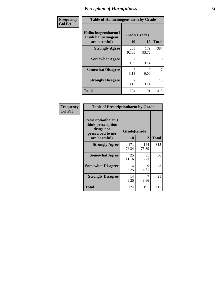| Frequency      | <b>Table of Hallucinogensharm by Grade</b>                 |                       |              |                |
|----------------|------------------------------------------------------------|-----------------------|--------------|----------------|
| <b>Col Pct</b> | Hallucinogensharm(I<br>think hallucinogens<br>are harmful) | Grade(Grade)<br>10    | 12           | <b>Total</b>   |
|                | <b>Strongly Agree</b>                                      | 208<br>92.86          | 179<br>93.72 | 387            |
|                | <b>Somewhat Agree</b>                                      | $\mathcal{L}$<br>0.89 | 6<br>3.14    | 8              |
|                | <b>Somewhat Disagree</b>                                   | 3.13                  | 0<br>0.00    | $\overline{7}$ |
|                | <b>Strongly Disagree</b>                                   | 3.13                  | 6<br>3.14    | 13             |
|                | <b>Total</b>                                               | 224                   | 191          | 415            |

| <b>Table of Prescriptionharm by Grade</b>                                         |              |              |              |  |
|-----------------------------------------------------------------------------------|--------------|--------------|--------------|--|
| <b>Prescriptionharm</b> (I<br>think prescription<br>drugs not<br>prescribed to me | Grade(Grade) |              |              |  |
| are harmful)                                                                      | 10           | 12           | <b>Total</b> |  |
| <b>Strongly Agree</b>                                                             | 171<br>76.34 | 144<br>75.39 | 315          |  |
| <b>Somewhat Agree</b>                                                             | 25<br>11.16  | 31<br>16.23  | 56           |  |
| <b>Somewhat Disagree</b>                                                          | 14<br>6.25   | Q<br>4.71    | 23           |  |
| <b>Strongly Disagree</b>                                                          | 14<br>6.25   | 7<br>3.66    | 21           |  |
| <b>Total</b>                                                                      | 224          | 191          | 415          |  |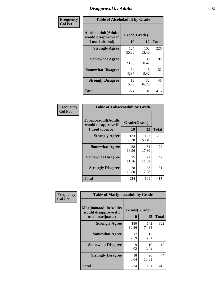# *Disapproval by Adults* **35**

| Frequency      | <b>Table of Alcoholadult by Grade</b>                                 |                    |              |              |
|----------------|-----------------------------------------------------------------------|--------------------|--------------|--------------|
| <b>Col Pct</b> | <b>Alcoholadult</b> (Adults<br>would disapprove if<br>I used alcohol) | Grade(Grade)<br>10 | 12           | <b>Total</b> |
|                | <b>Strongly Agree</b>                                                 | 124<br>55.36       | 102<br>53.40 | 226          |
|                | <b>Somewhat Agree</b>                                                 | 53<br>23.66        | 39<br>20.42  | 92           |
|                | <b>Somewhat Disagree</b>                                              | 34<br>15.18        | 18<br>9.42   | 52           |
|                | <b>Strongly Disagree</b>                                              | 13<br>5.80         | 32<br>16.75  | 45           |
|                | <b>Total</b>                                                          | 224                | 191          | 415          |

| <b>Table of Tobaccoadult by Grade</b>                                 |                    |              |              |  |
|-----------------------------------------------------------------------|--------------------|--------------|--------------|--|
| <b>Tobaccoadult</b> (Adults<br>would disapprove if<br>I used tobacco) | Grade(Grade)<br>10 | 12           | <b>Total</b> |  |
| <b>Strongly Agree</b>                                                 | 133<br>59.38       | 102<br>53.40 | 235          |  |
| <b>Somewhat Agree</b>                                                 | 38<br>16.96        | 34<br>17.80  | 72           |  |
| <b>Somewhat Disagree</b>                                              | 25<br>11.16        | 22<br>11.52  | 47           |  |
| <b>Strongly Disagree</b>                                              | 28<br>12.50        | 33<br>17.28  | 61           |  |
| <b>Total</b>                                                          | 224                | 191          | 415          |  |

| Frequency<br><b>Col Pct</b> | <b>Table of Marijuanaadult by Grade</b>                           |                    |              |              |
|-----------------------------|-------------------------------------------------------------------|--------------------|--------------|--------------|
|                             | Marijuanaadult(Adults<br>would disapprove if I<br>used marijuana) | Grade(Grade)<br>10 | 12           | <b>Total</b> |
|                             | <b>Strongly Agree</b>                                             | 180<br>80.36       | 142<br>74.35 | 322          |
|                             | <b>Somewhat Agree</b>                                             | 17<br>7.59         | 13<br>6.81   | 30           |
|                             | <b>Somewhat Disagree</b>                                          | 9<br>4.02          | 10<br>5.24   | 19           |
|                             | <b>Strongly Disagree</b>                                          | 18<br>8.04         | 26<br>13.61  | 44           |
|                             | <b>Total</b>                                                      | 224                | 191          | 415          |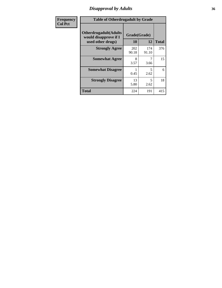### *Disapproval by Adults* **36**

| Frequency      | <b>Table of Otherdrugadult by Grade</b>                                     |                    |              |              |
|----------------|-----------------------------------------------------------------------------|--------------------|--------------|--------------|
| <b>Col Pct</b> | <b>Otherdrugadult</b> (Adults<br>would disapprove if I<br>used other drugs) | Grade(Grade)<br>10 | 12           | <b>Total</b> |
|                | <b>Strongly Agree</b>                                                       | 202<br>90.18       | 174<br>91.10 | 376          |
|                | <b>Somewhat Agree</b>                                                       | 8<br>3.57          | 3.66         | 15           |
|                | <b>Somewhat Disagree</b>                                                    | 0.45               | 5<br>2.62    | 6            |
|                | <b>Strongly Disagree</b>                                                    | 13<br>5.80         | 5<br>2.62    | 18           |
|                | <b>Total</b>                                                                | 224                | 191          | 415          |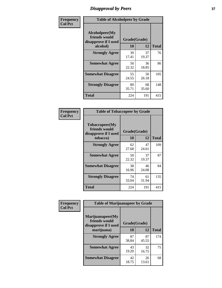# *Disapproval by Peers* **37**

| Frequency      | <b>Table of Alcoholpeer by Grade</b>                    |             |              |              |  |
|----------------|---------------------------------------------------------|-------------|--------------|--------------|--|
| <b>Col Pct</b> | Alcoholpeer(My<br>friends would<br>disapprove if I used |             | Grade(Grade) |              |  |
|                | alcohol)                                                | 10          | 12           | <b>Total</b> |  |
|                | <b>Strongly Agree</b>                                   | 39<br>17.41 | 37<br>19.37  | 76           |  |
|                | <b>Somewhat Agree</b>                                   | 50<br>22.32 | 36<br>18.85  | 86           |  |
|                | <b>Somewhat Disagree</b>                                | 55<br>24.55 | 50<br>26.18  | 105          |  |
|                | <b>Strongly Disagree</b>                                | 80<br>35.71 | 68<br>35.60  | 148          |  |
|                | Total                                                   | 224         | 191          | 415          |  |

| Frequency      | <b>Table of Tobaccopeer by Grade</b>                                |                    |             |              |
|----------------|---------------------------------------------------------------------|--------------------|-------------|--------------|
| <b>Col Pct</b> | Tobaccopeer(My<br>friends would<br>disapprove if I used<br>tobacco) | Grade(Grade)<br>10 | 12          | <b>Total</b> |
|                | <b>Strongly Agree</b>                                               | 62<br>27.68        | 47<br>24.61 | 109          |
|                | <b>Somewhat Agree</b>                                               | 50<br>22.32        | 37<br>19.37 | 87           |
|                | <b>Somewhat Disagree</b>                                            | 38<br>16.96        | 46<br>24.08 | 84           |
|                | <b>Strongly Disagree</b>                                            | 74<br>33.04        | 61<br>31.94 | 135          |
|                | Total                                                               | 224                | 191         | 415          |

| Frequency<br><b>Col Pct</b> | <b>Table of Marijuanapeer by Grade</b>                    |              |             |              |
|-----------------------------|-----------------------------------------------------------|--------------|-------------|--------------|
|                             | Marijuanapeer(My<br>friends would<br>disapprove if I used | Grade(Grade) |             |              |
|                             | marijuana)                                                | 10           | 12          | <b>Total</b> |
|                             | <b>Strongly Agree</b>                                     | 87<br>38.84  | 87<br>45.55 | 174          |
|                             | <b>Somewhat Agree</b>                                     | 43<br>19.20  | 32<br>16.75 | 75           |
|                             | <b>Somewhat Disagree</b>                                  | 42<br>18.75  | 26<br>13.61 | 68           |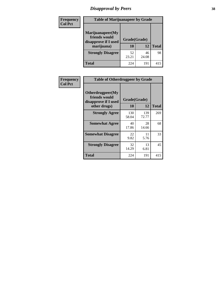# *Disapproval by Peers* **38**

| Frequency<br><b>Col Pct</b> | <b>Table of Marijuanapeer by Grade</b>                                  |                    |             |              |
|-----------------------------|-------------------------------------------------------------------------|--------------------|-------------|--------------|
|                             | Marijuanapeer(My<br>friends would<br>disapprove if I used<br>marijuana) | Grade(Grade)<br>10 | 12          | <b>Total</b> |
|                             | <b>Strongly Disagree</b>                                                | 52<br>23.21        | 46<br>24.08 | 98           |
|                             | Total                                                                   | 224                | 191         | 415          |

| Frequency      | <b>Table of Otherdrugpeer by Grade</b>                                    |                      |              |              |
|----------------|---------------------------------------------------------------------------|----------------------|--------------|--------------|
| <b>Col Pct</b> | Otherdrugpeer(My<br>friends would<br>disapprove if I used<br>other drugs) | Grade(Grade)<br>10   | 12           | <b>Total</b> |
|                | <b>Strongly Agree</b>                                                     | 130                  | 139<br>72.77 | 269          |
|                | <b>Somewhat Agree</b>                                                     | 58.04<br>40<br>17.86 | 28<br>14.66  | 68           |
|                | <b>Somewhat Disagree</b>                                                  | 22<br>9.82           | 11<br>5.76   | 33           |
|                | <b>Strongly Disagree</b>                                                  | 32<br>14.29          | 13<br>6.81   | 45           |
|                | <b>Total</b>                                                              | 224                  | 191          | 415          |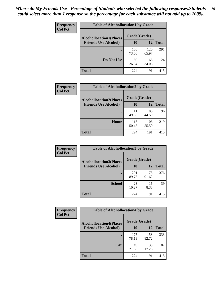| Frequency      | <b>Table of Alcohollocation1 by Grade</b> |              |              |              |
|----------------|-------------------------------------------|--------------|--------------|--------------|
| <b>Col Pct</b> | <b>Alcohollocation1(Places</b>            | Grade(Grade) |              |              |
|                | <b>Friends Use Alcohol)</b>               | 10           | 12           | <b>Total</b> |
|                |                                           | 165<br>73.66 | 126<br>65.97 | 291          |
|                | Do Not Use                                | 59<br>26.34  | 65<br>34.03  | 124          |
|                | <b>Total</b>                              | 224          | 191          | 415          |

| Frequency      | <b>Table of Alcohollocation2 by Grade</b>                     |                    |              |              |
|----------------|---------------------------------------------------------------|--------------------|--------------|--------------|
| <b>Col Pct</b> | <b>Alcohollocation2(Places</b><br><b>Friends Use Alcohol)</b> | Grade(Grade)<br>10 | <b>12</b>    | <b>Total</b> |
|                |                                                               | 111<br>49.55       | 85<br>44.50  | 196          |
|                | Home                                                          | 113<br>50.45       | 106<br>55.50 | 219          |
|                | <b>Total</b>                                                  | 224                | 191          | 415          |

| <b>Frequency</b> | <b>Table of Alcohollocation 3 by Grade</b> |              |              |              |
|------------------|--------------------------------------------|--------------|--------------|--------------|
| <b>Col Pct</b>   | <b>Alcohollocation3(Places</b>             | Grade(Grade) |              |              |
|                  | <b>Friends Use Alcohol)</b>                | 10           | 12           | <b>Total</b> |
|                  |                                            | 201<br>89.73 | 175<br>91.62 | 376          |
|                  | <b>School</b>                              | 23<br>10.27  | 16<br>8.38   | 39           |
|                  | <b>Total</b>                               | 224          | 191          | 415          |

| <b>Frequency</b> | <b>Table of Alcohollocation4 by Grade</b> |              |              |              |
|------------------|-------------------------------------------|--------------|--------------|--------------|
| <b>Col Pct</b>   | <b>Alcohollocation4(Places</b>            | Grade(Grade) |              |              |
|                  | <b>Friends Use Alcohol)</b>               | 10           | 12           | <b>Total</b> |
|                  |                                           | 175<br>78.13 | 158<br>82.72 | 333          |
|                  | Car                                       | 49<br>21.88  | 33<br>17.28  | 82           |
|                  | Total                                     | 224          | 191          | 415          |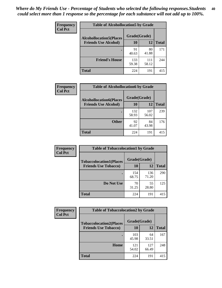| Frequency<br><b>Col Pct</b> | <b>Table of Alcohollocation5 by Grade</b> |              |              |              |
|-----------------------------|-------------------------------------------|--------------|--------------|--------------|
|                             | <b>Alcohollocation5(Places</b>            | Grade(Grade) |              |              |
|                             | <b>Friends Use Alcohol)</b>               | 10           | 12           | <b>Total</b> |
|                             |                                           | 91<br>40.63  | 80<br>41.88  | 171          |
|                             | <b>Friend's House</b>                     | 133<br>59.38 | 111<br>58.12 | 244          |
|                             | <b>Total</b>                              | 224          | 191          | 415          |

| Frequency      | <b>Table of Alcohollocation6 by Grade</b>                     |                    |              |              |
|----------------|---------------------------------------------------------------|--------------------|--------------|--------------|
| <b>Col Pct</b> | <b>Alcohollocation6(Places</b><br><b>Friends Use Alcohol)</b> | Grade(Grade)<br>10 | 12           | <b>Total</b> |
|                |                                                               | 132<br>58.93       | 107<br>56.02 | 239          |
|                | <b>Other</b>                                                  | 92<br>41.07        | 84<br>43.98  | 176          |
|                | Total                                                         | 224                | 191          | 415          |

| <b>Frequency</b> | <b>Table of Tobaccolocation1 by Grade</b> |              |              |              |
|------------------|-------------------------------------------|--------------|--------------|--------------|
| <b>Col Pct</b>   | <b>Tobaccolocation1(Places</b>            | Grade(Grade) |              |              |
|                  | <b>Friends Use Tobacco)</b>               | 10           | 12           | <b>Total</b> |
|                  |                                           | 154<br>68.75 | 136<br>71.20 | 290          |
|                  | Do Not Use                                | 70<br>31.25  | 55<br>28.80  | 125          |
|                  | <b>Total</b>                              | 224          | 191          | 415          |

| <b>Frequency</b> | <b>Table of Tobaccolocation2 by Grade</b> |              |              |              |  |
|------------------|-------------------------------------------|--------------|--------------|--------------|--|
| <b>Col Pct</b>   | <b>Tobaccolocation2(Places</b>            | Grade(Grade) |              |              |  |
|                  | <b>Friends Use Tobacco)</b>               | 10           | 12           | <b>Total</b> |  |
|                  |                                           | 103<br>45.98 | 64<br>33.51  | 167          |  |
|                  | Home                                      | 121<br>54.02 | 127<br>66.49 | 248          |  |
|                  | <b>Total</b>                              | 224          | 191          | 415          |  |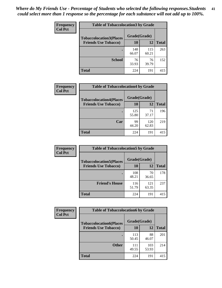| Frequency      | <b>Table of Tobaccolocation 3 by Grade</b> |              |              |              |
|----------------|--------------------------------------------|--------------|--------------|--------------|
| <b>Col Pct</b> | <b>Tobaccolocation3(Places</b>             | Grade(Grade) |              |              |
|                | <b>Friends Use Tobacco)</b>                | 10           | 12           | <b>Total</b> |
|                |                                            | 148<br>66.07 | 115<br>60.21 | 263          |
|                | <b>School</b>                              | 76<br>33.93  | 76<br>39.79  | 152          |
|                | <b>Total</b>                               | 224          | 191          | 415          |

| Frequency      | <b>Table of Tobaccolocation4 by Grade</b> |              |              |              |
|----------------|-------------------------------------------|--------------|--------------|--------------|
| <b>Col Pct</b> | <b>Tobaccolocation4(Places</b>            | Grade(Grade) |              |              |
|                | <b>Friends Use Tobacco)</b>               | 10           | 12           | <b>Total</b> |
|                |                                           | 125<br>55.80 | 71<br>37.17  | 196          |
|                | Car                                       | 99<br>44.20  | 120<br>62.83 | 219          |
|                | <b>Total</b>                              | 224          | 191          | 415          |

| Frequency      | <b>Table of Tobaccolocation5 by Grade</b> |              |              |              |
|----------------|-------------------------------------------|--------------|--------------|--------------|
| <b>Col Pct</b> | <b>Tobaccolocation5(Places</b>            | Grade(Grade) |              |              |
|                | <b>Friends Use Tobacco)</b>               | 10           | 12           | <b>Total</b> |
|                |                                           | 108<br>48.21 | 70<br>36.65  | 178          |
|                | <b>Friend's House</b>                     | 116<br>51.79 | 121<br>63.35 | 237          |
|                | <b>Total</b>                              | 224          | 191          | 415          |

| <b>Frequency</b> | <b>Table of Tobaccolocation6 by Grade</b> |              |              |              |  |
|------------------|-------------------------------------------|--------------|--------------|--------------|--|
| <b>Col Pct</b>   | <b>Tobaccolocation6(Places</b>            | Grade(Grade) |              |              |  |
|                  | <b>Friends Use Tobacco)</b>               | 10           | 12           | <b>Total</b> |  |
|                  |                                           | 113<br>50.45 | 88<br>46.07  | 201          |  |
|                  | <b>Other</b>                              | 111<br>49.55 | 103<br>53.93 | 214          |  |
|                  | <b>Total</b>                              | 224          | 191          | 415          |  |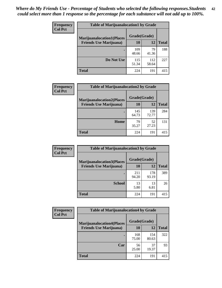| <b>Frequency</b> | <b>Table of Marijuanalocation1 by Grade</b> |              |              |              |
|------------------|---------------------------------------------|--------------|--------------|--------------|
| <b>Col Pct</b>   | <b>Marijuanalocation1(Places</b>            | Grade(Grade) |              |              |
|                  | <b>Friends Use Marijuana</b> )              | 10           | 12           | <b>Total</b> |
|                  |                                             | 109<br>48.66 | 79<br>41.36  | 188          |
|                  | Do Not Use                                  | 115<br>51.34 | 112<br>58.64 | 227          |
|                  | <b>Total</b>                                | 224          | 191          | 415          |

| <b>Frequency</b> | <b>Table of Marijuanalocation2 by Grade</b>                        |                    |              |              |
|------------------|--------------------------------------------------------------------|--------------------|--------------|--------------|
| <b>Col Pct</b>   | <b>Marijuanalocation2(Places</b><br><b>Friends Use Marijuana</b> ) | Grade(Grade)<br>10 | 12           | <b>Total</b> |
|                  |                                                                    | 145<br>64.73       | 139<br>72.77 | 284          |
|                  | Home                                                               | 79<br>35.27        | 52<br>27.23  | 131          |
|                  | <b>Total</b>                                                       | 224                | 191          | 415          |

| Frequency      | <b>Table of Marijuanalocation3 by Grade</b> |              |              |              |
|----------------|---------------------------------------------|--------------|--------------|--------------|
| <b>Col Pct</b> | <b>Marijuanalocation3</b> (Places           | Grade(Grade) |              |              |
|                | <b>Friends Use Marijuana</b> )              | 10           | 12           | <b>Total</b> |
|                |                                             | 211<br>94.20 | 178<br>93.19 | 389          |
|                | <b>School</b>                               | 13<br>5.80   | 13<br>6.81   | 26           |
|                | <b>Total</b>                                | 224          | 191          | 415          |

| Frequency      | <b>Table of Marijuanalocation4 by Grade</b> |              |              |              |  |
|----------------|---------------------------------------------|--------------|--------------|--------------|--|
| <b>Col Pct</b> | <b>Marijuanalocation4(Places</b>            | Grade(Grade) |              |              |  |
|                | <b>Friends Use Marijuana</b> )              | <b>10</b>    | 12           | <b>Total</b> |  |
|                |                                             | 168<br>75.00 | 154<br>80.63 | 322          |  |
|                | Car                                         | 56<br>25.00  | 37<br>19.37  | 93           |  |
|                | <b>Total</b>                                | 224          | 191          | 415          |  |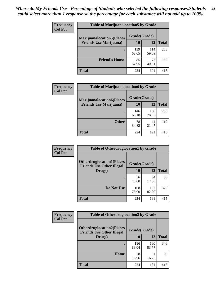| <b>Frequency</b> | <b>Table of Marijuanalocation5 by Grade</b> |              |              |              |
|------------------|---------------------------------------------|--------------|--------------|--------------|
| <b>Col Pct</b>   | <b>Marijuanalocation5</b> (Places           | Grade(Grade) |              |              |
|                  | <b>Friends Use Marijuana</b> )              | 10           | 12           | <b>Total</b> |
|                  |                                             | 139<br>62.05 | 114<br>59.69 | 253          |
|                  | <b>Friend's House</b>                       | 85<br>37.95  | 77<br>40.31  | 162          |
|                  | <b>Total</b>                                | 224          | 191          | 415          |

| <b>Frequency</b> | <b>Table of Marijuanalocation6 by Grade</b>                        |                    |              |              |
|------------------|--------------------------------------------------------------------|--------------------|--------------|--------------|
| <b>Col Pct</b>   | <b>Marijuanalocation6(Places</b><br><b>Friends Use Marijuana</b> ) | Grade(Grade)<br>10 | 12           | <b>Total</b> |
|                  |                                                                    | 146<br>65.18       | 150<br>78.53 | 296          |
|                  | <b>Other</b>                                                       | 78<br>34.82        | 41<br>21.47  | 119          |
|                  | <b>Total</b>                                                       | 224                | 191          | 415          |

| <b>Frequency</b> | <b>Table of Otherdruglocation1 by Grade</b>                          |              |              |              |
|------------------|----------------------------------------------------------------------|--------------|--------------|--------------|
| <b>Col Pct</b>   | <b>Otherdruglocation1(Places</b><br><b>Friends Use Other Illegal</b> | Grade(Grade) |              |              |
|                  | Drugs)                                                               | 10           | 12           | <b>Total</b> |
|                  |                                                                      | 56<br>25.00  | 34<br>17.80  | 90           |
|                  | Do Not Use                                                           | 168<br>75.00 | 157<br>82.20 | 325          |
|                  | <b>Total</b>                                                         | 224          | 191          | 415          |

| Frequency      | <b>Table of Otherdruglocation2 by Grade</b>                          |              |              |              |
|----------------|----------------------------------------------------------------------|--------------|--------------|--------------|
| <b>Col Pct</b> | <b>Otherdruglocation2(Places</b><br><b>Friends Use Other Illegal</b> | Grade(Grade) |              |              |
|                | Drugs)                                                               | 10           | 12           | <b>Total</b> |
|                |                                                                      | 186<br>83.04 | 160<br>83.77 | 346          |
|                | Home                                                                 | 38<br>16.96  | 31<br>16.23  | 69           |
|                | <b>Total</b>                                                         | 224          | 191          | 415          |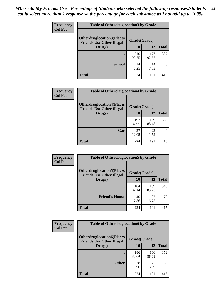| <b>Frequency</b> | <b>Table of Otherdruglocation 3 by Grade</b>                         |              |              |              |
|------------------|----------------------------------------------------------------------|--------------|--------------|--------------|
| <b>Col Pct</b>   | <b>Otherdruglocation3(Places</b><br><b>Friends Use Other Illegal</b> | Grade(Grade) |              |              |
|                  | Drugs)                                                               | 10           | 12           | <b>Total</b> |
|                  |                                                                      | 210<br>93.75 | 177<br>92.67 | 387          |
|                  | <b>School</b>                                                        | 14<br>6.25   | 14<br>7.33   | 28           |
|                  | <b>Total</b>                                                         | 224          | 191          | 415          |

| <b>Frequency</b> | <b>Table of Otherdruglocation4 by Grade</b>                          |              |              |              |
|------------------|----------------------------------------------------------------------|--------------|--------------|--------------|
| <b>Col Pct</b>   | <b>Otherdruglocation4(Places</b><br><b>Friends Use Other Illegal</b> | Grade(Grade) |              |              |
|                  | Drugs)                                                               | <b>10</b>    | 12           | <b>Total</b> |
|                  |                                                                      | 197<br>87.95 | 169<br>88.48 | 366          |
|                  | Car                                                                  | 27<br>12.05  | 22<br>11.52  | 49           |
|                  | <b>Total</b>                                                         | 224          | 191          | 415          |

| Frequency      | <b>Table of Otherdruglocation5 by Grade</b>                          |              |              |              |
|----------------|----------------------------------------------------------------------|--------------|--------------|--------------|
| <b>Col Pct</b> | <b>Otherdruglocation5(Places</b><br><b>Friends Use Other Illegal</b> | Grade(Grade) |              |              |
|                | Drugs)                                                               | 10           | 12           | <b>Total</b> |
|                |                                                                      | 184<br>82.14 | 159<br>83.25 | 343          |
|                | <b>Friend's House</b>                                                | 40<br>17.86  | 32<br>16.75  | 72           |
|                | <b>Total</b>                                                         | 224          | 191          | 415          |

| <b>Frequency</b> | <b>Table of Otherdruglocation6 by Grade</b>                          |              |              |              |
|------------------|----------------------------------------------------------------------|--------------|--------------|--------------|
| <b>Col Pct</b>   | <b>Otherdruglocation6(Places</b><br><b>Friends Use Other Illegal</b> | Grade(Grade) |              |              |
|                  | Drugs)                                                               | 10           | 12           | <b>Total</b> |
|                  |                                                                      | 186<br>83.04 | 166<br>86.91 | 352          |
|                  | <b>Other</b>                                                         | 38<br>16.96  | 25<br>13.09  | 63           |
|                  | Total                                                                | 224          | 191          | 415          |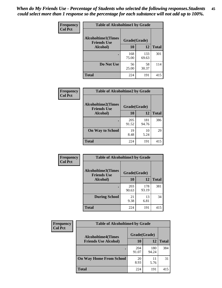| Frequency      | <b>Table of Alcoholtime1 by Grade</b>           |              |              |              |
|----------------|-------------------------------------------------|--------------|--------------|--------------|
| <b>Col Pct</b> | <b>Alcoholtime1(Times</b><br><b>Friends Use</b> | Grade(Grade) |              |              |
|                | Alcohol)                                        | 10           | 12           | <b>Total</b> |
|                |                                                 | 168<br>75.00 | 133<br>69.63 | 301          |
|                | Do Not Use                                      | 56<br>25.00  | 58<br>30.37  | 114          |
|                | <b>Total</b>                                    | 224          | 191          | 415          |

| Frequency      | <b>Table of Alcoholtime2 by Grade</b>           |              |              |              |
|----------------|-------------------------------------------------|--------------|--------------|--------------|
| <b>Col Pct</b> | <b>Alcoholtime2(Times</b><br><b>Friends Use</b> | Grade(Grade) |              |              |
|                | Alcohol)                                        | 10           | 12           | <b>Total</b> |
|                |                                                 | 205<br>91.52 | 181<br>94.76 | 386          |
|                | <b>On Way to School</b>                         | 19<br>8.48   | 10<br>5.24   | 29           |
|                | <b>Total</b>                                    | 224          | 191          | 415          |

| Frequency      | <b>Table of Alcoholtime3 by Grade</b>           |              |              |              |
|----------------|-------------------------------------------------|--------------|--------------|--------------|
| <b>Col Pct</b> | <b>Alcoholtime3(Times</b><br><b>Friends Use</b> | Grade(Grade) |              |              |
|                | Alcohol)                                        | 10           | 12           | <b>Total</b> |
|                |                                                 | 203<br>90.63 | 178<br>93.19 | 381          |
|                | <b>During School</b>                            | 21<br>9.38   | 13<br>6.81   | 34           |
|                | Total                                           | 224          | 191          | 415          |

| <b>Frequency</b><br><b>Col Pct</b> | <b>Table of Alcoholtime4 by Grade</b> |              |              |              |  |
|------------------------------------|---------------------------------------|--------------|--------------|--------------|--|
|                                    | <b>Alcoholtime4(Times</b>             | Grade(Grade) |              |              |  |
|                                    | <b>Friends Use Alcohol)</b>           | 10           | 12           | <b>Total</b> |  |
|                                    |                                       | 204<br>91.07 | 180<br>94.24 | 384          |  |
|                                    | <b>On Way Home From School</b>        | 20<br>8.93   | 11<br>5.76   | 31           |  |
|                                    | <b>Total</b>                          | 224          | 191          | 415          |  |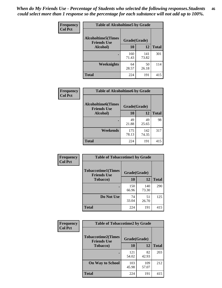*When do My Friends Use - Percentage of Students who selected the following responses.Students could select more than 1 response so the percentage for each substance will not add up to 100%.* **46**

| Frequency      | <b>Table of Alcoholtime5 by Grade</b>           |              |              |              |
|----------------|-------------------------------------------------|--------------|--------------|--------------|
| <b>Col Pct</b> | <b>Alcoholtime5(Times</b><br><b>Friends Use</b> | Grade(Grade) |              |              |
|                | Alcohol)                                        | 10           | 12           | <b>Total</b> |
|                |                                                 | 160<br>71.43 | 141<br>73.82 | 301          |
|                | Weeknights                                      | 64<br>28.57  | 50<br>26.18  | 114          |
|                | <b>Total</b>                                    | 224          | 191          | 415          |

| Frequency      | <b>Table of Alcoholtime6 by Grade</b>           |              |              |              |
|----------------|-------------------------------------------------|--------------|--------------|--------------|
| <b>Col Pct</b> | <b>Alcoholtime6(Times</b><br><b>Friends Use</b> | Grade(Grade) |              |              |
|                | Alcohol)                                        | 10           | 12           | <b>Total</b> |
|                |                                                 | 49<br>21.88  | 49<br>25.65  | 98           |
|                | Weekends                                        | 175<br>78.13 | 142<br>74.35 | 317          |
|                | <b>Total</b>                                    | 224          | 191          | 415          |

| <b>Frequency</b> | <b>Table of Tobaccotime1 by Grade</b>           |              |              |              |
|------------------|-------------------------------------------------|--------------|--------------|--------------|
| <b>Col Pct</b>   | <b>Tobaccotime1(Times</b><br><b>Friends Use</b> | Grade(Grade) |              |              |
|                  | <b>Tobacco</b> )                                | 10           | 12           | <b>Total</b> |
|                  |                                                 | 150<br>66.96 | 140<br>73.30 | 290          |
|                  | Do Not Use                                      | 74<br>33.04  | 51<br>26.70  | 125          |
|                  | <b>Total</b>                                    | 224          | 191          | 415          |

| <b>Frequency</b> |                                                 | <b>Table of Tobaccotime2 by Grade</b> |              |              |  |
|------------------|-------------------------------------------------|---------------------------------------|--------------|--------------|--|
| <b>Col Pct</b>   | <b>Tobaccotime2(Times</b><br><b>Friends Use</b> | Grade(Grade)                          |              |              |  |
|                  | <b>Tobacco</b> )                                | 10                                    | 12           | <b>Total</b> |  |
|                  |                                                 | 121<br>54.02                          | 82<br>42.93  | 203          |  |
|                  | <b>On Way to School</b>                         | 103<br>45.98                          | 109<br>57.07 | 212          |  |
|                  | Total                                           | 224                                   | 191          | 415          |  |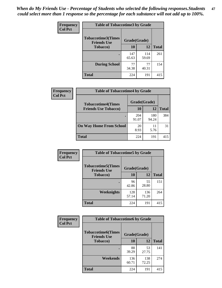*When do My Friends Use - Percentage of Students who selected the following responses.Students could select more than 1 response so the percentage for each substance will not add up to 100%.* **47**

| <b>Frequency</b> | <b>Table of Tobaccotime3 by Grade</b>           |              |              |              |  |
|------------------|-------------------------------------------------|--------------|--------------|--------------|--|
| <b>Col Pct</b>   | <b>Tobaccotime3(Times</b><br><b>Friends Use</b> |              | Grade(Grade) |              |  |
|                  | <b>Tobacco</b> )                                | 10           | 12           | <b>Total</b> |  |
|                  |                                                 | 147<br>65.63 | 114<br>59.69 | 261          |  |
|                  | <b>During School</b>                            | 77<br>34.38  | 77<br>40.31  | 154          |  |
|                  | <b>Total</b>                                    | 224          | 191          | 415          |  |

| <b>Frequency</b> | <b>Table of Tobaccotime4 by Grade</b> |              |              |              |
|------------------|---------------------------------------|--------------|--------------|--------------|
| <b>Col Pct</b>   | <b>Tobaccotime4(Times</b>             | Grade(Grade) |              |              |
|                  | <b>Friends Use Tobacco)</b>           | 10           | 12           | <b>Total</b> |
|                  |                                       | 204<br>91.07 | 180<br>94.24 | 384          |
|                  | <b>On Way Home From School</b>        | 20<br>8.93   | 11<br>5.76   | 31           |
|                  | <b>Total</b>                          | 224          | 191          | 415          |

| Frequency      | <b>Table of Tobaccotime5 by Grade</b>           |              |              |              |  |
|----------------|-------------------------------------------------|--------------|--------------|--------------|--|
| <b>Col Pct</b> | <b>Tobaccotime5(Times</b><br><b>Friends Use</b> | Grade(Grade) |              |              |  |
|                | <b>Tobacco</b> )                                | 10           | 12           | <b>Total</b> |  |
|                |                                                 | 96<br>42.86  | 55<br>28.80  | 151          |  |
|                | Weeknights                                      | 128<br>57.14 | 136<br>71.20 | 264          |  |
|                | <b>Total</b>                                    | 224          | 191          | 415          |  |

| <b>Frequency</b> | <b>Table of Tobaccotime6 by Grade</b>                           |              |              |              |
|------------------|-----------------------------------------------------------------|--------------|--------------|--------------|
| <b>Col Pct</b>   | <b>Tobaccotime6(Times</b><br>Grade(Grade)<br><b>Friends Use</b> |              |              |              |
|                  | <b>Tobacco</b> )                                                | 10           | 12           | <b>Total</b> |
|                  | ٠                                                               | 88<br>39.29  | 53<br>27.75  | 141          |
|                  | Weekends                                                        | 136<br>60.71 | 138<br>72.25 | 274          |
|                  | <b>Total</b>                                                    | 224          | 191          | 415          |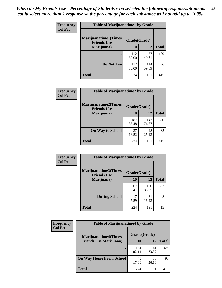| Frequency      | <b>Table of Marijuanatime1 by Grade</b>           |              |              |              |  |
|----------------|---------------------------------------------------|--------------|--------------|--------------|--|
| <b>Col Pct</b> | <b>Marijuanatime1(Times</b><br><b>Friends Use</b> | Grade(Grade) |              |              |  |
|                | Marijuana)                                        | 10           | 12           | <b>Total</b> |  |
|                |                                                   | 112<br>50.00 | 77<br>40.31  | 189          |  |
|                | Do Not Use                                        | 112<br>50.00 | 114<br>59.69 | 226          |  |
|                | <b>Total</b>                                      | 224          | 191          | 415          |  |

| Frequency      | <b>Table of Marijuanatime2 by Grade</b>           |              |              |              |
|----------------|---------------------------------------------------|--------------|--------------|--------------|
| <b>Col Pct</b> | <b>Marijuanatime2(Times</b><br><b>Friends Use</b> | Grade(Grade) |              |              |
|                | Marijuana)                                        | 10           | 12           | <b>Total</b> |
|                |                                                   | 187<br>83.48 | 143<br>74.87 | 330          |
|                | <b>On Way to School</b>                           | 37<br>16.52  | 48<br>25.13  | 85           |
|                | <b>Total</b>                                      | 224          | 191          | 415          |

| Frequency      | <b>Table of Marijuanatime3 by Grade</b>    |              |              |              |
|----------------|--------------------------------------------|--------------|--------------|--------------|
| <b>Col Pct</b> | Marijuanatime3(Times<br><b>Friends Use</b> | Grade(Grade) |              |              |
|                | Marijuana)                                 | 10           | 12           | <b>Total</b> |
|                |                                            | 207<br>92.41 | 160<br>83.77 | 367          |
|                | <b>During School</b>                       | 17<br>7.59   | 31<br>16.23  | 48           |
|                | <b>Total</b>                               | 224          | 191          | 415          |

| <b>Frequency</b> | <b>Table of Marijuanatime4 by Grade</b>                        |              |              |              |
|------------------|----------------------------------------------------------------|--------------|--------------|--------------|
| <b>Col Pct</b>   | <b>Marijuanatime4</b> (Times<br><b>Friends Use Marijuana</b> ) | Grade(Grade) |              |              |
|                  |                                                                | 10           | 12           | <b>Total</b> |
|                  |                                                                | 184<br>82.14 | 141<br>73.82 | 325          |
|                  | <b>On Way Home From School</b>                                 | 40<br>17.86  | 50<br>26.18  | 90           |
|                  | <b>Total</b>                                                   | 224          | 191          | 415          |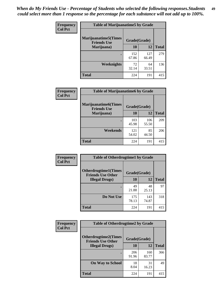| Frequency      | <b>Table of Marijuanatime5 by Grade</b>            |              |              |              |  |
|----------------|----------------------------------------------------|--------------|--------------|--------------|--|
| <b>Col Pct</b> | <b>Marijuanatime5</b> (Times<br><b>Friends Use</b> | Grade(Grade) |              |              |  |
|                | Marijuana)                                         | 10           | 12           | <b>Total</b> |  |
|                |                                                    | 152<br>67.86 | 127<br>66.49 | 279          |  |
|                | Weeknights                                         | 72<br>32.14  | 64<br>33.51  | 136          |  |
|                | <b>Total</b>                                       | 224          | 191          | 415          |  |

| Frequency      | <b>Table of Marijuanatime6 by Grade</b>            |              |              |              |
|----------------|----------------------------------------------------|--------------|--------------|--------------|
| <b>Col Pct</b> | <b>Marijuanatime6</b> (Times<br><b>Friends Use</b> | Grade(Grade) |              |              |
|                | Marijuana)                                         | 10           | 12           | <b>Total</b> |
|                |                                                    | 103<br>45.98 | 106<br>55.50 | 209          |
|                | Weekends                                           | 121<br>54.02 | 85<br>44.50  | 206          |
|                | <b>Total</b>                                       | 224          | 191          | 415          |

| <b>Frequency</b> | <b>Table of Otherdrugtime1 by Grade</b>                  |              |              |              |
|------------------|----------------------------------------------------------|--------------|--------------|--------------|
| <b>Col Pct</b>   | <b>Otherdrugtime1</b> (Times<br><b>Friends Use Other</b> | Grade(Grade) |              |              |
|                  | <b>Illegal Drugs</b> )                                   | 10           | 12           | <b>Total</b> |
|                  |                                                          | 49<br>21.88  | 48<br>25.13  | 97           |
|                  | Do Not Use                                               | 175<br>78.13 | 143<br>74.87 | 318          |
|                  | <b>Total</b>                                             | 224          | 191          | 415          |

| Frequency      | <b>Table of Otherdrugtime2 by Grade</b>                 |              |              |              |
|----------------|---------------------------------------------------------|--------------|--------------|--------------|
| <b>Col Pct</b> | <b>Otherdrugtime2(Times</b><br><b>Friends Use Other</b> | Grade(Grade) |              |              |
|                | <b>Illegal Drugs</b> )                                  | 10           | 12           | <b>Total</b> |
|                |                                                         | 206<br>91.96 | 160<br>83.77 | 366          |
|                | <b>On Way to School</b>                                 | 18<br>8.04   | 31<br>16.23  | 49           |
|                | Total                                                   | 224          | 191          | 415          |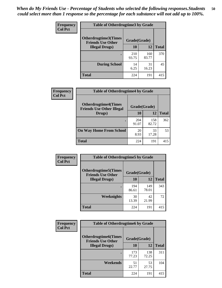| <b>Frequency</b> | <b>Table of Otherdrugtime3 by Grade</b>                  |              |              |              |
|------------------|----------------------------------------------------------|--------------|--------------|--------------|
| <b>Col Pct</b>   | <b>Otherdrugtime3</b> (Times<br><b>Friends Use Other</b> | Grade(Grade) |              |              |
|                  | <b>Illegal Drugs)</b>                                    | 10           | 12           | <b>Total</b> |
|                  |                                                          | 210<br>93.75 | 160<br>83.77 | 370          |
|                  | <b>During School</b>                                     | 14<br>6.25   | 31<br>16.23  | 45           |
|                  | <b>Total</b>                                             | 224          | 191          | 415          |

| Frequency      | <b>Table of Otherdrugtime4 by Grade</b>                         |              |              |              |
|----------------|-----------------------------------------------------------------|--------------|--------------|--------------|
| <b>Col Pct</b> | <b>Otherdrugtime4(Times</b><br><b>Friends Use Other Illegal</b> | Grade(Grade) |              |              |
|                | Drugs)                                                          | 10           | 12           | <b>Total</b> |
|                |                                                                 | 204<br>91.07 | 158<br>82.72 | 362          |
|                | <b>On Way Home From School</b>                                  | 20<br>8.93   | 33<br>17.28  | 53           |
|                | <b>Total</b>                                                    | 224          | 191          | 415          |

| <b>Frequency</b><br><b>Col Pct</b> | <b>Table of Otherdrugtime5 by Grade</b>                  |              |              |              |
|------------------------------------|----------------------------------------------------------|--------------|--------------|--------------|
|                                    | <b>Otherdrugtime5</b> (Times<br><b>Friends Use Other</b> | Grade(Grade) |              |              |
|                                    | <b>Illegal Drugs</b> )                                   | 10           | 12           | <b>Total</b> |
|                                    |                                                          | 194<br>86.61 | 149<br>78.01 | 343          |
|                                    | Weeknights                                               | 30<br>13.39  | 42<br>21.99  | 72           |
|                                    | Total                                                    | 224          | 191          | 415          |

| <b>Frequency</b> | <b>Table of Otherdrugtime6 by Grade</b>                 |              |              |              |
|------------------|---------------------------------------------------------|--------------|--------------|--------------|
| <b>Col Pct</b>   | <b>Otherdrugtime6(Times</b><br><b>Friends Use Other</b> | Grade(Grade) |              |              |
|                  | <b>Illegal Drugs</b> )                                  | 10           | 12           | <b>Total</b> |
|                  |                                                         | 173<br>77.23 | 138<br>72.25 | 311          |
|                  | Weekends                                                | 51<br>22.77  | 53<br>27.75  | 104          |
|                  | <b>Total</b>                                            | 224          | 191          | 415          |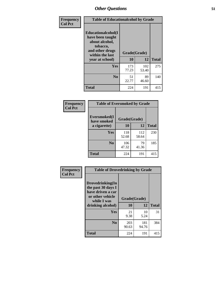| Frequency      | <b>Table of Educationalcohol by Grade</b>                                                                  |              |              |              |
|----------------|------------------------------------------------------------------------------------------------------------|--------------|--------------|--------------|
| <b>Col Pct</b> | Educationalcohol(I<br>have been taught<br>about alcohol,<br>tobacco,<br>and other drugs<br>within the last | Grade(Grade) |              |              |
|                | year at school)                                                                                            | 10           | 12           | <b>Total</b> |
|                | <b>Yes</b>                                                                                                 | 173<br>77.23 | 102<br>53.40 | 275          |
|                | N <sub>0</sub>                                                                                             | 51<br>22.77  | 89<br>46.60  | 140          |
|                | <b>Total</b>                                                                                               | 224          | 191          | 415          |

| Frequency      | <b>Table of Eversmoked by Grade</b> |              |              |              |
|----------------|-------------------------------------|--------------|--------------|--------------|
| <b>Col Pct</b> | Eversmoked(I<br>have smoked         | Grade(Grade) |              |              |
|                | a cigarette)                        | 10           | 12           | <b>Total</b> |
|                | Yes                                 | 118<br>52.68 | 112<br>58.64 | 230          |
|                | N <sub>0</sub>                      | 106<br>47.32 | 79<br>41.36  | 185          |
|                | <b>Total</b>                        | 224          | 191          | 415          |

| Frequency      | <b>Table of Drovedrinking by Grade</b>                                                                              |                    |              |              |
|----------------|---------------------------------------------------------------------------------------------------------------------|--------------------|--------------|--------------|
| <b>Col Pct</b> | Drovedrinking(In<br>the past 30 days I<br>have driven a car<br>or other vehicle<br>while I was<br>drinking alcohol) | Grade(Grade)<br>10 | 12           | <b>Total</b> |
|                | <b>Yes</b>                                                                                                          | 21<br>9.38         | 10<br>5.24   | 31           |
|                | N <sub>0</sub>                                                                                                      | 203<br>90.63       | 181<br>94.76 | 384          |
|                | <b>Total</b>                                                                                                        | 224                | 191          | 415          |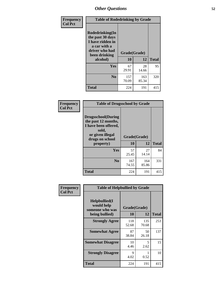| Frequency      | <b>Table of Rodedrinking by Grade</b>                                                                                  |                    |              |              |
|----------------|------------------------------------------------------------------------------------------------------------------------|--------------------|--------------|--------------|
| <b>Col Pct</b> | Rodedrinking(In<br>the past 30 days<br>I have ridden in<br>a car with a<br>driver who had<br>been drinking<br>alcohol) | Grade(Grade)<br>10 | 12           | <b>Total</b> |
|                | <b>Yes</b>                                                                                                             | 67<br>29.91        | 28<br>14.66  | 95           |
|                | N <sub>0</sub>                                                                                                         | 157<br>70.09       | 163<br>85.34 | 320          |
|                | <b>Total</b>                                                                                                           | 224                | 191          | 415          |

#### **Frequency Col Pct**

| <b>Table of Drugsschool by Grade</b>                                                                                      |              |              |              |
|---------------------------------------------------------------------------------------------------------------------------|--------------|--------------|--------------|
| <b>Drugsschool</b> (During<br>the past 12 months,<br>I have been offered,<br>sold,<br>or given illegal<br>drugs on school | Grade(Grade) |              |              |
| property)                                                                                                                 | 10           | 12           | <b>Total</b> |
| Yes                                                                                                                       | 57<br>25.45  | 27<br>14.14  | 84           |
| N <sub>0</sub>                                                                                                            | 167<br>74.55 | 164<br>85.86 | 331          |
| <b>Total</b>                                                                                                              | 224          | 191          | 415          |

| Frequency      | <b>Table of Helpbullied by Grade</b>                              |                    |              |              |
|----------------|-------------------------------------------------------------------|--------------------|--------------|--------------|
| <b>Col Pct</b> | Helpbullied(I)<br>would help<br>someone who was<br>being bullied) | Grade(Grade)<br>10 | 12           | <b>Total</b> |
|                | <b>Strongly Agree</b>                                             | 118<br>52.68       | 135<br>70.68 | 253          |
|                | <b>Somewhat Agree</b>                                             | 87<br>38.84        | 50<br>26.18  | 137          |
|                | <b>Somewhat Disagree</b>                                          | 10<br>4.46         | 5<br>2.62    | 15           |
|                | <b>Strongly Disagree</b>                                          | 9<br>4.02          | 0.52         | 10           |
|                | <b>Total</b>                                                      | 224                | 191          | 415          |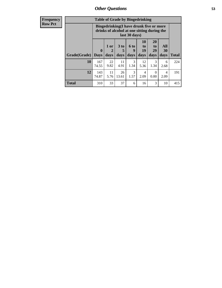| <b>Frequency</b><br>Row Pct |
|-----------------------------|
|                             |

| <b>Table of Grade by Bingedrinking</b>                                                                  |              |            |             |                  |                       |                  |           |              |
|---------------------------------------------------------------------------------------------------------|--------------|------------|-------------|------------------|-----------------------|------------------|-----------|--------------|
| Bingedrinking(I have drunk five or more<br>drinks of alcohol at one sitting during the<br>last 30 days) |              |            |             |                  |                       |                  |           |              |
| Grade(Grade)                                                                                            | $\mathbf{0}$ | 1 or<br>2  | 3 to<br>5   | <b>6 to</b><br>9 | <b>10</b><br>to<br>19 | 20<br>to<br>29   | All<br>30 |              |
|                                                                                                         | <b>Days</b>  | days       | days        | days             | days                  | days             | days      | <b>Total</b> |
| 10                                                                                                      | 167<br>74.55 | 22<br>9.82 | 11<br>4.91  | 3<br>1.34        | 12<br>5.36            | 3<br>1.34        | 6<br>2.68 | 224          |
| 12                                                                                                      | 143<br>74.87 | 11<br>5.76 | 26<br>13.61 | 3<br>1.57        | 4<br>2.09             | $\theta$<br>0.00 | 4<br>2.09 | 191          |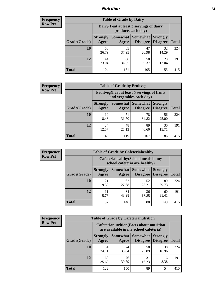## *Nutrition* **54**

| <b>Frequency</b><br>Row Pct |
|-----------------------------|
|                             |

| <b>Table of Grade by Dairy</b> |                          |                                                                 |                                    |                                    |              |  |  |  |
|--------------------------------|--------------------------|-----------------------------------------------------------------|------------------------------------|------------------------------------|--------------|--|--|--|
|                                |                          | Dairy (I eat at least 3 servings of dairy<br>products each day) |                                    |                                    |              |  |  |  |
| Grade(Grade)                   | <b>Strongly</b><br>Agree | Somewhat  <br>Agree                                             | <b>Somewhat</b><br><b>Disagree</b> | <b>Strongly</b><br><b>Disagree</b> | <b>Total</b> |  |  |  |
| 10                             | 60<br>26.79              | 85<br>37.95                                                     | 47<br>20.98                        | 32<br>14.29                        | 224          |  |  |  |
| 12                             | 44<br>23.04              | 66<br>34.55                                                     | 58<br>30.37                        | 23<br>12.04                        | 191          |  |  |  |
| <b>Total</b>                   | 104                      | 151                                                             | 105                                | 55                                 | 415          |  |  |  |

| <b>Frequency</b> |  |
|------------------|--|
| <b>Row Pct</b>   |  |

| y | <b>Table of Grade by Fruitveg</b> |                          |                                                                          |                                 |                                    |              |  |  |  |
|---|-----------------------------------|--------------------------|--------------------------------------------------------------------------|---------------------------------|------------------------------------|--------------|--|--|--|
|   |                                   |                          | Fruitveg(I eat at least 5 servings of fruits<br>and vegetables each day) |                                 |                                    |              |  |  |  |
|   | Grade(Grade)                      | <b>Strongly</b><br>Agree | Agree                                                                    | Somewhat   Somewhat<br>Disagree | <b>Strongly</b><br><b>Disagree</b> | <b>Total</b> |  |  |  |
|   | 10                                | 19<br>8.48               | 71<br>31.70                                                              | 78<br>34.82                     | 56<br>25.00                        | 224          |  |  |  |
|   | 12                                | 24<br>12.57              | 48<br>25.13                                                              | 89<br>46.60                     | 30<br>15.71                        | 191          |  |  |  |
|   | <b>Total</b>                      | 43                       | 119                                                                      | 167                             | 86                                 | 415          |  |  |  |

| <b>Table of Grade by Cafeteriahealthy</b><br><b>Frequency</b> |              |                                                                       |             |                                          |                                    |              |
|---------------------------------------------------------------|--------------|-----------------------------------------------------------------------|-------------|------------------------------------------|------------------------------------|--------------|
| <b>Row Pct</b>                                                |              | Cafeteriahealthy (School meals in my<br>school cafeteria are healthy) |             |                                          |                                    |              |
|                                                               | Grade(Grade) | <b>Strongly</b><br>Agree                                              | Agree       | Somewhat   Somewhat  <br><b>Disagree</b> | <b>Strongly</b><br><b>Disagree</b> | <b>Total</b> |
|                                                               | 10           | 21<br>9.38                                                            | 62<br>27.68 | 52<br>23.21                              | 89<br>39.73                        | 224          |
|                                                               | 12           | 11<br>5.76                                                            | 84<br>43.98 | 36<br>18.85                              | 60<br>31.41                        | 191          |
|                                                               | Total        | 32                                                                    | 146         | 88                                       | 149                                | 415          |

| <b>Frequency</b> |
|------------------|
| <b>Row Pct</b>   |

| <b>Table of Grade by Cafeterianutrition</b>                                               |                          |             |                               |                                    |              |  |  |
|-------------------------------------------------------------------------------------------|--------------------------|-------------|-------------------------------|------------------------------------|--------------|--|--|
| <b>Cafeterianutrition</b> (Facts about nutrition<br>are available in my school cafeteria) |                          |             |                               |                                    |              |  |  |
| Grade(Grade)                                                                              | <b>Strongly</b><br>Agree | Agree       | Somewhat Somewhat<br>Disagree | <b>Strongly</b><br><b>Disagree</b> | <b>Total</b> |  |  |
| 10                                                                                        | 54<br>24.11              | 74<br>33.04 | 58<br>25.89                   | 38<br>16.96                        | 224          |  |  |
| 12                                                                                        | 68<br>35.60              | 76<br>39.79 | 31<br>16.23                   | 16<br>8.38                         | 191          |  |  |
| Total                                                                                     | 122                      | 150         | 89                            | 54                                 | 415          |  |  |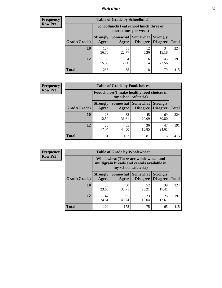## *Nutrition* **55**

| Frequency      |
|----------------|
| <b>Row Pct</b> |

| <b>Table of Grade by Schoollunch</b> |                          |                                                                 |                                 |                                    |              |  |  |  |
|--------------------------------------|--------------------------|-----------------------------------------------------------------|---------------------------------|------------------------------------|--------------|--|--|--|
|                                      |                          | Schoollunch(I eat school lunch three or<br>more times per week) |                                 |                                    |              |  |  |  |
| Grade(Grade)                         | <b>Strongly</b><br>Agree | Agree                                                           | Somewhat   Somewhat<br>Disagree | <b>Strongly</b><br><b>Disagree</b> | <b>Total</b> |  |  |  |
| 10                                   | 127<br>56.70             | 51<br>22.77                                                     | 12<br>5.36                      | 34<br>15.18                        | 224          |  |  |  |
| 12                                   | 106<br>55.50             | 34<br>17.80                                                     | 6<br>3.14                       | 45<br>23.56                        | 191          |  |  |  |
| <b>Total</b>                         | 233                      | 85                                                              | 18                              | 79                                 | 415          |  |  |  |

| <b>Frequency</b> |  |
|------------------|--|
| <b>Row Pct</b>   |  |

| <b>Table of Grade by Foodchoices</b>                                |                          |             |                               |                                    |              |  |  |
|---------------------------------------------------------------------|--------------------------|-------------|-------------------------------|------------------------------------|--------------|--|--|
| Foodchoices (I make healthy food choices in<br>my school cafeteria) |                          |             |                               |                                    |              |  |  |
| Grade(Grade)                                                        | <b>Strongly</b><br>Agree | Agree       | Somewhat Somewhat<br>Disagree | <b>Strongly</b><br><b>Disagree</b> | <b>Total</b> |  |  |
| 10                                                                  | 28<br>12.50              | 82<br>36.61 | 45<br>20.09                   | 69<br>30.80                        | 224          |  |  |
| 12                                                                  | 23<br>12.04              | 85<br>44.50 | 36<br>18.85                   | 47<br>24.61                        | 191          |  |  |
| <b>Total</b>                                                        | 51                       | 167         | 81                            | 116                                | 415          |  |  |

| Frequency      | <b>Table of Grade by Wholewheat</b> |                                                                                                             |                   |                             |                                    |              |  |  |
|----------------|-------------------------------------|-------------------------------------------------------------------------------------------------------------|-------------------|-----------------------------|------------------------------------|--------------|--|--|
| <b>Row Pct</b> |                                     | Wholewheat (There are whole wheat and<br>multigrain breads and cereals available in<br>my school cafeteria) |                   |                             |                                    |              |  |  |
|                | Grade(Grade)                        | <b>Strongly</b><br>Agree                                                                                    | Somewhat<br>Agree | Somewhat<br><b>Disagree</b> | <b>Strongly</b><br><b>Disagree</b> | <b>Total</b> |  |  |
|                | 10                                  | 53<br>23.66                                                                                                 | 80<br>35.71       | 52<br>23.21                 | 39<br>17.41                        | 224          |  |  |
|                | 12                                  | 47<br>24.61                                                                                                 | 95<br>49.74       | 23<br>12.04                 | 26<br>13.61                        | 191          |  |  |
|                | <b>Total</b>                        | 100                                                                                                         | 175               | 75                          | 65                                 | 415          |  |  |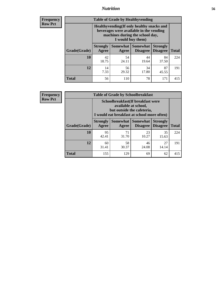## *Nutrition* **56**

**Frequency Row Pct**

| <b>Table of Grade by Healthyvending</b> |                                                                                                                                               |                          |                                    |                                    |              |  |
|-----------------------------------------|-----------------------------------------------------------------------------------------------------------------------------------------------|--------------------------|------------------------------------|------------------------------------|--------------|--|
|                                         | Healthyvending (If only healthy snacks and<br>beverages were available in the vending<br>machines during the school day,<br>I would buy them) |                          |                                    |                                    |              |  |
| Grade(Grade)                            | <b>Strongly</b><br>Agree                                                                                                                      | <b>Somewhat</b><br>Agree | <b>Somewhat</b><br><b>Disagree</b> | <b>Strongly</b><br><b>Disagree</b> | <b>Total</b> |  |
| 10                                      | 42<br>18.75                                                                                                                                   | 54<br>24.11              | 44<br>19.64                        | 84<br>37.50                        | 224          |  |
| 12                                      | 14<br>7.33                                                                                                                                    | 56<br>29.32              | 34<br>17.80                        | 87<br>45.55                        | 191          |  |
| <b>Total</b>                            | 56                                                                                                                                            | 110                      | 78                                 | 171                                | 415          |  |

**Frequency Row Pct**

| <b>Table of Grade by Schoolbreakfast</b> |                                                                                                                                        |             |                     |                                        |              |  |
|------------------------------------------|----------------------------------------------------------------------------------------------------------------------------------------|-------------|---------------------|----------------------------------------|--------------|--|
|                                          | Schoolbreakfast(If breakfast were<br>available at school,<br>but outside the cafeteria,<br>I would eat breakfast at school more often) |             |                     |                                        |              |  |
| Grade(Grade)                             | <b>Strongly</b><br>Agree                                                                                                               | Agree       | Somewhat   Somewhat | <b>Strongly</b><br>Disagree   Disagree | <b>Total</b> |  |
| 10                                       | 95<br>42.41                                                                                                                            | 71<br>31.70 | 23<br>10.27         | 35<br>15.63                            | 224          |  |
| 12                                       | 60<br>31.41                                                                                                                            | 58<br>30.37 | 46<br>24.08         | 27<br>14.14                            | 191          |  |
| <b>Total</b>                             | 155                                                                                                                                    | 129         | 69                  | 62                                     | 415          |  |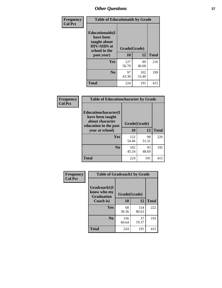| Frequency<br><b>Col Pct</b> | <b>Table of Educationaids by Grade</b>                                                                    |                    |              |              |  |
|-----------------------------|-----------------------------------------------------------------------------------------------------------|--------------------|--------------|--------------|--|
|                             | <b>Educationaids</b> (I<br>have been<br>taught about<br><b>HIV/AIDS</b> at<br>school in the<br>past year) | Grade(Grade)<br>10 | 12           | <b>Total</b> |  |
|                             | Yes                                                                                                       | 127<br>56.70       | 89<br>46.60  | 216          |  |
|                             | N <sub>0</sub>                                                                                            | 97<br>43.30        | 102<br>53.40 | 199          |  |
|                             | <b>Total</b>                                                                                              | 224                | 191          | 415          |  |

| <b>Frequency</b> | <b>Table of Educationcharacter by Grade</b>                                                             |              |             |              |
|------------------|---------------------------------------------------------------------------------------------------------|--------------|-------------|--------------|
| <b>Col Pct</b>   | Educationcharacter(I<br>have been taught<br>about character<br>education in the past<br>year at school) | Grade(Grade) |             |              |
|                  |                                                                                                         | 10           | 12          | <b>Total</b> |
|                  | Yes                                                                                                     | 122<br>54.46 | 98<br>51.31 | 220          |
|                  | N <sub>0</sub>                                                                                          | 102<br>45.54 | 93<br>48.69 | 195          |
|                  | <b>Total</b>                                                                                            | 224          | 191         | 415          |

| Frequency      | <b>Table of Gradcoach1 by Grade</b>              |              |              |              |
|----------------|--------------------------------------------------|--------------|--------------|--------------|
| <b>Col Pct</b> | Gradcoach1(I<br>know who my<br><b>Graduation</b> | Grade(Grade) |              |              |
|                | Coach is)                                        | 10           | 12           | <b>Total</b> |
|                | Yes                                              | 68<br>30.36  | 154<br>80.63 | 222          |
|                | N <sub>0</sub>                                   | 156<br>69.64 | 37<br>19.37  | 193          |
|                | <b>Total</b>                                     | 224          | 191          | 415          |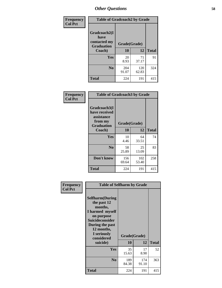| Frequency      | <b>Table of Gradcoach2 by Grade</b> |              |              |              |
|----------------|-------------------------------------|--------------|--------------|--------------|
| <b>Col Pct</b> |                                     |              |              |              |
|                | Gradcoach2(I<br>have                |              |              |              |
|                | contacted my<br><b>Graduation</b>   | Grade(Grade) |              |              |
|                | Coach)                              | 10           | 12           | <b>Total</b> |
|                | Yes                                 | 20<br>8.93   | 71<br>37.17  | 91           |
|                | N <sub>0</sub>                      | 204<br>91.07 | 120<br>62.83 | 324          |
|                | <b>Total</b>                        | 224          | 191          | 415          |

| <b>Frequency</b><br><b>Col Pct</b> | <b>Table of Gradcoach3 by Grade</b>                                         |              |              |              |
|------------------------------------|-----------------------------------------------------------------------------|--------------|--------------|--------------|
|                                    | Gradcoach3(I<br>have received<br>assistance<br>from my<br><b>Graduation</b> | Grade(Grade) |              |              |
|                                    | Coach)                                                                      | 10           | 12           | <b>Total</b> |
|                                    | Yes                                                                         | 10<br>4.46   | 64<br>33.51  | 74           |
|                                    | N <sub>0</sub>                                                              | 58<br>25.89  | 25<br>13.09  | 83           |
|                                    | Don't know                                                                  | 156<br>69.64 | 102<br>53.40 | 258          |
|                                    | <b>Total</b>                                                                | 224          | 191          | 415          |

| Frequency      | <b>Table of Selfharm by Grade</b>                                                                                                                                                      |                    |              |              |  |
|----------------|----------------------------------------------------------------------------------------------------------------------------------------------------------------------------------------|--------------------|--------------|--------------|--|
| <b>Col Pct</b> | <b>Selfharm</b> (During<br>the past 12<br>months,<br>I harmed myself<br>on purpose<br><b>Suicideconsider</b><br>During the past<br>12 months,<br>I seriously<br>considered<br>suicide) | Grade(Grade)<br>10 | 12           | <b>Total</b> |  |
|                | Yes                                                                                                                                                                                    | 35<br>15.63        | 17<br>8.90   | 52           |  |
|                | N <sub>0</sub>                                                                                                                                                                         | 189<br>84.38       | 174<br>91.10 | 363          |  |
|                | Total                                                                                                                                                                                  | 224                | 191          | 415          |  |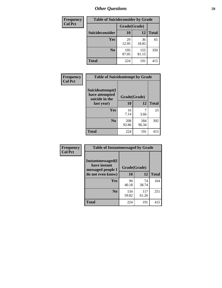| <b>Frequency</b> | <b>Table of Suicideconsider by Grade</b> |              |              |              |  |
|------------------|------------------------------------------|--------------|--------------|--------------|--|
| <b>Col Pct</b>   |                                          | Grade(Grade) |              |              |  |
|                  | Suicideconsider                          | <b>10</b>    | 12           | <b>Total</b> |  |
|                  | Yes                                      | 29<br>12.95  | 36<br>18.85  | 65           |  |
|                  | N <sub>0</sub>                           | 195<br>87.05 | 155<br>81.15 | 350          |  |
|                  | <b>Total</b>                             | 224          | 191          | 415          |  |

| Frequency      | <b>Table of Suicideattempt by Grade</b>              |              |              |              |
|----------------|------------------------------------------------------|--------------|--------------|--------------|
| <b>Col Pct</b> | Suicideattempt(I<br>have attempted<br>suicide in the | Grade(Grade) |              |              |
|                | last year)                                           | 10           | 12           | <b>Total</b> |
|                | Yes                                                  | 16<br>7.14   | 3.66         | 23           |
|                | N <sub>0</sub>                                       | 208<br>92.86 | 184<br>96.34 | 392          |
|                | <b>Total</b>                                         | 224          | 191          | 415          |

| Frequency      | <b>Table of Instantmessaged by Grade</b>               |              |              |              |
|----------------|--------------------------------------------------------|--------------|--------------|--------------|
| <b>Col Pct</b> | Instantmessaged(I<br>have instant<br>messaged people I | Grade(Grade) |              |              |
|                | do not even know)                                      | 10           | 12           | <b>Total</b> |
|                | Yes                                                    | 90<br>40.18  | 74<br>38.74  | 164          |
|                | N <sub>0</sub>                                         | 134<br>59.82 | 117<br>61.26 | 251          |
|                | <b>Total</b>                                           | 224          | 191          | 415          |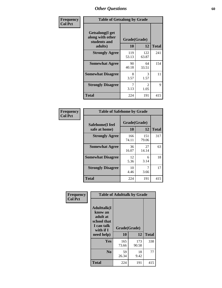| Frequency      | <b>Table of Getsalong by Grade</b>                          |              |                        |              |  |  |  |
|----------------|-------------------------------------------------------------|--------------|------------------------|--------------|--|--|--|
| <b>Col Pct</b> | <b>Getsalong</b> (I get<br>along with other<br>students and | Grade(Grade) |                        |              |  |  |  |
|                | adults)                                                     | 10           | 12                     | <b>Total</b> |  |  |  |
|                | <b>Strongly Agree</b>                                       | 119<br>53.13 | 122<br>63.87           | 241          |  |  |  |
|                | <b>Somewhat Agree</b>                                       | 90<br>40.18  | 64<br>33.51            | 154          |  |  |  |
|                | <b>Somewhat Disagree</b>                                    | 8<br>3.57    | 3<br>1.57              | 11           |  |  |  |
|                | <b>Strongly Disagree</b>                                    | 7<br>3.13    | $\mathfrak{D}$<br>1.05 | 9            |  |  |  |
|                | <b>Total</b>                                                | 224          | 191                    | 415          |  |  |  |

| Frequency      | <b>Table of Safehome by Grade</b> |              |              |              |  |  |  |
|----------------|-----------------------------------|--------------|--------------|--------------|--|--|--|
| <b>Col Pct</b> | Safehome(I feel                   | Grade(Grade) |              |              |  |  |  |
|                | safe at home)                     | 10           | 12           | <b>Total</b> |  |  |  |
|                | <b>Strongly Agree</b>             | 166<br>74.11 | 151<br>79.06 | 317          |  |  |  |
|                | <b>Somewhat Agree</b>             | 36<br>16.07  | 27<br>14.14  | 63           |  |  |  |
|                | <b>Somewhat Disagree</b>          | 12<br>5.36   | 6<br>3.14    | 18           |  |  |  |
|                | <b>Strongly Disagree</b>          | 10<br>4.46   | 7<br>3.66    | 17           |  |  |  |
|                | <b>Total</b>                      | 224          | 191          | 415          |  |  |  |

| Frequency      |                                                                                     | <b>Table of Adulttalk by Grade</b> |              |              |
|----------------|-------------------------------------------------------------------------------------|------------------------------------|--------------|--------------|
| <b>Col Pct</b> | <b>Adulttalk(I</b><br>know an<br>adult at<br>school that<br>I can talk<br>with if I | Grade(Grade)                       |              |              |
|                | need help)                                                                          | 10                                 | 12           | <b>Total</b> |
|                | <b>Yes</b>                                                                          | 165<br>73.66                       | 173<br>90.58 | 338          |
|                | N <sub>0</sub>                                                                      | 59<br>26.34                        | 18<br>9.42   | 77           |
|                | <b>Total</b>                                                                        | 224                                | 191          | 415          |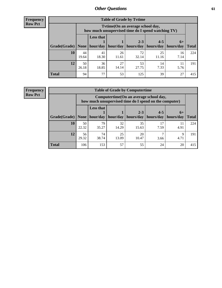**Frequency Row Pct**

| <b>Table of Grade by Tvtime</b> |             |                                                                                        |             |             |             |            |              |  |  |  |
|---------------------------------|-------------|----------------------------------------------------------------------------------------|-------------|-------------|-------------|------------|--------------|--|--|--|
|                                 |             | Tvtime(On an average school day,<br>how much unsupervised time do I spend watching TV) |             |             |             |            |              |  |  |  |
|                                 |             | <b>Less that</b>                                                                       |             | $2 - 3$     | $4 - 5$     | $6+$       |              |  |  |  |
| Grade(Grade)                    | None        | hour/day                                                                               | hour/day    | hours/day   | hours/day   | hours/day  | <b>Total</b> |  |  |  |
| 10                              | 44<br>19.64 | 41<br>18.30                                                                            | 26<br>11.61 | 72<br>32.14 | 25<br>11.16 | 16<br>7.14 | 224          |  |  |  |
| 12                              | 50<br>26.18 | 36<br>18.85                                                                            | 27<br>14.14 | 53<br>27.75 | 14<br>7.33  | 5.76       | 191          |  |  |  |
| <b>Total</b>                    | 94          | 77                                                                                     | 53          | 125         | 39          | 27         | 415          |  |  |  |

**Frequency Row Pct**

| <b>Table of Grade by Computertime</b> |             |                                                                                                   |             |                      |                      |                   |              |  |  |  |
|---------------------------------------|-------------|---------------------------------------------------------------------------------------------------|-------------|----------------------|----------------------|-------------------|--------------|--|--|--|
|                                       |             | Computertime (On an average school day,<br>how much unsupervised time do I spend on the computer) |             |                      |                      |                   |              |  |  |  |
| Grade(Grade)                          | None        | <b>Less that</b><br>hour/day                                                                      | hour/day    | $2 - 3$<br>hours/day | $4 - 5$<br>hours/day | $6+$<br>hours/day | <b>Total</b> |  |  |  |
| 10                                    | 50<br>22.32 | 79<br>35.27                                                                                       | 32<br>14.29 | 35<br>15.63          | 17<br>7.59           | 11<br>4.91        | 224          |  |  |  |
| 12                                    | 56<br>29.32 | 74<br>25<br>20<br>Q<br>38.74<br>13.09<br>10.47<br>4.71<br>3.66                                    |             |                      |                      |                   |              |  |  |  |
| <b>Total</b>                          | 106         | 153                                                                                               | 57          | 55                   | 24                   | 20                | 415          |  |  |  |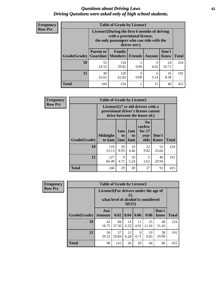#### *Questions about Driving Laws* **62** *Driving Questions were asked only of high school students.*

| <b>Frequency</b> |
|------------------|
| <b>Row Pct</b>   |

| <b>Table of Grade by License1</b> |                                     |                                                                                                                                           |                        |           |               |              |  |  |  |  |
|-----------------------------------|-------------------------------------|-------------------------------------------------------------------------------------------------------------------------------------------|------------------------|-----------|---------------|--------------|--|--|--|--|
|                                   |                                     | License1(During the first 6 months of driving<br>with a provisional license,<br>the only passengers who can ride with the<br>driver are:) |                        |           |               |              |  |  |  |  |
| Grade(Grade)                      | <b>Parent or</b><br><b>Guardian</b> | Family<br><b>Members</b>                                                                                                                  | <b>Friends</b>         | Anyone    | Don't<br>Know | <b>Total</b> |  |  |  |  |
| 10                                | 55<br>24.55                         | 134<br>59.82                                                                                                                              | $\overline{c}$<br>0.89 | 9<br>4.02 | 24<br>10.71   | 224          |  |  |  |  |
| 12                                | 49<br>25.65                         | 16<br>120<br>0<br>6<br>0.00<br>3.14<br>8.38<br>62.83                                                                                      |                        |           |               |              |  |  |  |  |
| <b>Total</b>                      | 104                                 | 254                                                                                                                                       | $\overline{c}$         | 15        | 40            | 415          |  |  |  |  |

| <b>Frequency</b> |                     | <b>Table of Grade by License2</b>                                                                        |                  |                              |                                                      |                      |              |
|------------------|---------------------|----------------------------------------------------------------------------------------------------------|------------------|------------------------------|------------------------------------------------------|----------------------|--------------|
| <b>Row Pct</b>   |                     | License2(17 yr old drivers with a<br>provisional driver's license cannot<br>drive between the hours of:) |                  |                              |                                                      |                      |              |
|                  | <b>Grade(Grade)</b> | <b>Midnight</b><br>to 6am                                                                                | 1am<br>to<br>5am | 1am<br>t <sub>0</sub><br>6am | N <sub>0</sub><br>curfew<br>for $17$<br>year<br>olds | Don't<br><b>Know</b> | <b>Total</b> |
|                  | 10                  | 119<br>53.13                                                                                             | 20<br>8.93       | 10<br>4.46                   | 22<br>9.82                                           | 53<br>23.66          | 224          |
|                  | 12                  | 127<br>66.49                                                                                             | 9<br>4.71        | 10<br>5.24                   | 5<br>2.62                                            | 40<br>20.94          | 191          |
|                  | <b>Total</b>        | 246                                                                                                      | 29               | 20                           | 27                                                   | 93                   | 415          |

| Frequency      |              | <b>Table of Grade by License3</b>                                                              |             |            |            |             |               |              |  |
|----------------|--------------|------------------------------------------------------------------------------------------------|-------------|------------|------------|-------------|---------------|--------------|--|
| <b>Row Pct</b> |              | License3(For drivers under the age of<br>21,<br>what level of alcohol is considered<br>$DUI$ ? |             |            |            |             |               |              |  |
|                | Grade(Grade) | Any<br><b>Amount</b>                                                                           | 0.02        | 0.04       | 0.06       | 0.08        | Don't<br>know | <b>Total</b> |  |
|                | 10           | 42<br>18.75                                                                                    | 84<br>37.50 | 14<br>6.25 | 11<br>4.91 | 25<br>11.16 | 48<br>21.43   | 224          |  |
|                | 12           | 56<br>29.32                                                                                    | 57<br>29.84 | 12<br>6.28 | 9<br>4.71  | 19<br>9.95  | 38<br>19.90   | 191          |  |
|                | <b>Total</b> | 98                                                                                             | 141         | 26         | 20         | 44          | 86            | 415          |  |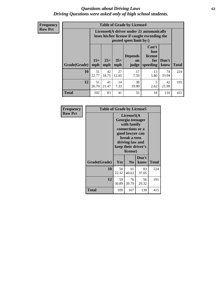#### *Questions about Driving Laws* **63** *Driving Questions were asked only of high school students.*

**Frequency Row Pct**

| <b>Table of Grade by License4</b> |             |                                                                                                                                                                                                                                                                                |             |            |            |             |     |  |  |
|-----------------------------------|-------------|--------------------------------------------------------------------------------------------------------------------------------------------------------------------------------------------------------------------------------------------------------------------------------|-------------|------------|------------|-------------|-----|--|--|
|                                   |             | License4(A driver under 21 automatically<br>loses his/her license if caught exceeding the<br>posted speet limit by:)<br>Can't<br>lose<br><b>Depends</b><br>license<br>$15+$<br>$25+$<br>$35+$<br>Don't<br>for<br>on<br>speeding<br><b>Total</b><br>mph<br>know<br>mph<br>judge |             |            |            |             |     |  |  |
| Grade(Grade)                      | mph         |                                                                                                                                                                                                                                                                                |             |            |            |             |     |  |  |
| 10                                | 51<br>22.77 | 42<br>18.75                                                                                                                                                                                                                                                                    | 27<br>12.05 | 17<br>7.59 | 13<br>5.80 | 74<br>33.04 | 224 |  |  |
| 12                                | 51<br>26.70 | 41<br>38<br>14<br>5<br>42<br>21.47<br>2.62<br>21.99<br>7.33<br>19.90                                                                                                                                                                                                           |             |            |            |             |     |  |  |
| <b>Total</b>                      | 102         | 83                                                                                                                                                                                                                                                                             | 41          | 55         | 18         | 116         | 415 |  |  |

| Frequency      | <b>Table of Grade by License5</b> |             |                                                                                                                                      |                     |       |
|----------------|-----------------------------------|-------------|--------------------------------------------------------------------------------------------------------------------------------------|---------------------|-------|
| <b>Row Pct</b> |                                   |             | License5(A)<br>Georgia teenager<br>with family<br>connections or a<br>good lawyer can<br>break a teen<br>driving law and<br>license) | keep their driver's |       |
|                | Grade(Grade)                      | <b>Yes</b>  | N <sub>0</sub>                                                                                                                       | Don't<br>know       | Total |
|                | 10                                | 50<br>22.32 | 91<br>40.63                                                                                                                          | 83<br>37.05         | 224   |
|                | 12                                | 59<br>30.89 | 76<br>39.79                                                                                                                          | 56<br>29.32         | 191   |
|                | <b>Total</b>                      | 109         | 167                                                                                                                                  | 139                 | 415   |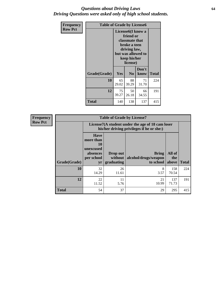### *Questions about Driving Laws* **64** *Driving Questions were asked only of high school students.*

| <b>Frequency</b> | <b>Table of Grade by License6</b> |                                                                                                                                                 |                |               |              |
|------------------|-----------------------------------|-------------------------------------------------------------------------------------------------------------------------------------------------|----------------|---------------|--------------|
| <b>Row Pct</b>   |                                   | License <sub>6</sub> (I know a<br>friend or<br>classmate that<br>broke a teen<br>driving law,<br>but was allowed to<br>keep his/her<br>license) |                |               |              |
|                  | Grade(Grade)                      | Yes                                                                                                                                             | N <sub>0</sub> | Don't<br>know | <b>Total</b> |
|                  | 10                                | 65<br>88<br>71<br>29.02<br>39.29<br>31.70                                                                                                       |                |               | 224          |
|                  | 12                                | 75<br>50<br>66<br>39.27<br>26.18<br>34.55                                                                                                       |                |               | 191          |
|                  | Total                             | 140                                                                                                                                             | 138            | 137           | 415          |

| <b>Frequency</b> | <b>Table of Grade by License7</b> |                                                                                               |                                     |                                                   |                        |              |
|------------------|-----------------------------------|-----------------------------------------------------------------------------------------------|-------------------------------------|---------------------------------------------------|------------------------|--------------|
| <b>Row Pct</b>   |                                   | License7(A student under the age of 18 cam loser<br>his/her driving privileges if he or she:) |                                     |                                                   |                        |              |
|                  | Grade(Grade)                      | <b>Have</b><br>more than<br>10<br>unexcused<br>absences<br>per school<br>yr                   | Drop out<br>without  <br>graduating | <b>Bring</b><br>alcohol/drugs/weapon<br>to school | All of<br>the<br>above | <b>Total</b> |
|                  | 10                                | 32<br>14.29                                                                                   | 26<br>11.61                         | 8<br>3.57                                         | 158<br>70.54           | 224          |
|                  | 12                                | 22<br>11.52                                                                                   | 11<br>5.76                          | 21<br>10.99                                       | 137<br>71.73           | 191          |
|                  | <b>Total</b>                      | 54                                                                                            | 37                                  | 29                                                | 295                    | 415          |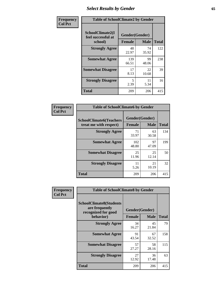# *Select Results by Gender* **65**

| Frequency      | <b>Table of SchoolClimate2 by Gender</b>          |               |                               |              |
|----------------|---------------------------------------------------|---------------|-------------------------------|--------------|
| <b>Col Pct</b> | SchoolClimate2(I<br>feel successful at<br>school) | <b>Female</b> | Gender(Gender)<br><b>Male</b> | <b>Total</b> |
|                | <b>Strongly Agree</b>                             | 48<br>22.97   | 74<br>35.92                   | 122          |
|                | <b>Somewhat Agree</b>                             | 139<br>66.51  | 99<br>48.06                   | 238          |
|                | <b>Somewhat Disagree</b>                          | 17<br>8.13    | 22<br>10.68                   | 39           |
|                | <b>Strongly Disagree</b>                          | 5<br>2.39     | 11<br>5.34                    | 16           |
|                | <b>Total</b>                                      | 209           | 206                           | 415          |

| Frequency      | <b>Table of SchoolClimate6 by Gender</b>                 |                                 |             |              |  |
|----------------|----------------------------------------------------------|---------------------------------|-------------|--------------|--|
| <b>Col Pct</b> | <b>SchoolClimate6(Teachers</b><br>treat me with respect) | Gender(Gender)<br><b>Female</b> | <b>Male</b> | <b>Total</b> |  |
|                | <b>Strongly Agree</b>                                    | 71<br>33.97                     | 63<br>30.58 | 134          |  |
|                | <b>Somewhat Agree</b>                                    | 102<br>48.80                    | 97<br>47.09 | 199          |  |
|                | <b>Somewhat Disagree</b>                                 | 25<br>11.96                     | 25<br>12.14 | 50           |  |
|                | <b>Strongly Disagree</b>                                 | 11<br>5.26                      | 21<br>10.19 | 32           |  |
|                | <b>Total</b>                                             | 209                             | 206         | 415          |  |

| Frequency      | <b>Table of SchoolClimate8 by Gender</b>                                             |                                 |             |              |
|----------------|--------------------------------------------------------------------------------------|---------------------------------|-------------|--------------|
| <b>Col Pct</b> | <b>SchoolClimate8(Students</b><br>are frequently<br>recognized for good<br>behavior) | Gender(Gender)<br><b>Female</b> | <b>Male</b> | <b>Total</b> |
|                | <b>Strongly Agree</b>                                                                | 34<br>16.27                     | 45<br>21.84 | 79           |
|                | <b>Somewhat Agree</b>                                                                | 91<br>43.54                     | 67<br>32.52 | 158          |
|                | <b>Somewhat Disagree</b>                                                             | 57<br>27.27                     | 58<br>28.16 | 115          |
|                | <b>Strongly Disagree</b>                                                             | 27<br>12.92                     | 36<br>17.48 | 63           |
|                | <b>Total</b>                                                                         | 209                             | 206         | 415          |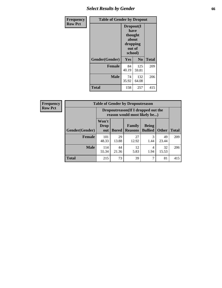# *Select Results by Gender* **66**

| Frequency      | <b>Table of Gender by Dropout</b> |                                                                        |                |              |
|----------------|-----------------------------------|------------------------------------------------------------------------|----------------|--------------|
| <b>Row Pct</b> |                                   | Dropout(I<br>have<br>thought<br>about<br>dropping<br>out of<br>school) |                |              |
|                | Gender(Gender)                    | Yes                                                                    | N <sub>0</sub> | <b>Total</b> |
|                | <b>Female</b>                     | 84<br>40.19                                                            | 125<br>59.81   | 209          |
|                | <b>Male</b>                       | 74<br>35.92                                                            | 132<br>64.08   | 206          |
|                | <b>Total</b>                      | 158                                                                    | 257            | 415          |

| <b>Frequency</b> | <b>Table of Gender by Dropoutreason</b> |                                                                     |              |                          |                                |              |              |
|------------------|-----------------------------------------|---------------------------------------------------------------------|--------------|--------------------------|--------------------------------|--------------|--------------|
| <b>Row Pct</b>   |                                         | Dropoutreason (If I dropped out the<br>reason would most likely be) |              |                          |                                |              |              |
|                  | <b>Gender</b> (Gender)                  | Won't<br><b>Drop</b><br>out                                         | <b>Bored</b> | Family<br><b>Reasons</b> | <b>Being</b><br><b>Bullied</b> | <b>Other</b> | <b>Total</b> |
|                  | <b>Female</b>                           | 101<br>48.33                                                        | 29<br>13.88  | 27<br>12.92              | 1.44                           | 49<br>23.44  | 209          |
|                  | <b>Male</b>                             | 114<br>55.34                                                        | 44<br>21.36  | 12<br>5.83               | 4<br>1.94                      | 32<br>15.53  | 206          |
|                  | <b>Total</b>                            | 215                                                                 | 73           | 39                       | 7                              | 81           | 415          |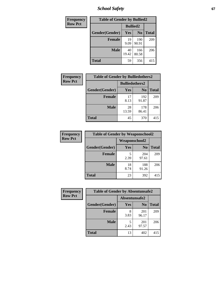*School Safety* **67**

| Frequency      | <b>Table of Gender by Bullied2</b> |                 |                |              |
|----------------|------------------------------------|-----------------|----------------|--------------|
| <b>Row Pct</b> |                                    | <b>Bullied2</b> |                |              |
|                | Gender(Gender)                     | Yes             | N <sub>0</sub> | <b>Total</b> |
|                | <b>Female</b>                      | 19<br>9.09      | 190<br>90.91   | 209          |
|                | <b>Male</b>                        | 40<br>19.42     | 166<br>80.58   | 206          |
|                | <b>Total</b>                       | 59              | 356            | 415          |

| Frequency      | <b>Table of Gender by Bulliedothers2</b> |                       |              |              |  |
|----------------|------------------------------------------|-----------------------|--------------|--------------|--|
| <b>Row Pct</b> |                                          | <b>Bulliedothers2</b> |              |              |  |
|                | Gender(Gender)                           | <b>Yes</b>            | $\bf N_0$    | <b>Total</b> |  |
|                | <b>Female</b>                            | 17<br>8.13            | 192<br>91.87 | 209          |  |
|                | <b>Male</b>                              | 28<br>13.59           | 178<br>86.41 | 206          |  |
|                | <b>Total</b>                             | 45                    | 370          | 415          |  |

| <b>Frequency</b> | <b>Table of Gender by Weaponschool2</b> |               |                |              |
|------------------|-----------------------------------------|---------------|----------------|--------------|
| <b>Row Pct</b>   |                                         | Weaponschool2 |                |              |
|                  | Gender(Gender)                          | Yes           | N <sub>0</sub> | <b>Total</b> |
|                  | <b>Female</b>                           | 5<br>2.39     | 204<br>97.61   | 209          |
|                  | <b>Male</b>                             | 18<br>8.74    | 188<br>91.26   | 206          |
|                  | <b>Total</b>                            | 23            | 392            | 415          |

| Frequency      | <b>Table of Gender by Absentunsafe2</b> |               |                |              |
|----------------|-----------------------------------------|---------------|----------------|--------------|
| <b>Row Pct</b> |                                         | Absentunsafe2 |                |              |
|                | Gender(Gender)                          | Yes           | N <sub>0</sub> | <b>Total</b> |
|                | <b>Female</b>                           | 3.83          | 201<br>96.17   | 209          |
|                | <b>Male</b>                             | 2.43          | 201<br>97.57   | 206          |
|                | <b>Total</b>                            | 13            | 402            | 415          |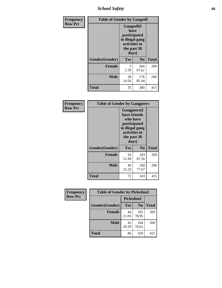*School Safety* **68**

| Frequency      | <b>Table of Gender by Gangself</b> |                                                                                                |                |              |
|----------------|------------------------------------|------------------------------------------------------------------------------------------------|----------------|--------------|
| <b>Row Pct</b> |                                    | Gangself(I<br>have<br>participated<br>in illegal gang<br>activities in<br>the past 30<br>days) |                |              |
|                | Gender(Gender)                     | Yes                                                                                            | N <sub>0</sub> | <b>Total</b> |
|                | <b>Female</b>                      | 5<br>2.39                                                                                      | 204<br>97.61   | 209          |
|                | <b>Male</b>                        | 30<br>14.56                                                                                    | 176<br>85.44   | 206          |
|                | <b>Total</b>                       | 35                                                                                             | 380            | 415          |

| Frequency      | <b>Table of Gender by Gangpeers</b> |                                                                                                                             |                |              |
|----------------|-------------------------------------|-----------------------------------------------------------------------------------------------------------------------------|----------------|--------------|
| <b>Row Pct</b> |                                     | <b>Gangpeers</b> (I<br>have friends<br>who have<br>participated<br>in illegal gang<br>activities in<br>the past 30<br>days) |                |              |
|                | Gender(Gender)                      | <b>Yes</b>                                                                                                                  | N <sub>0</sub> | <b>Total</b> |
|                | <b>Female</b>                       | 26<br>12.44                                                                                                                 | 183<br>87.56   | 209          |
|                | <b>Male</b>                         | 46<br>22.33                                                                                                                 | 160<br>77.67   | 206          |
|                | Total                               | 72                                                                                                                          | 343            | 415          |

| Frequency      | <b>Table of Gender by Pickedon2</b> |             |                |              |
|----------------|-------------------------------------|-------------|----------------|--------------|
| <b>Row Pct</b> |                                     | Pickedon2   |                |              |
|                | Gender(Gender)                      | Yes         | N <sub>0</sub> | <b>Total</b> |
|                | <b>Female</b>                       | 44<br>21.05 | 165<br>78.95   | 209          |
|                | <b>Male</b>                         | 42<br>20.39 | 164<br>79.61   | 206          |
|                | <b>Total</b>                        | 86          | 329            | 415          |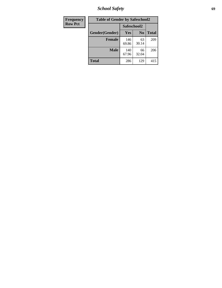*School Safety* **69**

| Frequency      | <b>Table of Gender by Safeschool2</b> |              |                |              |
|----------------|---------------------------------------|--------------|----------------|--------------|
| <b>Row Pct</b> |                                       | Safeschool2  |                |              |
|                | Gender(Gender)                        | Yes          | N <sub>0</sub> | <b>Total</b> |
|                | <b>Female</b>                         | 146<br>69.86 | 63<br>30.14    | 209          |
|                | Male                                  | 140<br>67.96 | 66<br>32.04    | 206          |
|                | <b>Total</b>                          | 286          | 129            | 415          |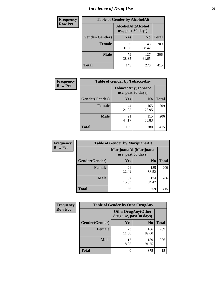# *Incidence of Drug Use* **70**

| <b>Frequency</b> | <b>Table of Gender by AlcoholAlt</b> |                                          |                |              |
|------------------|--------------------------------------|------------------------------------------|----------------|--------------|
| <b>Row Pct</b>   |                                      | AlcoholAlt(Alcohol<br>use, past 30 days) |                |              |
|                  | Gender(Gender)                       | <b>Yes</b>                               | N <sub>0</sub> | <b>Total</b> |
|                  | <b>Female</b>                        | 66<br>31.58                              | 143<br>68.42   | 209          |
|                  | <b>Male</b>                          | 79<br>38.35                              | 127<br>61.65   | 206          |
|                  | <b>Total</b>                         | 145                                      | 270            | 415          |

| Frequency      | <b>Table of Gender by TobaccoAny</b> |                                          |                |              |  |
|----------------|--------------------------------------|------------------------------------------|----------------|--------------|--|
| <b>Row Pct</b> |                                      | TobaccoAny(Tobacco<br>use, past 30 days) |                |              |  |
|                | Gender(Gender)                       | Yes                                      | N <sub>0</sub> | <b>Total</b> |  |
|                | <b>Female</b>                        | 44<br>21.05                              | 165<br>78.95   | 209          |  |
|                | <b>Male</b>                          | 91<br>44.17                              | 115<br>55.83   | 206          |  |
|                | Total                                | 135                                      | 280            | 415          |  |

| <b>Frequency</b> | <b>Table of Gender by MarijuanaAlt</b> |             |                                              |              |
|------------------|----------------------------------------|-------------|----------------------------------------------|--------------|
| <b>Row Pct</b>   |                                        |             | MarijuanaAlt(Marijuana<br>use, past 30 days) |              |
|                  | Gender(Gender)                         | <b>Yes</b>  | N <sub>0</sub>                               | <b>Total</b> |
|                  | <b>Female</b>                          | 24<br>11.48 | 185<br>88.52                                 | 209          |
|                  | <b>Male</b>                            | 32<br>15.53 | 174<br>84.47                                 | 206          |
|                  | <b>Total</b>                           | 56          | 359                                          | 415          |

| <b>Frequency</b> | <b>Table of Gender by OtherDrugAny</b> |                                                      |                |              |
|------------------|----------------------------------------|------------------------------------------------------|----------------|--------------|
| <b>Row Pct</b>   |                                        | <b>OtherDrugAny(Other</b><br>drug use, past 30 days) |                |              |
|                  | Gender(Gender)                         | <b>Yes</b>                                           | N <sub>0</sub> | <b>Total</b> |
|                  | <b>Female</b>                          | 23<br>11.00                                          | 186<br>89.00   | 209          |
|                  | <b>Male</b>                            | 17<br>8.25                                           | 189<br>91.75   | 206          |
|                  | <b>Total</b>                           | 40                                                   | 375            | 415          |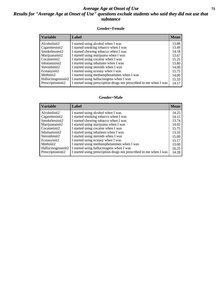### *Average Age at Onset of Use* **71** *Results for "Average Age at Onset of Use" questions exclude students who said they did not use that substance*

#### **Gender=Female**

| <b>Variable</b>                 | Label                                                              | <b>Mean</b> |
|---------------------------------|--------------------------------------------------------------------|-------------|
| Alcoholinit2                    | I started using alcohol when I was                                 | 13.88       |
| Cigarettesinit2                 | I started smoking tobacco when I was                               | 13.49       |
| Smokelessinit2                  | I started chewing tobacco when I was                               | 14.18       |
| Marijuanainit2                  | I started using marijuana when I was                               | 13.67       |
| Cocaineinit2                    | I started using cocaine when I was                                 | 15.25       |
| Inhalantsinit2                  | I started using inhalants when I was                               | 13.80       |
| Steroidsinit2                   | I started using steroids when I was                                | 14.00       |
| Ecstasyinit2                    | I started using ecstasy when I was                                 | 15.75       |
| Methinit2                       | I started using methamphetamines when I was                        | 14.00       |
| Hallucinogensinit2              | I started using hallucinogens when I was                           | 15.33       |
| Prescription in it <sub>2</sub> | I started using prescription drugs not prescribed to me when I was | 14.17       |

#### **Gender=Male**

| <b>Variable</b>    | Label                                                              | <b>Mean</b> |
|--------------------|--------------------------------------------------------------------|-------------|
| Alcoholinit2       | I started using alcohol when I was                                 | 14.25       |
| Cigarettesinit2    | I started smoking tobacco when I was                               | 14.15       |
| Smokelessinit2     | I started chewing tobacco when I was                               | 13.74       |
| Marijuanainit2     | I started using marijuana when I was                               | 14.02       |
| Cocaineinit2       | I started using cocaine when I was                                 | 15.75       |
| Inhalantsinit2     | I started using inhalants when I was                               | 13.33       |
| Steroidsinit2      | I started using steroids when I was                                | 15.00       |
| Ecstasyinit2       | I started using ecstasy when I was                                 | 15.17       |
| Methinit2          | I started using methamphetamines when I was                        | 13.00       |
| Hallucinogensinit2 | I started using hallucinogens when I was                           | 16.25       |
| Prescriptioninit2  | I started using prescription drugs not prescribed to me when I was | 14.28       |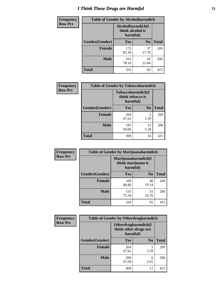# *I Think These Drugs are Harmful* **72**

| <b>Frequency</b> | <b>Table of Gender by Alcoholharmdich</b> |                                                   |                |              |
|------------------|-------------------------------------------|---------------------------------------------------|----------------|--------------|
| <b>Row Pct</b>   |                                           | Alcoholharmdich(I<br>think alcohol is<br>harmful) |                |              |
|                  | Gender(Gender)                            | Yes                                               | N <sub>0</sub> | <b>Total</b> |
|                  | <b>Female</b>                             | 172<br>82.30                                      | 37<br>17.70    | 209          |
|                  | <b>Male</b>                               | 161<br>78.16                                      | 45<br>21.84    | 206          |
|                  | Total                                     | 333                                               | 82             | 415          |

| Frequency      | <b>Table of Gender by Tobaccoharmdich</b> |                                                   |                |              |
|----------------|-------------------------------------------|---------------------------------------------------|----------------|--------------|
| <b>Row Pct</b> |                                           | Tobaccoharmdich(I<br>think tobacco is<br>harmful) |                |              |
|                | Gender(Gender)                            | <b>Yes</b>                                        | N <sub>0</sub> | <b>Total</b> |
|                | <b>Female</b>                             | 204<br>97.61                                      | 5<br>2.39      | 209          |
|                | <b>Male</b>                               | 195<br>94.66                                      | 11<br>5.34     | 206          |
|                | <b>Total</b>                              | 399                                               | 16             | 415          |

| Frequency      | <b>Table of Gender by Marijuanaharmdich</b> |                                                       |                |              |  |
|----------------|---------------------------------------------|-------------------------------------------------------|----------------|--------------|--|
| <b>Row Pct</b> |                                             | Marijuanaharmdich(I<br>think marijuana is<br>harmful) |                |              |  |
|                | Gender(Gender)                              | <b>Yes</b>                                            | N <sub>0</sub> | <b>Total</b> |  |
|                | <b>Female</b>                               | 169<br>80.86                                          | 40<br>19.14    | 209          |  |
|                | <b>Male</b>                                 | 155<br>75.24                                          | 51<br>24.76    | 206          |  |
|                | <b>Total</b>                                | 324                                                   | 91             | 415          |  |

| Frequency      | <b>Table of Gender by Otherdrugharmdich</b> |                                                          |                |              |
|----------------|---------------------------------------------|----------------------------------------------------------|----------------|--------------|
| <b>Row Pct</b> |                                             | Otherdrugharmdich(I<br>think other drugs are<br>harmful) |                |              |
|                | Gender(Gender)                              | <b>Yes</b>                                               | N <sub>0</sub> | <b>Total</b> |
|                | <b>Female</b>                               | 204<br>97.61                                             | 5<br>2.39      | 209          |
|                | <b>Male</b>                                 | 200<br>97.09                                             | 6<br>2.91      | 206          |
|                | <b>Total</b>                                | 404                                                      | 11             | 415          |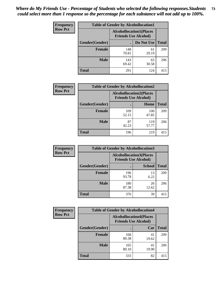| <b>Frequency</b> | <b>Table of Gender by Alcohollocation1</b> |                                                               |             |              |
|------------------|--------------------------------------------|---------------------------------------------------------------|-------------|--------------|
| <b>Row Pct</b>   |                                            | <b>Alcohollocation1(Places</b><br><b>Friends Use Alcohol)</b> |             |              |
|                  | Gender(Gender)                             |                                                               | Do Not Use  | <b>Total</b> |
|                  | <b>Female</b>                              | 148<br>70.81                                                  | 61<br>29.19 | 209          |
|                  | <b>Male</b>                                | 143<br>69.42                                                  | 63<br>30.58 | 206          |
|                  | <b>Total</b>                               | 291                                                           | 124         | 415          |

| <b>Frequency</b> | <b>Table of Gender by Alcohollocation2</b> |              |                                                               |              |
|------------------|--------------------------------------------|--------------|---------------------------------------------------------------|--------------|
| <b>Row Pct</b>   |                                            |              | <b>Alcohollocation2(Places</b><br><b>Friends Use Alcohol)</b> |              |
|                  | Gender(Gender)                             |              | Home                                                          | <b>Total</b> |
|                  | <b>Female</b>                              | 109<br>52.15 | 100<br>47.85                                                  | 209          |
|                  | <b>Male</b>                                | 87<br>42.23  | 119<br>57.77                                                  | 206          |
|                  | <b>Total</b>                               | 196          | 219                                                           | 415          |

| Frequency      | <b>Table of Gender by Alcohollocation3</b> |              |                                                               |              |
|----------------|--------------------------------------------|--------------|---------------------------------------------------------------|--------------|
| <b>Row Pct</b> |                                            |              | <b>Alcohollocation3(Places</b><br><b>Friends Use Alcohol)</b> |              |
|                | Gender(Gender)                             |              | <b>School</b>                                                 | <b>Total</b> |
|                | <b>Female</b>                              | 196<br>93.78 | 13<br>6.22                                                    | 209          |
|                | <b>Male</b>                                | 180<br>87.38 | 26<br>12.62                                                   | 206          |
|                | <b>Total</b>                               | 376          | 39                                                            | 415          |

| Frequency      | <b>Table of Gender by Alcohollocation4</b> |                                                               |             |              |
|----------------|--------------------------------------------|---------------------------------------------------------------|-------------|--------------|
| <b>Row Pct</b> |                                            | <b>Alcohollocation4(Places</b><br><b>Friends Use Alcohol)</b> |             |              |
|                | Gender(Gender)                             |                                                               | Car         | <b>Total</b> |
|                | Female                                     | 168<br>80.38                                                  | 41<br>19.62 | 209          |
|                | <b>Male</b>                                | 165<br>80.10                                                  | 41<br>19.90 | 206          |
|                | <b>Total</b>                               | 333                                                           | 82          | 415          |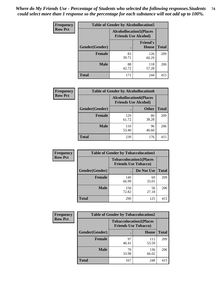| <b>Frequency</b> |                | <b>Table of Gender by Alcohollocation5</b>                    |                                 |              |
|------------------|----------------|---------------------------------------------------------------|---------------------------------|--------------|
| <b>Row Pct</b>   |                | <b>Alcohollocation5(Places</b><br><b>Friends Use Alcohol)</b> |                                 |              |
|                  | Gender(Gender) | $\bullet$                                                     | <b>Friend's</b><br><b>House</b> | <b>Total</b> |
|                  | <b>Female</b>  | 83<br>39.71                                                   | 126<br>60.29                    | 209          |
|                  | <b>Male</b>    | 88<br>42.72                                                   | 118<br>57.28                    | 206          |
|                  | <b>Total</b>   | 171                                                           | 244                             | 415          |

| <b>Frequency</b> | <b>Table of Gender by Alcohollocation6</b> |                                                               |              |              |
|------------------|--------------------------------------------|---------------------------------------------------------------|--------------|--------------|
| <b>Row Pct</b>   |                                            | <b>Alcohollocation6(Places</b><br><b>Friends Use Alcohol)</b> |              |              |
|                  | <b>Gender</b> (Gender)                     |                                                               | <b>Other</b> | <b>Total</b> |
|                  | <b>Female</b>                              | 129<br>61.72                                                  | 80<br>38.28  | 209          |
|                  | <b>Male</b>                                | 110<br>53.40                                                  | 96<br>46.60  | 206          |
|                  | <b>Total</b>                               | 239                                                           | 176          | 415          |

| Frequency      | <b>Table of Gender by Tobaccolocation1</b> |                                                               |             |              |  |
|----------------|--------------------------------------------|---------------------------------------------------------------|-------------|--------------|--|
| <b>Row Pct</b> |                                            | <b>Tobaccolocation1(Places</b><br><b>Friends Use Tobacco)</b> |             |              |  |
|                | Gender(Gender)                             |                                                               | Do Not Use  | <b>Total</b> |  |
|                | Female                                     | 140<br>66.99                                                  | 69<br>33.01 | 209          |  |
|                | <b>Male</b>                                | 150<br>72.82                                                  | 56<br>27.18 | 206          |  |
|                | <b>Total</b>                               | 290                                                           | 125         | 415          |  |

| <b>Frequency</b> | <b>Table of Gender by Tobaccolocation2</b> |                                                               |              |              |
|------------------|--------------------------------------------|---------------------------------------------------------------|--------------|--------------|
| <b>Row Pct</b>   |                                            | <b>Tobaccolocation2(Places</b><br><b>Friends Use Tobacco)</b> |              |              |
|                  | Gender(Gender)                             |                                                               | Home         | <b>Total</b> |
|                  | Female                                     | 97<br>46.41                                                   | 112<br>53.59 | 209          |
|                  | <b>Male</b>                                | 70<br>33.98                                                   | 136<br>66.02 | 206          |
|                  | <b>Total</b>                               | 167                                                           | 248          | 415          |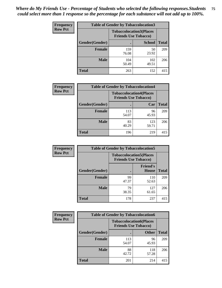| <b>Frequency</b> | <b>Table of Gender by Tobaccolocation3</b> |              |                                                               |              |
|------------------|--------------------------------------------|--------------|---------------------------------------------------------------|--------------|
| <b>Row Pct</b>   |                                            |              | <b>Tobaccolocation3(Places</b><br><b>Friends Use Tobacco)</b> |              |
|                  | Gender(Gender)                             |              | <b>School</b>                                                 | <b>Total</b> |
|                  | Female                                     | 159<br>76.08 | 50<br>23.92                                                   | 209          |
|                  | <b>Male</b>                                | 104<br>50.49 | 102<br>49.51                                                  | 206          |
|                  | <b>Total</b>                               | 263          | 152                                                           | 415          |

| <b>Frequency</b> | <b>Table of Gender by Tobaccolocation4</b> |                             |                                |              |
|------------------|--------------------------------------------|-----------------------------|--------------------------------|--------------|
| <b>Row Pct</b>   |                                            | <b>Friends Use Tobacco)</b> | <b>Tobaccolocation4(Places</b> |              |
|                  | <b>Gender</b> (Gender)                     | с                           | Car                            | <b>Total</b> |
|                  | Female                                     | 113<br>54.07                | 96<br>45.93                    | 209          |
|                  | <b>Male</b>                                | 83<br>40.29                 | 123<br>59.71                   | 206          |
|                  | <b>Total</b>                               | 196                         | 219                            | 415          |

| <b>Frequency</b> | <b>Table of Gender by Tobaccolocation5</b> |                                                               |                                 |              |
|------------------|--------------------------------------------|---------------------------------------------------------------|---------------------------------|--------------|
| <b>Row Pct</b>   |                                            | <b>Tobaccolocation5(Places</b><br><b>Friends Use Tobacco)</b> |                                 |              |
|                  | Gender(Gender)                             |                                                               | <b>Friend's</b><br><b>House</b> | <b>Total</b> |
|                  | <b>Female</b>                              | 99<br>47.37                                                   | 110<br>52.63                    | 209          |
|                  | <b>Male</b>                                | 79<br>38.35                                                   | 127<br>61.65                    | 206          |
|                  | <b>Total</b>                               | 178                                                           | 237                             | 415          |

| <b>Frequency</b> | <b>Table of Gender by Tobaccolocation6</b> |                                                               |              |              |
|------------------|--------------------------------------------|---------------------------------------------------------------|--------------|--------------|
| <b>Row Pct</b>   |                                            | <b>Tobaccolocation6(Places</b><br><b>Friends Use Tobacco)</b> |              |              |
|                  | Gender(Gender)                             |                                                               | <b>Other</b> | <b>Total</b> |
|                  | Female                                     | 113<br>54.07                                                  | 96<br>45.93  | 209          |
|                  | <b>Male</b>                                | 88<br>42.72                                                   | 118<br>57.28 | 206          |
|                  | <b>Total</b>                               | 201                                                           | 214          | 415          |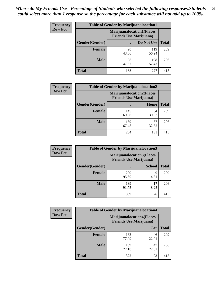| <b>Frequency</b> | <b>Table of Gender by Marijuanalocation1</b> |                                                                    |              |              |
|------------------|----------------------------------------------|--------------------------------------------------------------------|--------------|--------------|
| <b>Row Pct</b>   |                                              | <b>Marijuanalocation1(Places</b><br><b>Friends Use Marijuana</b> ) |              |              |
|                  | Gender(Gender)                               |                                                                    | Do Not Use   | <b>Total</b> |
|                  | <b>Female</b>                                | 90<br>43.06                                                        | 119<br>56.94 | 209          |
|                  | <b>Male</b>                                  | 98<br>47.57                                                        | 108<br>52.43 | 206          |
|                  | <b>Total</b>                                 | 188                                                                | 227          | 415          |

| <b>Frequency</b> | <b>Table of Gender by Marijuanalocation2</b> |                                                                    |             |              |
|------------------|----------------------------------------------|--------------------------------------------------------------------|-------------|--------------|
| <b>Row Pct</b>   |                                              | <b>Marijuanalocation2(Places</b><br><b>Friends Use Marijuana</b> ) |             |              |
|                  | Gender(Gender)                               |                                                                    | Home        | <b>Total</b> |
|                  | <b>Female</b>                                | 145<br>69.38                                                       | 64<br>30.62 | 209          |
|                  | <b>Male</b>                                  | 139<br>67.48                                                       | 67<br>32.52 | 206          |
|                  | <b>Total</b>                                 | 284                                                                | 131         | 415          |

| Frequency      | <b>Table of Gender by Marijuanalocation3</b> |                                                                    |               |              |
|----------------|----------------------------------------------|--------------------------------------------------------------------|---------------|--------------|
| <b>Row Pct</b> |                                              | <b>Marijuanalocation3(Places</b><br><b>Friends Use Marijuana</b> ) |               |              |
|                | Gender(Gender)                               |                                                                    | <b>School</b> | <b>Total</b> |
|                | Female                                       | 200<br>95.69                                                       | q<br>4.31     | 209          |
|                | <b>Male</b>                                  | 189<br>91.75                                                       | 17<br>8.25    | 206          |
|                | <b>Total</b>                                 | 389                                                                | 26            | 415          |

| <b>Frequency</b> | <b>Table of Gender by Marijuanalocation4</b> |                                                                    |             |              |
|------------------|----------------------------------------------|--------------------------------------------------------------------|-------------|--------------|
| <b>Row Pct</b>   |                                              | <b>Marijuanalocation4(Places</b><br><b>Friends Use Marijuana</b> ) |             |              |
|                  | Gender(Gender)                               |                                                                    | Car         | <b>Total</b> |
|                  | <b>Female</b>                                | 163<br>77.99                                                       | 46<br>22.01 | 209          |
|                  | <b>Male</b>                                  | 159<br>77.18                                                       | 47<br>22.82 | 206          |
|                  | <b>Total</b>                                 | 322                                                                | 93          | 415          |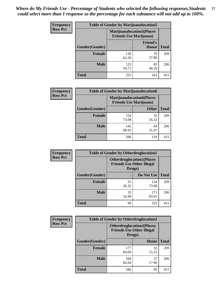| Frequency      | <b>Table of Gender by Marijuanalocation5</b> |                                                                    |                          |              |
|----------------|----------------------------------------------|--------------------------------------------------------------------|--------------------------|--------------|
| <b>Row Pct</b> |                                              | <b>Marijuanalocation5(Places</b><br><b>Friends Use Marijuana</b> ) |                          |              |
|                | Gender(Gender)                               |                                                                    | <b>Friend's</b><br>House | <b>Total</b> |
|                | <b>Female</b>                                | 130<br>62.20                                                       | 79<br>37.80              | 209          |
|                | <b>Male</b>                                  | 123<br>59.71                                                       | 83<br>40.29              | 206          |
|                | <b>Total</b>                                 | 253                                                                | 162                      | 415          |

| <b>Frequency</b> | <b>Table of Gender by Marijuanalocation6</b> |                                |                                   |              |  |
|------------------|----------------------------------------------|--------------------------------|-----------------------------------|--------------|--|
| <b>Row Pct</b>   |                                              | <b>Friends Use Marijuana</b> ) | <b>Marijuanalocation6(Places)</b> |              |  |
|                  | Gender(Gender)                               |                                | <b>Other</b>                      | <b>Total</b> |  |
|                  | <b>Female</b>                                | 154<br>73.68                   | 55<br>26.32                       | 209          |  |
|                  | <b>Male</b>                                  | 142<br>68.93                   | 64<br>31.07                       | 206          |  |
|                  | <b>Total</b>                                 | 296                            | 119                               | 415          |  |

| <b>Frequency</b> | <b>Table of Gender by Otherdruglocation1</b> |                                                                                |              |              |
|------------------|----------------------------------------------|--------------------------------------------------------------------------------|--------------|--------------|
| <b>Row Pct</b>   |                                              | <b>Otherdruglocation1(Places</b><br><b>Friends Use Other Illegal</b><br>Drugs) |              |              |
|                  | Gender(Gender)                               |                                                                                | Do Not Use   | <b>Total</b> |
|                  | Female                                       | 55<br>26.32                                                                    | 154<br>73.68 | 209          |
|                  | <b>Male</b>                                  | 35<br>16.99                                                                    | 171<br>83.01 | 206          |
|                  | <b>Total</b>                                 | 90                                                                             | 325          | 415          |

| <b>Frequency</b> | <b>Table of Gender by Otherdruglocation2</b> |                                            |                                  |              |
|------------------|----------------------------------------------|--------------------------------------------|----------------------------------|--------------|
| <b>Row Pct</b>   |                                              | <b>Friends Use Other Illegal</b><br>Drugs) | <b>Otherdruglocation2(Places</b> |              |
|                  | Gender(Gender)                               |                                            | Home                             | <b>Total</b> |
|                  | Female                                       | 177<br>84.69                               | 32<br>15.31                      | 209          |
|                  | <b>Male</b>                                  | 169<br>82.04                               | 37<br>17.96                      | 206          |
|                  | <b>Total</b>                                 | 346                                        | 69                               | 415          |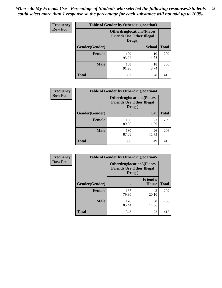| Frequency      | <b>Table of Gender by Otherdruglocation3</b> |                                                                                |               |              |
|----------------|----------------------------------------------|--------------------------------------------------------------------------------|---------------|--------------|
| <b>Row Pct</b> |                                              | <b>Otherdruglocation3(Places</b><br><b>Friends Use Other Illegal</b><br>Drugs) |               |              |
|                | Gender(Gender)                               |                                                                                | <b>School</b> | <b>Total</b> |
|                | Female                                       | 199<br>95.22                                                                   | 10<br>4.78    | 209          |
|                | <b>Male</b>                                  | 188<br>91.26                                                                   | 18<br>8.74    | 206          |
|                | <b>Total</b>                                 | 387                                                                            | 28            | 415          |

| Frequency      | <b>Table of Gender by Otherdruglocation4</b> |                                                                                |             |              |
|----------------|----------------------------------------------|--------------------------------------------------------------------------------|-------------|--------------|
| <b>Row Pct</b> |                                              | <b>Otherdruglocation4(Places</b><br><b>Friends Use Other Illegal</b><br>Drugs) |             |              |
|                | <b>Gender</b> (Gender)                       |                                                                                | Car         | <b>Total</b> |
|                | <b>Female</b>                                | 186<br>89.00                                                                   | 23<br>11.00 | 209          |
|                | <b>Male</b>                                  | 180<br>87.38                                                                   | 26<br>12.62 | 206          |
|                | <b>Total</b>                                 | 366                                                                            | 49          | 415          |

| Frequency      | <b>Table of Gender by Otherdruglocation5</b> |                                            |                                  |              |
|----------------|----------------------------------------------|--------------------------------------------|----------------------------------|--------------|
| <b>Row Pct</b> |                                              | <b>Friends Use Other Illegal</b><br>Drugs) | <b>Otherdruglocation5(Places</b> |              |
|                | Gender(Gender)                               |                                            | <b>Friend's</b><br><b>House</b>  | <b>Total</b> |
|                | <b>Female</b>                                | 167<br>79.90                               | 42<br>20.10                      | 209          |
|                | <b>Male</b>                                  | 176<br>85.44                               | 30<br>14.56                      | 206          |
|                | <b>Total</b>                                 | 343                                        | 72                               | 415          |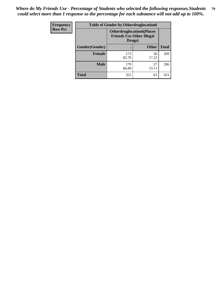| <b>Frequency</b> | <b>Table of Gender by Otherdruglocation6</b> |                                            |                                  |              |
|------------------|----------------------------------------------|--------------------------------------------|----------------------------------|--------------|
| <b>Row Pct</b>   |                                              | <b>Friends Use Other Illegal</b><br>Drugs) | <b>Otherdruglocation6(Places</b> |              |
|                  | Gender(Gender)                               |                                            | <b>Other</b>                     | <b>Total</b> |
|                  | Female                                       | 173<br>82.78                               | 36<br>17.22                      | 209          |
|                  | <b>Male</b>                                  | 179<br>86.89                               | 27<br>13.11                      | 206          |
|                  | <b>Total</b>                                 | 352                                        | 63                               | 415          |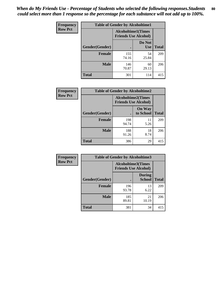| <b>Frequency</b> | <b>Table of Gender by Alcoholtime1</b> |                                                   |                      |              |
|------------------|----------------------------------------|---------------------------------------------------|----------------------|--------------|
| <b>Row Pct</b>   |                                        | Alcoholtime1(Times<br><b>Friends Use Alcohol)</b> |                      |              |
|                  | Gender(Gender)                         |                                                   | Do Not<br><b>Use</b> | <b>Total</b> |
|                  | <b>Female</b>                          | 155<br>74.16                                      | 54<br>25.84          | 209          |
|                  | <b>Male</b>                            | 146<br>70.87                                      | 60<br>29.13          | 206          |
|                  | <b>Total</b>                           | 301                                               | 114                  | 415          |

| <b>Frequency</b> | <b>Table of Gender by Alcoholtime2</b> |                                                          |                            |              |
|------------------|----------------------------------------|----------------------------------------------------------|----------------------------|--------------|
| <b>Row Pct</b>   |                                        | <b>Alcoholtime2(Times</b><br><b>Friends Use Alcohol)</b> |                            |              |
|                  | Gender(Gender)                         |                                                          | <b>On Way</b><br>to School | <b>Total</b> |
|                  | <b>Female</b>                          | 198<br>94.74                                             | 11<br>5.26                 | 209          |
|                  | <b>Male</b>                            | 188<br>91.26                                             | 18<br>8.74                 | 206          |
|                  | <b>Total</b>                           | 386                                                      | 29                         | 415          |

| Frequency      | <b>Table of Gender by Alcoholtime3</b> |                                                          |                                |              |
|----------------|----------------------------------------|----------------------------------------------------------|--------------------------------|--------------|
| <b>Row Pct</b> |                                        | <b>Alcoholtime3(Times</b><br><b>Friends Use Alcohol)</b> |                                |              |
|                | Gender(Gender)                         |                                                          | <b>During</b><br><b>School</b> | <b>Total</b> |
|                | <b>Female</b>                          | 196<br>93.78                                             | 13<br>6.22                     | 209          |
|                | <b>Male</b>                            | 185<br>89.81                                             | 21<br>10.19                    | 206          |
|                | <b>Total</b>                           | 381                                                      | 34                             | 415          |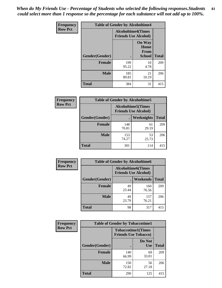*When do My Friends Use - Percentage of Students who selected the following responses.Students could select more than 1 response so the percentage for each substance will not add up to 100%.* **81**

| <b>Frequency</b> | <b>Table of Gender by Alcoholtime4</b> |                                                          |                                                |              |
|------------------|----------------------------------------|----------------------------------------------------------|------------------------------------------------|--------------|
| <b>Row Pct</b>   |                                        | <b>Alcoholtime4(Times</b><br><b>Friends Use Alcohol)</b> |                                                |              |
|                  | Gender(Gender)                         |                                                          | <b>On Way</b><br>Home<br>From<br><b>School</b> | <b>Total</b> |
|                  | <b>Female</b>                          | 199<br>95.22                                             | 10<br>4.78                                     | 209          |
|                  | <b>Male</b>                            | 185<br>89.81                                             | 21<br>10.19                                    | 206          |
|                  | <b>Total</b>                           | 384                                                      | 31                                             | 415          |

| <b>Frequency</b> | <b>Table of Gender by Alcoholtime5</b> |                                                           |             |              |
|------------------|----------------------------------------|-----------------------------------------------------------|-------------|--------------|
| <b>Row Pct</b>   |                                        | <b>Alcoholtime5</b> (Times<br><b>Friends Use Alcohol)</b> |             |              |
|                  | Gender(Gender)                         |                                                           | Weeknights  | <b>Total</b> |
|                  | <b>Female</b>                          | 148<br>70.81                                              | 61<br>29.19 | 209          |
|                  | <b>Male</b>                            | 153<br>74.27                                              | 53<br>25.73 | 206          |
|                  | <b>Total</b>                           | 301                                                       | 114         | 415          |

| <b>Frequency</b> | <b>Table of Gender by Alcoholtime6</b> |             |                                                           |              |  |
|------------------|----------------------------------------|-------------|-----------------------------------------------------------|--------------|--|
| <b>Row Pct</b>   |                                        |             | <b>Alcoholtime6</b> (Times<br><b>Friends Use Alcohol)</b> |              |  |
|                  | Gender(Gender)                         |             | Weekends                                                  | <b>Total</b> |  |
|                  | Female                                 | 49<br>23.44 | 160<br>76.56                                              | 209          |  |
|                  | <b>Male</b>                            | 49<br>23.79 | 157<br>76.21                                              | 206          |  |
|                  | <b>Total</b>                           | 98          | 317                                                       | 415          |  |

| Frequency      | <b>Table of Gender by Tobaccotime1</b> |                             |                           |              |
|----------------|----------------------------------------|-----------------------------|---------------------------|--------------|
| <b>Row Pct</b> |                                        | <b>Friends Use Tobacco)</b> | <b>Tobaccotime1(Times</b> |              |
|                | Gender(Gender)                         |                             | Do Not<br>Use             | <b>Total</b> |
|                | Female                                 | 140<br>66.99                | 69<br>33.01               | 209          |
|                | <b>Male</b>                            | 150<br>72.82                | 56<br>27.18               | 206          |
|                | <b>Total</b>                           | 290                         | 125                       | 415          |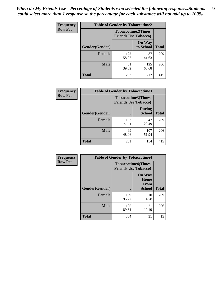*When do My Friends Use - Percentage of Students who selected the following responses.Students could select more than 1 response so the percentage for each substance will not add up to 100%.* **82**

| Frequency      | <b>Table of Gender by Tobaccotime2</b> |                                                          |                            |              |
|----------------|----------------------------------------|----------------------------------------------------------|----------------------------|--------------|
| <b>Row Pct</b> |                                        | <b>Tobaccotime2(Times</b><br><b>Friends Use Tobacco)</b> |                            |              |
|                | Gender(Gender)                         | $\bullet$                                                | <b>On Way</b><br>to School | <b>Total</b> |
|                | Female                                 | 122<br>58.37                                             | 87<br>41.63                | 209          |
|                | <b>Male</b>                            | 81<br>39.32                                              | 125<br>60.68               | 206          |
|                | Total                                  | 203                                                      | 212                        | 415          |

| Frequency      | <b>Table of Gender by Tobaccotime3</b> |                             |                                |              |
|----------------|----------------------------------------|-----------------------------|--------------------------------|--------------|
| <b>Row Pct</b> |                                        | <b>Friends Use Tobacco)</b> | <b>Tobaccotime3(Times</b>      |              |
|                | Gender(Gender)                         |                             | <b>During</b><br><b>School</b> | <b>Total</b> |
|                | <b>Female</b>                          | 162<br>77.51                | 47<br>22.49                    | 209          |
|                | <b>Male</b>                            | 99<br>48.06                 | 107<br>51.94                   | 206          |
|                | <b>Total</b>                           | 261                         | 154                            | 415          |

| <b>Frequency</b> | <b>Table of Gender by Tobaccotime4</b> |                                                          |                                                       |              |
|------------------|----------------------------------------|----------------------------------------------------------|-------------------------------------------------------|--------------|
| <b>Row Pct</b>   |                                        | <b>Tobaccotime4(Times</b><br><b>Friends Use Tobacco)</b> |                                                       |              |
|                  | Gender(Gender)                         |                                                          | <b>On Way</b><br>Home<br><b>From</b><br><b>School</b> | <b>Total</b> |
|                  | <b>Female</b>                          | 199<br>95.22                                             | 10<br>4.78                                            | 209          |
|                  | <b>Male</b>                            | 185<br>89.81                                             | 21<br>10.19                                           | 206          |
|                  | <b>Total</b>                           | 384                                                      | 31                                                    | 415          |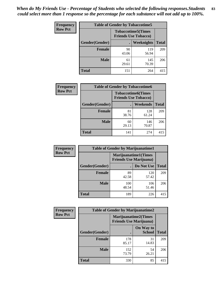| Frequency      | <b>Table of Gender by Tobaccotime5</b> |             |                                                          |              |  |
|----------------|----------------------------------------|-------------|----------------------------------------------------------|--------------|--|
| <b>Row Pct</b> |                                        |             | <b>Tobaccotime5(Times</b><br><b>Friends Use Tobacco)</b> |              |  |
|                | Gender(Gender)                         |             | Weeknights                                               | <b>Total</b> |  |
|                | <b>Female</b>                          | 90<br>43.06 | 119<br>56.94                                             | 209          |  |
|                | <b>Male</b>                            | 61<br>29.61 | 145<br>70.39                                             | 206          |  |
|                | <b>Total</b>                           | 151         | 264                                                      | 415          |  |

| <b>Frequency</b> | <b>Table of Gender by Tobaccotime6</b> |                                                          |                 |              |
|------------------|----------------------------------------|----------------------------------------------------------|-----------------|--------------|
| <b>Row Pct</b>   |                                        | <b>Tobaccotime6(Times</b><br><b>Friends Use Tobacco)</b> |                 |              |
|                  | Gender(Gender)                         |                                                          | <b>Weekends</b> | <b>Total</b> |
|                  | Female                                 | 81<br>38.76                                              | 128<br>61.24    | 209          |
|                  | <b>Male</b>                            | 60<br>29.13                                              | 146<br>70.87    | 206          |
|                  | <b>Total</b>                           | 141                                                      | 274             | 415          |

| Frequency      | <b>Table of Gender by Marijuanatime1</b> |                                                               |              |              |  |
|----------------|------------------------------------------|---------------------------------------------------------------|--------------|--------------|--|
| <b>Row Pct</b> |                                          | <b>Marijuanatime1(Times</b><br><b>Friends Use Marijuana</b> ) |              |              |  |
|                | Gender(Gender)                           |                                                               | Do Not Use   | <b>Total</b> |  |
|                | <b>Female</b>                            | 89<br>42.58                                                   | 120<br>57.42 | 209          |  |
|                | <b>Male</b>                              | 100<br>48.54                                                  | 106<br>51.46 | 206          |  |
|                | <b>Total</b>                             | 189                                                           | 226          | 415          |  |

| <b>Frequency</b> | <b>Table of Gender by Marijuanatime2</b> |                                                               |                            |              |
|------------------|------------------------------------------|---------------------------------------------------------------|----------------------------|--------------|
| <b>Row Pct</b>   |                                          | <b>Marijuanatime2(Times</b><br><b>Friends Use Marijuana</b> ) |                            |              |
|                  | Gender(Gender)                           |                                                               | On Way to<br><b>School</b> | <b>Total</b> |
|                  | Female                                   | 178<br>85.17                                                  | 31<br>14.83                | 209          |
|                  | <b>Male</b>                              | 152<br>73.79                                                  | 54<br>26.21                | 206          |
|                  | <b>Total</b>                             | 330                                                           | 85                         | 415          |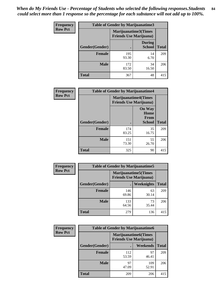*When do My Friends Use - Percentage of Students who selected the following responses.Students could select more than 1 response so the percentage for each substance will not add up to 100%.* **84**

| <b>Frequency</b> | Table of Gender by Marijuanatime3 |                                                        |                                |              |
|------------------|-----------------------------------|--------------------------------------------------------|--------------------------------|--------------|
| <b>Row Pct</b>   |                                   | Marijuanatime3(Times<br><b>Friends Use Marijuana</b> ) |                                |              |
|                  | Gender(Gender)                    |                                                        | <b>During</b><br><b>School</b> | <b>Total</b> |
|                  | <b>Female</b>                     | 195<br>93.30                                           | 14<br>6.70                     | 209          |
|                  | <b>Male</b>                       | 172<br>83.50                                           | 34<br>16.50                    | 206          |
|                  | <b>Total</b>                      | 367                                                    | 48                             | 415          |

| Frequency      | <b>Table of Gender by Marijuanatime4</b> |                                |                                                       |              |
|----------------|------------------------------------------|--------------------------------|-------------------------------------------------------|--------------|
| <b>Row Pct</b> |                                          | <b>Friends Use Marijuana</b> ) | <b>Marijuanatime4</b> (Times                          |              |
|                | <b>Gender</b> (Gender)                   |                                | <b>On Way</b><br>Home<br><b>From</b><br><b>School</b> | <b>Total</b> |
|                | <b>Female</b>                            | 174<br>83.25                   | 35<br>16.75                                           | 209          |
|                | <b>Male</b>                              | 151<br>73.30                   | 55<br>26.70                                           | 206          |
|                | <b>Total</b>                             | 325                            | 90                                                    | 415          |

| Frequency      |                | <b>Table of Gender by Marijuanatime5</b>                       |             |              |
|----------------|----------------|----------------------------------------------------------------|-------------|--------------|
| <b>Row Pct</b> |                | <b>Marijuanatime5</b> (Times<br><b>Friends Use Marijuana</b> ) |             |              |
|                | Gender(Gender) |                                                                | Weeknights  | <b>Total</b> |
|                | <b>Female</b>  | 146<br>69.86                                                   | 63<br>30.14 | 209          |
|                | <b>Male</b>    | 133<br>64.56                                                   | 73<br>35.44 | 206          |
|                | <b>Total</b>   | 279                                                            | 136         | 415          |

| Frequency      | <b>Table of Gender by Marijuanatime6</b> |                                                                |                 |              |  |
|----------------|------------------------------------------|----------------------------------------------------------------|-----------------|--------------|--|
| <b>Row Pct</b> |                                          | <b>Marijuanatime6</b> (Times<br><b>Friends Use Marijuana</b> ) |                 |              |  |
|                | <b>Gender</b> (Gender)                   |                                                                | <b>Weekends</b> | <b>Total</b> |  |
|                | <b>Female</b>                            | 112<br>53.59                                                   | 97<br>46.41     | 209          |  |
|                | <b>Male</b>                              | 97<br>47.09                                                    | 109<br>52.91    | 206          |  |
|                | <b>Total</b>                             | 209                                                            | 206             | 415          |  |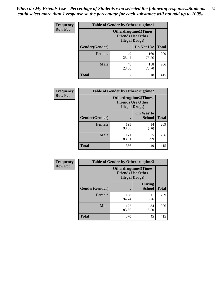*When do My Friends Use - Percentage of Students who selected the following responses.Students could select more than 1 response so the percentage for each substance will not add up to 100%.* **85**

| <b>Frequency</b> | <b>Table of Gender by Otherdrugtime1</b> |                        |                                                         |     |
|------------------|------------------------------------------|------------------------|---------------------------------------------------------|-----|
| <b>Row Pct</b>   |                                          | <b>Illegal Drugs</b> ) | <b>Otherdrugtime1(Times</b><br><b>Friends Use Other</b> |     |
|                  | Gender(Gender)                           |                        | Do Not Use   Total                                      |     |
|                  | <b>Female</b>                            | 49<br>23.44            | 160<br>76.56                                            | 209 |
|                  | <b>Male</b>                              | 48<br>23.30            | 158<br>76.70                                            | 206 |
|                  | <b>Total</b>                             | 97                     | 318                                                     | 415 |

| Frequency      | <b>Table of Gender by Otherdrugtime2</b> |                                                                                   |                            |              |
|----------------|------------------------------------------|-----------------------------------------------------------------------------------|----------------------------|--------------|
| <b>Row Pct</b> |                                          | <b>Otherdrugtime2(Times</b><br><b>Friends Use Other</b><br><b>Illegal Drugs</b> ) |                            |              |
|                | Gender(Gender)                           |                                                                                   | On Way to<br><b>School</b> | <b>Total</b> |
|                | <b>Female</b>                            | 195<br>93.30                                                                      | 14<br>6.70                 | 209          |
|                | <b>Male</b>                              | 171<br>83.01                                                                      | 35<br>16.99                | 206          |
|                | <b>Total</b>                             | 366                                                                               | 49                         | 415          |

| Frequency      |                | <b>Table of Gender by Otherdrugtime3</b>           |                                |              |
|----------------|----------------|----------------------------------------------------|--------------------------------|--------------|
| <b>Row Pct</b> |                | <b>Friends Use Other</b><br><b>Illegal Drugs</b> ) | <b>Otherdrugtime3(Times</b>    |              |
|                | Gender(Gender) |                                                    | <b>During</b><br><b>School</b> | <b>Total</b> |
|                | <b>Female</b>  | 198<br>94.74                                       | 11<br>5.26                     | 209          |
|                | <b>Male</b>    | 172<br>83.50                                       | 34<br>16.50                    | 206          |
|                | <b>Total</b>   | 370                                                | 45                             | 415          |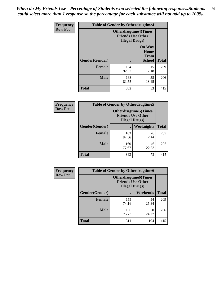*When do My Friends Use - Percentage of Students who selected the following responses.Students could select more than 1 response so the percentage for each substance will not add up to 100%.* **86**

| <b>Frequency</b> | <b>Table of Gender by Otherdrugtime4</b> |                                                    |                                                       |              |
|------------------|------------------------------------------|----------------------------------------------------|-------------------------------------------------------|--------------|
| <b>Row Pct</b>   |                                          | <b>Friends Use Other</b><br><b>Illegal Drugs</b> ) | <b>Otherdrugtime4(Times</b>                           |              |
|                  | Gender(Gender)                           |                                                    | <b>On Way</b><br>Home<br><b>From</b><br><b>School</b> | <b>Total</b> |
|                  | <b>Female</b>                            | 194<br>92.82                                       | 15<br>7.18                                            | 209          |
|                  | <b>Male</b>                              | 168<br>81.55                                       | 38<br>18.45                                           | 206          |
|                  | Total                                    | 362                                                | 53                                                    | 415          |

| Frequency      | <b>Table of Gender by Otherdrugtime5</b> |                                                                                    |             |              |
|----------------|------------------------------------------|------------------------------------------------------------------------------------|-------------|--------------|
| <b>Row Pct</b> |                                          | <b>Otherdrugtime5</b> (Times<br><b>Friends Use Other</b><br><b>Illegal Drugs</b> ) |             |              |
|                | Gender(Gender)                           |                                                                                    | Weeknights  | <b>Total</b> |
|                | <b>Female</b>                            | 183<br>87.56                                                                       | 26<br>12.44 | 209          |
|                | <b>Male</b>                              | 160<br>77.67                                                                       | 46<br>22.33 | 206          |
|                | <b>Total</b>                             | 343                                                                                | 72          | 415          |

| <b>Frequency</b> | <b>Table of Gender by Otherdrugtime6</b> |                                                                                   |             |              |
|------------------|------------------------------------------|-----------------------------------------------------------------------------------|-------------|--------------|
| <b>Row Pct</b>   |                                          | <b>Otherdrugtime6(Times</b><br><b>Friends Use Other</b><br><b>Illegal Drugs</b> ) |             |              |
|                  | Gender(Gender)                           |                                                                                   | Weekends    | <b>Total</b> |
|                  | <b>Female</b>                            | 155<br>74.16                                                                      | 54<br>25.84 | 209          |
|                  | <b>Male</b>                              | 156<br>75.73                                                                      | 50<br>24.27 | 206          |
|                  | <b>Total</b>                             | 311                                                                               | 104         | 415          |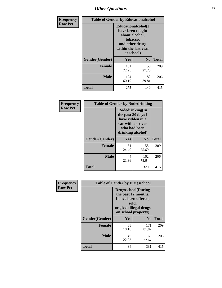# *Other Questions* **87**

| <b>Frequency</b> | <b>Table of Gender by Educationalcohol</b> |                                                                                                                                       |                |              |  |
|------------------|--------------------------------------------|---------------------------------------------------------------------------------------------------------------------------------------|----------------|--------------|--|
| <b>Row Pct</b>   |                                            | <b>Educationalcohol</b> (I<br>have been taught<br>about alcohol,<br>tobacco,<br>and other drugs<br>within the last year<br>at school) |                |              |  |
|                  | Gender(Gender)                             | <b>Yes</b>                                                                                                                            | N <sub>0</sub> | <b>Total</b> |  |
|                  | <b>Female</b>                              | 151<br>72.25                                                                                                                          | 58<br>27.75    | 209          |  |
|                  | <b>Male</b>                                | 124<br>60.19                                                                                                                          | 82<br>39.81    | 206          |  |
|                  | <b>Total</b>                               | 275                                                                                                                                   | 140            | 415          |  |

| Frequency      | <b>Table of Gender by Rodedrinking</b> |                                                                                                                     |              |              |  |
|----------------|----------------------------------------|---------------------------------------------------------------------------------------------------------------------|--------------|--------------|--|
| <b>Row Pct</b> |                                        | Rodedrinking(In<br>the past 30 days I<br>have ridden in a<br>car with a driver<br>who had been<br>drinking alcohol) |              |              |  |
|                | Gender(Gender)                         | Yes                                                                                                                 | $\bf N_0$    | <b>Total</b> |  |
|                | <b>Female</b>                          | 51<br>24.40                                                                                                         | 158<br>75.60 | 209          |  |
|                | <b>Male</b>                            | 44<br>21.36                                                                                                         | 162<br>78.64 | 206          |  |
|                | <b>Total</b>                           | 95                                                                                                                  | 320          | 415          |  |

| Frequency      | <b>Table of Gender by Drugsschool</b> |                                                                                                                                     |                |              |  |
|----------------|---------------------------------------|-------------------------------------------------------------------------------------------------------------------------------------|----------------|--------------|--|
| <b>Row Pct</b> |                                       | <b>Drugsschool</b> (During<br>the past 12 months,<br>I have been offered,<br>sold,<br>or given illegal drugs<br>on school property) |                |              |  |
|                | Gender(Gender)                        | Yes                                                                                                                                 | N <sub>0</sub> | <b>Total</b> |  |
|                | <b>Female</b>                         | 38<br>18.18                                                                                                                         | 171<br>81.82   | 209          |  |
|                | <b>Male</b>                           | 46<br>22.33                                                                                                                         | 160<br>77.67   | 206          |  |
|                | <b>Total</b>                          | 84                                                                                                                                  | 331            | 415          |  |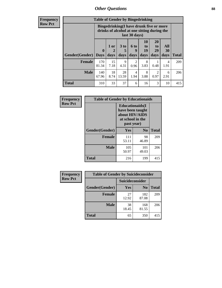# *Other Questions* **88**

**Frequency Row Pct**

| <b>Table of Gender by Bingedrinking</b> |                            |                                                                                                         |                   |                        |                               |                               |                   |              |
|-----------------------------------------|----------------------------|---------------------------------------------------------------------------------------------------------|-------------------|------------------------|-------------------------------|-------------------------------|-------------------|--------------|
|                                         |                            | Bingedrinking(I have drunk five or more<br>drinks of alcohol at one sitting during the<br>last 30 days) |                   |                        |                               |                               |                   |              |
| <b>Gender</b> (Gender)                  | $\mathbf 0$<br><b>Days</b> | 1 or<br>2<br>days                                                                                       | 3 to<br>5<br>days | 6 to<br>q<br>days      | <b>10</b><br>to<br>19<br>days | <b>20</b><br>to<br>29<br>days | All<br>30<br>days | <b>Total</b> |
| <b>Female</b>                           | 170<br>81.34               | 15<br>7.18                                                                                              | 9<br>4.31         | $\overline{c}$<br>0.96 | 8<br>3.83                     | 0.48                          | 4<br>1.91         | 209          |
| <b>Male</b>                             | 140<br>67.96               | 18<br>8.74                                                                                              | 28<br>13.59       | $\overline{4}$<br>1.94 | 8<br>3.88                     | 2<br>0.97                     | 6<br>2.91         | 206          |
| <b>Total</b>                            | 310                        | 33                                                                                                      | 37                | 6                      | 16                            | 3                             | 10                | 415          |

| Frequency      | <b>Table of Gender by Educationaids</b> |                                                                                                 |                |              |  |
|----------------|-----------------------------------------|-------------------------------------------------------------------------------------------------|----------------|--------------|--|
| <b>Row Pct</b> |                                         | <b>Educationaids</b> (I<br>have been taught<br>about HIV/AIDS<br>at school in the<br>past year) |                |              |  |
|                | Gender(Gender)                          | Yes                                                                                             | N <sub>0</sub> | <b>Total</b> |  |
|                | <b>Female</b>                           | 111<br>53.11                                                                                    | 98<br>46.89    | 209          |  |
|                | <b>Male</b>                             | 105<br>50.97                                                                                    | 101<br>49.03   | 206          |  |
|                | <b>Total</b>                            | 216                                                                                             | 199            | 415          |  |

| <b>Frequency</b> | <b>Table of Gender by Suicideconsider</b> |                 |                |              |  |
|------------------|-------------------------------------------|-----------------|----------------|--------------|--|
| <b>Row Pct</b>   |                                           | Suicideconsider |                |              |  |
|                  | Gender(Gender)                            | <b>Yes</b>      | N <sub>0</sub> | <b>Total</b> |  |
|                  | <b>Female</b>                             | 27<br>12.92     | 182<br>87.08   | 209          |  |
|                  | <b>Male</b>                               | 38<br>18.45     | 168<br>81.55   | 206          |  |
|                  | <b>Total</b>                              | 65              | 350            | 415          |  |